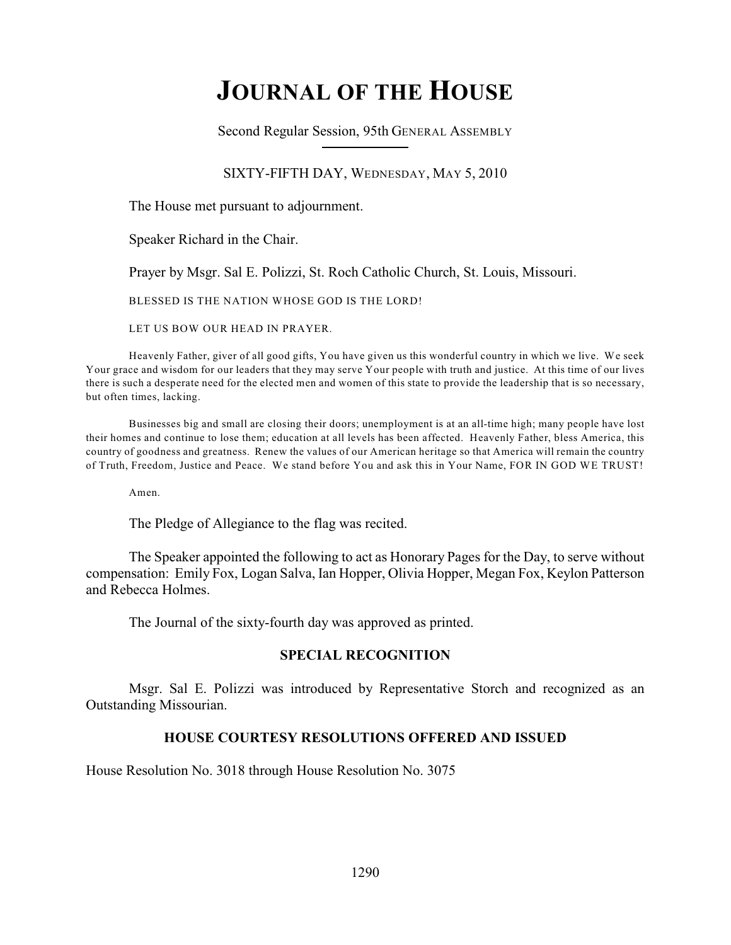# **JOURNAL OF THE HOUSE**

Second Regular Session, 95th GENERAL ASSEMBLY

## SIXTY-FIFTH DAY, WEDNESDAY, MAY 5, 2010

The House met pursuant to adjournment.

Speaker Richard in the Chair.

Prayer by Msgr. Sal E. Polizzi, St. Roch Catholic Church, St. Louis, Missouri.

BLESSED IS THE NATION WHOSE GOD IS THE LORD!

LET US BOW OUR HEAD IN PRAYER.

Heavenly Father, giver of all good gifts, You have given us this wonderful country in which we live. We seek Your grace and wisdom for our leaders that they may serve Your people with truth and justice. At this time of our lives there is such a desperate need for the elected men and women of this state to provide the leadership that is so necessary, but often times, lacking.

Businesses big and small are closing their doors; unemployment is at an all-time high; many people have lost their homes and continue to lose them; education at all levels has been affected. Heavenly Father, bless America, this country of goodness and greatness. Renew the values of our American heritage so that America will remain the country of Truth, Freedom, Justice and Peace. We stand before You and ask this in Your Name, FOR IN GOD WE TRUST!

Amen.

The Pledge of Allegiance to the flag was recited.

The Speaker appointed the following to act as Honorary Pages for the Day, to serve without compensation: Emily Fox, Logan Salva, Ian Hopper, Olivia Hopper, Megan Fox, Keylon Patterson and Rebecca Holmes.

The Journal of the sixty-fourth day was approved as printed.

### **SPECIAL RECOGNITION**

Msgr. Sal E. Polizzi was introduced by Representative Storch and recognized as an Outstanding Missourian.

## **HOUSE COURTESY RESOLUTIONS OFFERED AND ISSUED**

House Resolution No. 3018 through House Resolution No. 3075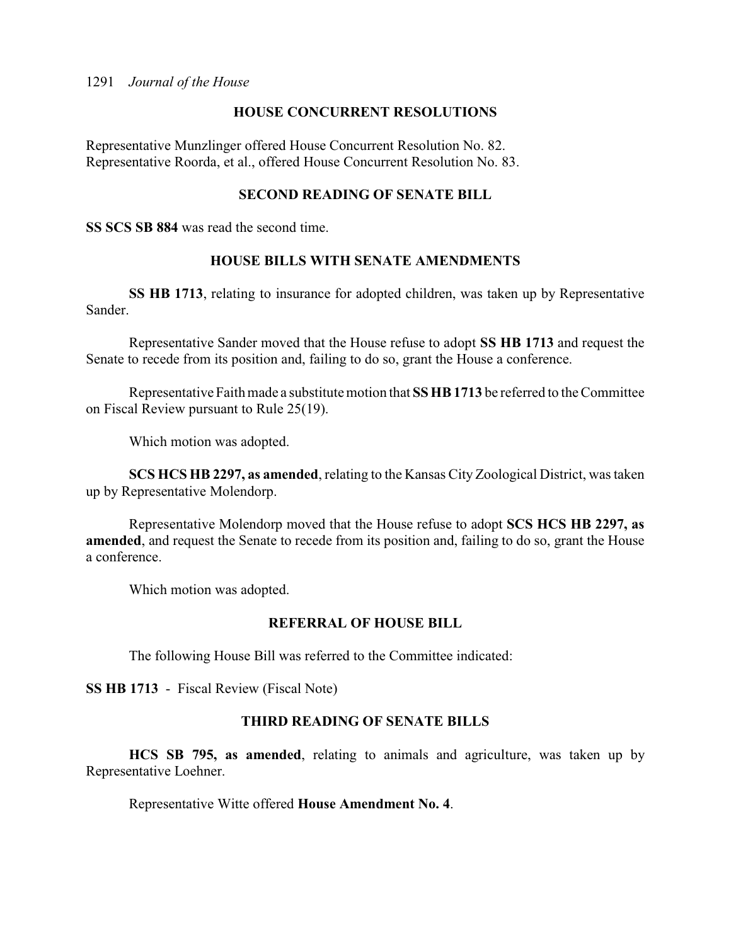## **HOUSE CONCURRENT RESOLUTIONS**

Representative Munzlinger offered House Concurrent Resolution No. 82. Representative Roorda, et al., offered House Concurrent Resolution No. 83.

## **SECOND READING OF SENATE BILL**

**SS SCS SB 884** was read the second time.

## **HOUSE BILLS WITH SENATE AMENDMENTS**

**SS HB 1713**, relating to insurance for adopted children, was taken up by Representative Sander.

Representative Sander moved that the House refuse to adopt **SS HB 1713** and request the Senate to recede from its position and, failing to do so, grant the House a conference.

Representative Faith made a substitute motion that **SS HB 1713** be referred to the Committee on Fiscal Review pursuant to Rule 25(19).

Which motion was adopted.

**SCS HCS HB 2297, as amended**, relating to the Kansas City Zoological District, was taken up by Representative Molendorp.

Representative Molendorp moved that the House refuse to adopt **SCS HCS HB 2297, as amended**, and request the Senate to recede from its position and, failing to do so, grant the House a conference.

Which motion was adopted.

## **REFERRAL OF HOUSE BILL**

The following House Bill was referred to the Committee indicated:

**SS HB 1713** - Fiscal Review (Fiscal Note)

## **THIRD READING OF SENATE BILLS**

**HCS SB 795, as amended**, relating to animals and agriculture, was taken up by Representative Loehner.

Representative Witte offered **House Amendment No. 4**.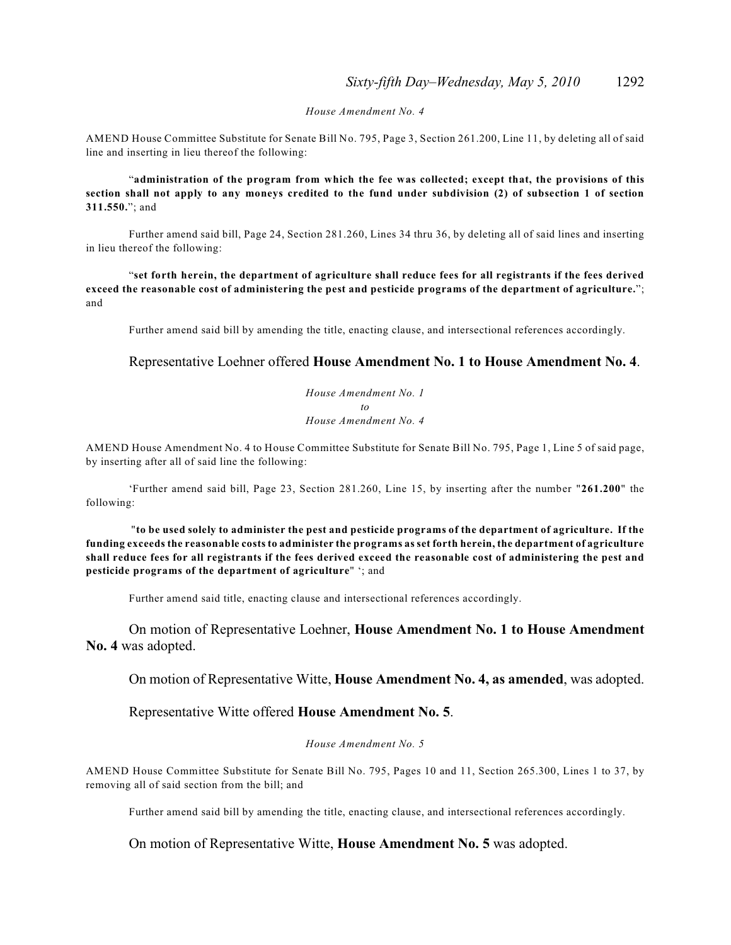#### *House Amendment No. 4*

AMEND House Committee Substitute for Senate Bill No. 795, Page 3, Section 261.200, Line 11, by deleting all of said line and inserting in lieu thereof the following:

"**administration of the program from which the fee was collected; except that, the provisions of this section shall not apply to any moneys credited to the fund under subdivision (2) of subsection 1 of section 311.550.**"; and

Further amend said bill, Page 24, Section 281.260, Lines 34 thru 36, by deleting all of said lines and inserting in lieu thereof the following:

"**set forth herein, the department of agriculture shall reduce fees for all registrants if the fees derived exceed the reasonable cost of administering the pest and pesticide programs of the department of agriculture.**"; and

Further amend said bill by amending the title, enacting clause, and intersectional references accordingly.

### Representative Loehner offered **House Amendment No. 1 to House Amendment No. 4**.

*House Amendment No. 1 to House Amendment No. 4*

AMEND House Amendment No. 4 to House Committee Substitute for Senate Bill No. 795, Page 1, Line 5 of said page, by inserting after all of said line the following:

'Further amend said bill, Page 23, Section 281.260, Line 15, by inserting after the number "**261.200**" the following:

 "**to be used solely to administer the pest and pesticide programs of the department of agriculture. If the funding exceeds the reasonable costs to administer the programs as set forth herein, the department of agriculture shall reduce fees for all registrants if the fees derived exceed the reasonable cost of administering the pest and pesticide programs of the department of agriculture**" '; and

Further amend said title, enacting clause and intersectional references accordingly.

On motion of Representative Loehner, **House Amendment No. 1 to House Amendment No. 4** was adopted.

On motion of Representative Witte, **House Amendment No. 4, as amended**, was adopted.

Representative Witte offered **House Amendment No. 5**.

*House Amendment No. 5*

AMEND House Committee Substitute for Senate Bill No. 795, Pages 10 and 11, Section 265.300, Lines 1 to 37, by removing all of said section from the bill; and

Further amend said bill by amending the title, enacting clause, and intersectional references accordingly.

On motion of Representative Witte, **House Amendment No. 5** was adopted.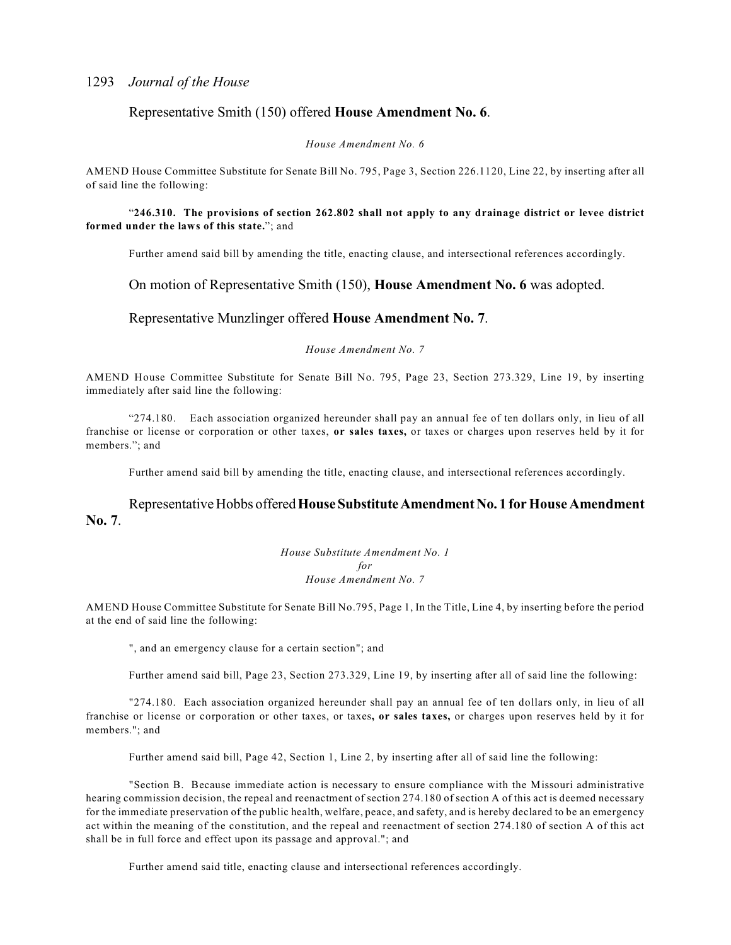### Representative Smith (150) offered **House Amendment No. 6**.

*House Amendment No. 6*

AMEND House Committee Substitute for Senate Bill No. 795, Page 3, Section 226.1120, Line 22, by inserting after all of said line the following:

### "**246.310. The provisions of section 262.802 shall not apply to any drainage district or levee district formed under the laws of this state.**"; and

Further amend said bill by amending the title, enacting clause, and intersectional references accordingly.

### On motion of Representative Smith (150), **House Amendment No. 6** was adopted.

### Representative Munzlinger offered **House Amendment No. 7**.

#### *House Amendment No. 7*

AMEND House Committee Substitute for Senate Bill No. 795, Page 23, Section 273.329, Line 19, by inserting immediately after said line the following:

"274.180. Each association organized hereunder shall pay an annual fee of ten dollars only, in lieu of all franchise or license or corporation or other taxes, **or sales taxes,** or taxes or charges upon reserves held by it for members."; and

Further amend said bill by amending the title, enacting clause, and intersectional references accordingly.

### Representative Hobbs offered **House Substitute Amendment No. 1 for House Amendment No. 7**.

*House Substitute Amendment No. 1 for House Amendment No. 7*

AMEND House Committee Substitute for Senate Bill No.795, Page 1, In the Title, Line 4, by inserting before the period at the end of said line the following:

", and an emergency clause for a certain section"; and

Further amend said bill, Page 23, Section 273.329, Line 19, by inserting after all of said line the following:

"274.180. Each association organized hereunder shall pay an annual fee of ten dollars only, in lieu of all franchise or license or corporation or other taxes, or taxes**, or sales taxes,** or charges upon reserves held by it for members."; and

Further amend said bill, Page 42, Section 1, Line 2, by inserting after all of said line the following:

"Section B. Because immediate action is necessary to ensure compliance with the Missouri administrative hearing commission decision, the repeal and reenactment of section 274.180 of section A of this act is deemed necessary for the immediate preservation of the public health, welfare, peace, and safety, and is hereby declared to be an emergency act within the meaning of the constitution, and the repeal and reenactment of section 274.180 of section A of this act shall be in full force and effect upon its passage and approval."; and

Further amend said title, enacting clause and intersectional references accordingly.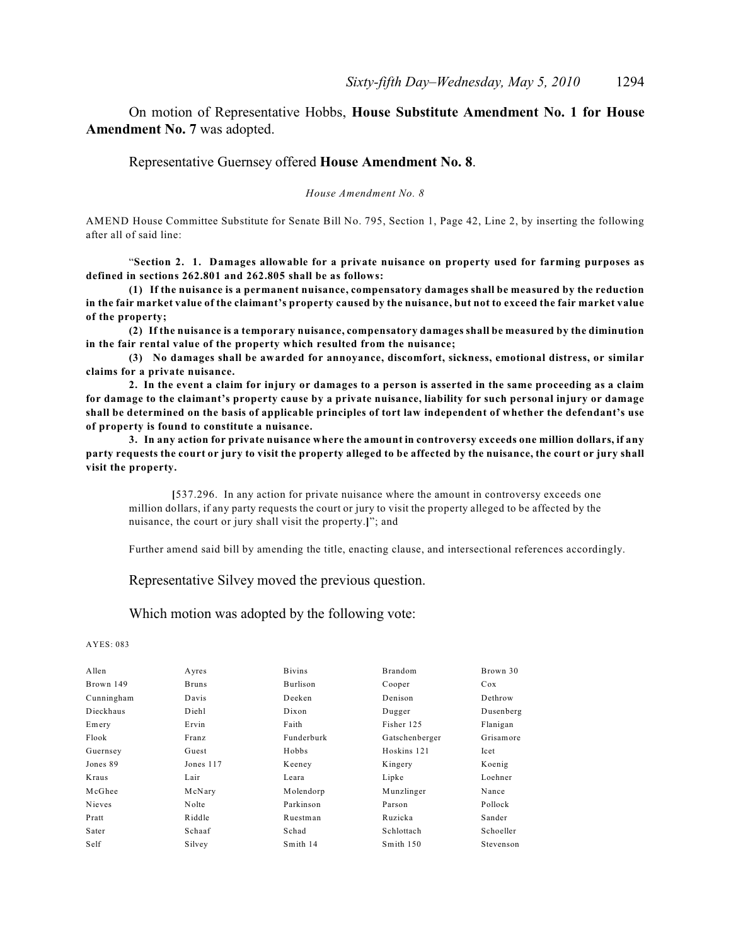On motion of Representative Hobbs, **House Substitute Amendment No. 1 for House Amendment No. 7** was adopted.

### Representative Guernsey offered **House Amendment No. 8**.

*House Amendment No. 8*

AMEND House Committee Substitute for Senate Bill No. 795, Section 1, Page 42, Line 2, by inserting the following after all of said line:

"**Section 2. 1. Damages allowable for a private nuisance on property used for farming purposes as defined in sections 262.801 and 262.805 shall be as follows:**

**(1) If the nuisance is a permanent nuisance, compensatory damages shall be measured by the reduction in the fair market value of the claimant's property caused by the nuisance, but not to exceed the fair market value of the property;**

**(2) If the nuisance is a temporary nuisance, compensatory damages shall be measured by the diminution in the fair rental value of the property which resulted from the nuisance;**

**(3) No damages shall be awarded for annoyance, discomfort, sickness, emotional distress, or similar claims for a private nuisance.**

**2. In the event a claim for injury or damages to a person is asserted in the same proceeding as a claim for damage to the claimant's property cause by a private nuisance, liability for such personal injury or damage shall be determined on the basis of applicable principles of tort law independent of whether the defendant's use of property is found to constitute a nuisance.**

**3. In any action for private nuisance where the amount in controversy exceeds one million dollars, if any party requests the court or jury to visit the property alleged to be affected by the nuisance, the court or jury shall visit the property.**

**[**537.296. In any action for private nuisance where the amount in controversy exceeds one million dollars, if any party requests the court or jury to visit the property alleged to be affected by the nuisance, the court or jury shall visit the property.**]**"; and

Further amend said bill by amending the title, enacting clause, and intersectional references accordingly.

Representative Silvey moved the previous question.

Which motion was adopted by the following vote:

| Allen      | Ayres        | <b>Bivins</b> | Brandom        | Brown 30  |
|------------|--------------|---------------|----------------|-----------|
| Brown 149  | <b>Bruns</b> | Burlison      | Cooper         | Cox       |
| Cunningham | Davis        | Deeken        | Denison        | Dethrow   |
| Dieckhaus  | Diehl        | Dixon         | Dugger         | Dusenberg |
| Emery      | Ervin        | Faith         | Fisher 125     | Flanigan  |
| Flook      | Franz        | Funderburk    | Gatschenberger | Grisamore |
| Guernsey   | Guest        | Hobbs         | Hoskins 121    | Icet      |
| Jones 89   | Jones 117    | Keeney        | Kingery        | Koenig    |
| Kraus      | Lair         | Leara         | Lipke          | Loehner   |
| McGhee     | McNary       | Molendorp     | Munzlinger     | Nance     |
| Nieves     | Nolte        | Parkinson     | Parson         | Pollock   |
| Pratt      | Riddle       | Ruestman      | Ruzicka        | Sander    |
| Sater      | Schaaf       | Schad         | Schlottach     | Schoeller |
| Self       | Silvey       | Smith 14      | Smith 150      | Stevenson |
|            |              |               |                |           |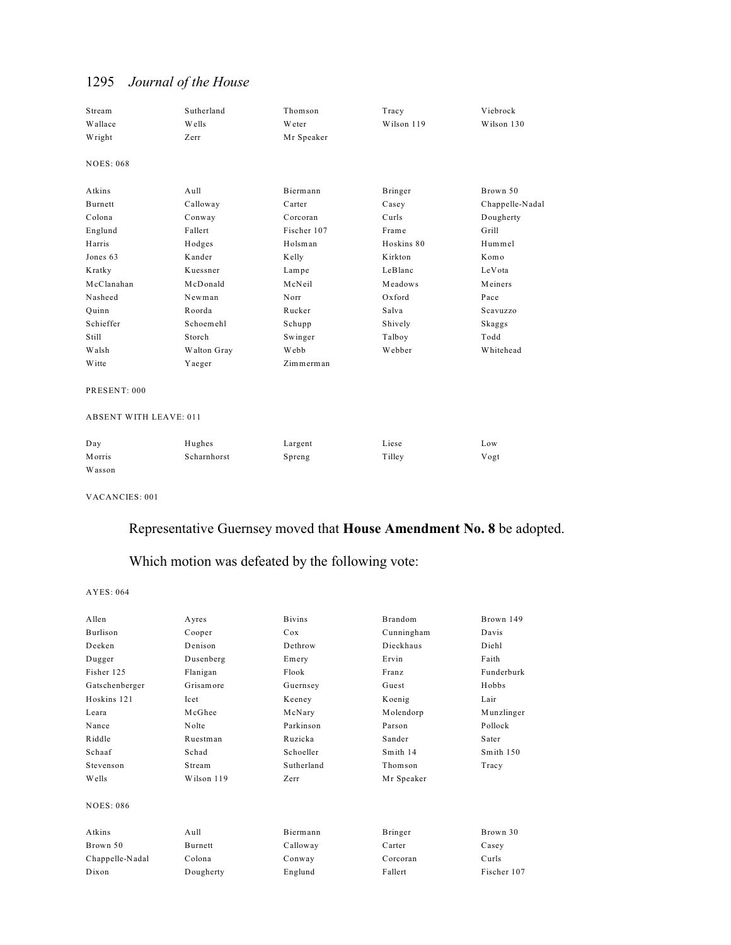| Stream<br>Wallace<br>Wright | Sutherland<br>Wells<br>Zerr | Thomson<br><b>W</b> eter<br>Mr Speaker | Tracy<br>Wilson 119 | Viebrock<br>Wilson 130 |
|-----------------------------|-----------------------------|----------------------------------------|---------------------|------------------------|
| <b>NOES: 068</b>            |                             |                                        |                     |                        |
| Atkins                      | $A$ ull                     | Biermann                               | Bringer             | Brown 50               |
| Burnett                     | Calloway                    | Carter                                 | Casey               | Chappelle-Nadal        |
| Colona                      | Conway                      | Corcoran                               | Curls               | Dougherty              |
| Englund                     | Fallert                     | Fischer 107                            | Frame               | Grill                  |
| Harris                      | Hodges                      | Holsman                                | Hoskins 80          | Hummel                 |
| Jones 63                    | Kander                      | Kelly                                  | Kirkton             | Komo                   |
| Kratky                      | Kuessner                    | Lampe                                  | LeBlanc             | LeVota                 |
| McClanahan                  | McDonald                    | McNeil                                 | Meadows             | Meiners                |
| Nasheed                     | Newman                      | Norr                                   | Oxford              | Pace                   |
| Quinn                       | Roorda                      | Rucker                                 | Salva               | Scavuzzo               |
| Schieffer                   | Schoemehl                   | Schupp                                 | Shively             | Skaggs                 |
| Still                       | Storch                      | Swinger                                | Talboy              | Todd                   |
| Walsh                       | Walton Gray                 | <b>Webb</b>                            | Webber              | Whitehead              |
| <b>W</b> itte               | Yaeger                      | Zimmerman                              |                     |                        |

PRESENT: 000

### ABSENT WITH LEAVE: 011

| Day    | Hughes      | Largent | Liese  | Low  |
|--------|-------------|---------|--------|------|
| Morris | Scharnhorst | Spreng  | Tilley | Vogt |
| Wasson |             |         |        |      |

VACANCIES: 001

## Representative Guernsey moved that **House Amendment No. 8** be adopted.

Which motion was defeated by the following vote:

| Allen            | Ayres             | <b>Bivins</b>   | Brandom    | Brown 149   |
|------------------|-------------------|-----------------|------------|-------------|
| Burlison         | Cooper            | C <sub>ox</sub> | Cunningham | Davis       |
| Deeken           | Denison           | Dethrow         | Dieckhaus  | Diehl       |
| Dugger           | Dusenberg         | Emery           | Ervin      | Faith       |
| Fisher 125       | Flanigan          | Flook           | Franz      | Funderburk  |
| Gatschenberger   | Grisamore         | Guernsey        | Guest      | Hobbs       |
| Hoskins 121      | <b>Icet</b>       | Keeney          | Koenig     | Lair        |
| Leara            | McGhee            | McNary          | Molendorp  | Munzlinger  |
| Nance            | Nolte             | Parkinson       | Parson     | Pollock     |
| Riddle           | Ruestman          | Ruzicka         | Sander     | Sater       |
| Schaaf           | Schad             | Schoeller       | Smith 14   | Smith $150$ |
| Stevenson        | Stream            | Sutherland      | Thomson    | Tracy       |
| Wells            | Wilson 119        | Zerr            | Mr Speaker |             |
| <b>NOES: 086</b> |                   |                 |            |             |
| Atkins           | A <sub>u</sub> 11 | Biermann        | Bringer    | Brown 30    |
| Brown 50         | <b>Burnett</b>    | Calloway        | Carter     | Casey       |
| Chappelle-Nadal  | Colona            | Conway          | Corcoran   | Curls       |
| Dixon            | Dougherty         | Englund         | Fallert    | Fischer 107 |
|                  |                   |                 |            |             |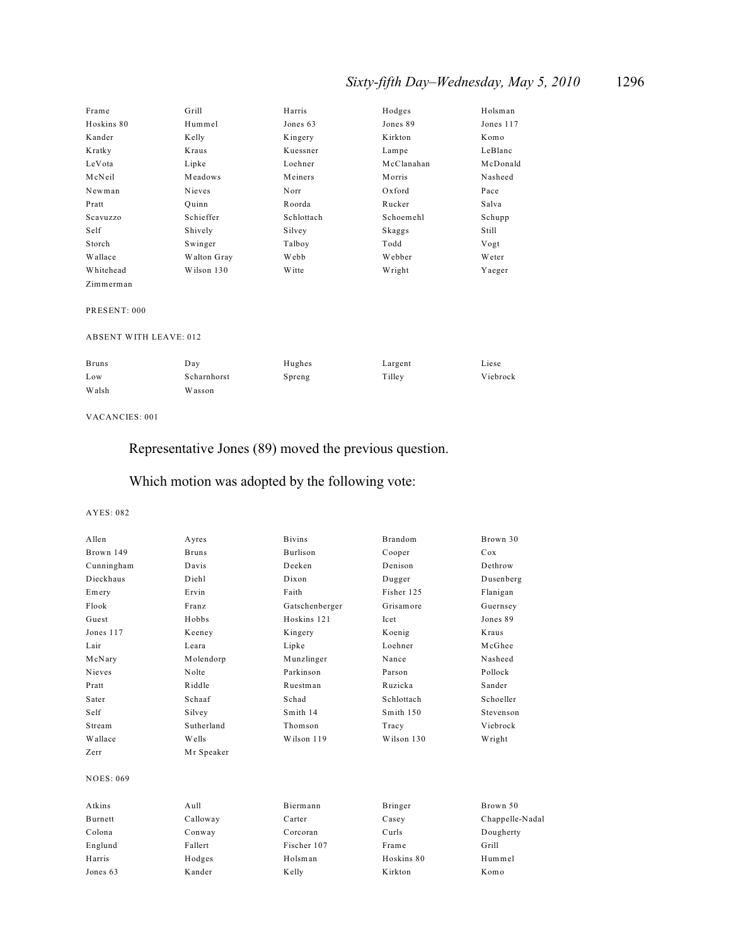## *Sixty-fifth Day–Wednesday, May 5, 2010* 1296

| Frame      | Grill       | Harris        | Hodges     | Holsman       |
|------------|-------------|---------------|------------|---------------|
| Hoskins 80 | Hummel      | Jones 63      | Jones 89   | Jones 117     |
| Kander     | Kelly       | Kingery       | Kirkton    | Komo          |
| Kratky     | Kraus       | Kuessner      | Lampe      | LeBlanc       |
| LeVota     | Lipke       | Loehner       | McClanahan | McDonald      |
| McNeil     | Meadows     | Meiners       | Morris     | Nasheed       |
| Newman     | Nieves      | Norr          | Oxford     | Pace          |
| Pratt      | Ouinn       | Roorda        | Rucker     | Salva         |
| Scavuzzo   | Schieffer   | Schlottach    | Schoemehl  | Schupp        |
| Self       | Shively     | Silvey        | Skaggs     | Still         |
| Storch     | Swinger     | Talboy        | Todd       | Vogt          |
| Wallace    | Walton Gray | <b>Webb</b>   | Webber     | <b>W</b> eter |
| Whitehead  | Wilson 130  | <b>W</b> itte | Wright     | Yaeger        |
| Zimmerman  |             |               |            |               |

#### PRESENT: 000

#### ABSENT WITH LEAVE: 012

| <b>Bruns</b> | Day         | Hughes | Largent | Liese    |
|--------------|-------------|--------|---------|----------|
| Low          | Scharnhorst | Spreng | Tilley  | Viebrock |
| Walsh        | Wasson      |        |         |          |

#### VACANCIES: 001

Representative Jones (89) moved the previous question.

## Which motion was adopted by the following vote:

| Allen            | Ayres        | <b>Bivins</b>   | Brandom    | Brown 30        |
|------------------|--------------|-----------------|------------|-----------------|
| Brown 149        | <b>Bruns</b> | <b>Burlison</b> | Cooper     | Cox             |
| Cunningham       | Davis        | Deeken          | Denison    | Dethrow         |
| Dieckhaus        | Diehl        | Dixon           | Dugger     | Dusenberg       |
| Emery            | Ervin        | Faith           | Fisher 125 | Flanigan        |
| Flook            | Franz        | Gatschenberger  | Grisamore  | Guernsey        |
| Guest            | Hobbs        | Hoskins 121     | Icet       | Jones 89        |
| Jones 117        | Keeney       | Kingery         | Koenig     | Kraus           |
| Lair             | Leara        | Lipke           | Loehner    | McGhee          |
| McNary           | Molendorp    | Munzlinger      | Nance      | Nasheed         |
| Nieves           | Nolte        | Parkinson       | Parson     | Pollock         |
| Pratt            | Riddle       | Ruestman        | Ruzicka    | Sander          |
| Sater            | Schaaf       | Schad           | Schlottach | Schoeller       |
| Self             | Silvey       | Smith 14        | Smith 150  | Stevenson       |
| Stream           | Sutherland   | Thomson         | Tracy      | Viebrock        |
| Wallace          | Wells        | Wilson 119      | Wilson 130 | Wright          |
| Zerr             | Mr Speaker   |                 |            |                 |
| <b>NOES: 069</b> |              |                 |            |                 |
| Atkins           | Aull         | Biermann        | Bringer    | Brown 50        |
| Burnett          | Calloway     | Carter          | Casey      | Chappelle-Nadal |
| Colona           | Conway       | Corcoran        | Curls      | Dougherty       |
| Englund          | Fallert      | Fischer 107     | Frame      | Grill           |
| Harris           | Hodges       | Holsman         | Hoskins 80 | Hummel          |
| Jones 63         | Kander       | Kelly           | Kirkton    | Komo            |
|                  |              |                 |            |                 |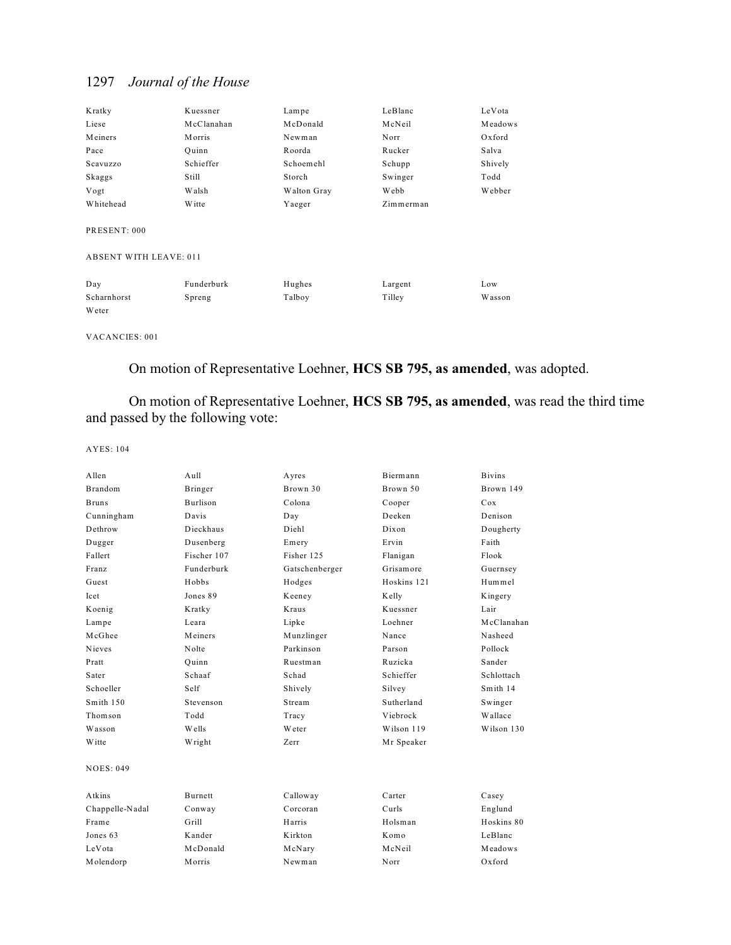| Kratky                        | Kuessner      | Lampe       | LeBlanc   | LeVota  |
|-------------------------------|---------------|-------------|-----------|---------|
| Liese                         | McClanahan    | McDonald    | McNeil    | Meadows |
| Meiners                       | <b>Morris</b> | Newman      | Norr      | Oxford  |
| Pace                          | Ouinn         | Roorda      | Rucker    | Salva   |
| Scavuzzo                      | Schieffer     | Schoemehl   | Schupp    | Shively |
| Skaggs                        | Still         | Storch      | Swinger   | Todd    |
| Vogt                          | Walsh         | Walton Gray | Webb      | Webber  |
| Whitehead                     | <b>W</b> itte | Yaeger      | Zimmerman |         |
| PRESENT: 000                  |               |             |           |         |
| <b>ABSENT WITH LEAVE: 011</b> |               |             |           |         |
| Dav                           | Funderburk    | Hughes      | Largent   | Low     |

Scharnhorst Spreng Talboy Tilley Wasson Weter

VACANCIES: 001

On motion of Representative Loehner, **HCS SB 795, as amended**, was adopted.

On motion of Representative Loehner, **HCS SB 795, as amended**, was read the third time and passed by the following vote:

| Allen           | Aull            | Ayres          | Biermann    | <b>Bivins</b> |
|-----------------|-----------------|----------------|-------------|---------------|
| <b>Brandom</b>  | Bringer         | Brown 30       | Brown 50    | Brown 149     |
| <b>Bruns</b>    | <b>Burlison</b> | Colona         | Cooper      | Cox           |
| Cunningham      | Davis           | Day            | Deeken      | Denison       |
| Dethrow         | Dieckhaus       | Diehl          | Dixon       | Dougherty     |
| Dugger          | Dusenberg       | Emery          | Ervin       | Faith         |
| Fallert         | Fischer 107     | Fisher 125     | Flanigan    | Flook         |
| Franz           | Funderburk      | Gatschenberger | Grisamore   | Guernsey      |
| Guest           | Hobbs           | Hodges         | Hoskins 121 | Hummel        |
| <b>Icet</b>     | Jones 89        | Keeney         | Kelly       | Kingery       |
| Koenig          | Kratky          | Kraus          | Kuessner    | Lair          |
| Lampe           | Leara           | Lipke          | Loehner     | McClanahan    |
| McGhee          | Meiners         | Munzlinger     | Nance       | Nasheed       |
| <b>Nieves</b>   | Nolte           | Parkinson      | Parson      | Pollock       |
| Pratt           | Ouinn           | Ruestman       | Ruzicka     | Sander        |
| Sater           | Schaaf          | Schad          | Schieffer   | Schlottach    |
| Schoeller       | Self            | Shively        | Silvey      | Smith 14      |
| Smith 150       | Stevenson       | Stream         | Sutherland  | Swinger       |
| Thomson         | Todd            | Tracy          | Viebrock    | Wallace       |
| Wasson          | Wells           | Weter          | Wilson 119  | Wilson 130    |
| Witte           | Wright          | Zerr           | Mr Speaker  |               |
| NOES: 049       |                 |                |             |               |
| Atkins          | <b>Burnett</b>  | Calloway       | Carter      | Casey         |
| Chappelle-Nadal | Conway          | Corcoran       | Curls       | Englund       |
| Frame           | Grill           | Harris         | Holsman     | Hoskins 80    |
| Jones 63        | Kander          | Kirkton        | Komo        | LeBlanc       |
| LeVota          | McDonald        | McNary         | McNeil      | Meadows       |
| Molendorp       | Morris          | Newman         | Norr        | Oxford        |
|                 |                 |                |             |               |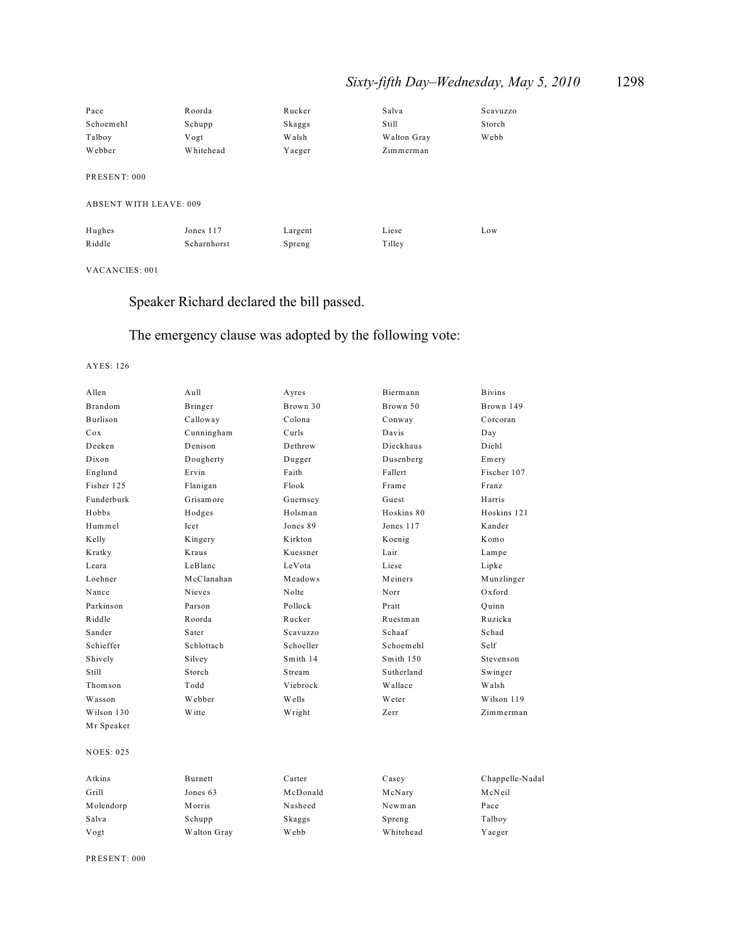## *Sixty-fifth Day–Wednesday, May 5, 2010* 1298

| Pace                          | Roorda      | Rucker  | Salva       | Scavuzzo |
|-------------------------------|-------------|---------|-------------|----------|
| Schoemehl                     | Schupp      | Skaggs  | Still       | Storch   |
| Talboy                        | Vogt        | Walsh   | Walton Gray | Webb     |
| Webber                        | Whitehead   | Yaeger  | Zimmerman   |          |
|                               |             |         |             |          |
| PRESENT: 000                  |             |         |             |          |
|                               |             |         |             |          |
| <b>ABSENT WITH LEAVE: 009</b> |             |         |             |          |
|                               |             |         |             |          |
| Hughes                        | Jones 117   | Largent | Liese       | Low      |
| Riddle                        | Scharnhorst | Spreng  | Tilley      |          |
|                               |             |         |             |          |

VACANCIES: 001

## Speaker Richard declared the bill passed.

## The emergency clause was adopted by the following vote:

#### AYES: 126

| Allen            | Aull           | Ayres     | Biermann   | <b>Bivins</b>   |
|------------------|----------------|-----------|------------|-----------------|
| <b>Brandom</b>   | Bringer        | Brown 30  | Brown 50   | Brown 149       |
| Burlison         | Calloway       | Colona    | Conway     | Corcoran        |
| Cox              | Cunningham     | Curls     | Davis      | Day             |
| Deeken           | Denison        | Dethrow   | Dieckhaus  | Diehl           |
| Dixon            | Dougherty      | Dugger    | Dusenberg  | Emery           |
| Englund          | Ervin          | Faith     | Fallert    | Fischer 107     |
| Fisher 125       | Flanigan       | Flook     | Frame      | Franz           |
| Funderburk       | Grisamore      | Guernsey  | Guest      | Harris          |
| Hobbs            | Hodges         | Holsman   | Hoskins 80 | Hoskins 121     |
| Hummel           | Icet           | Jones 89  | Jones 117  | Kander          |
| Kelly            | Kingery        | Kirkton   | Koenig     | Komo            |
| Kratky           | Kraus          | Kuessner  | Lair       | Lampe           |
| Leara            | LeBlanc        | LeVota    | Liese      | Lipke           |
| Loehner          | McClanahan     | Meadows   | Meiners    | Munzlinger      |
| Nance            | Nieves         | Nolte     | Norr       | Oxford          |
| Parkinson        | Parson         | Pollock   | Pratt      | Quinn           |
| Riddle           | Roorda         | Rucker    | Ruestman   | Ruzicka         |
| Sander           | Sater          | Scavuzzo  | Schaaf     | Schad           |
| Schieffer        | Schlottach     | Schoeller | Schoemehl  | Self            |
| Shively          | Silvey         | Smith 14  | Smith 150  | Stevenson       |
| Still            | Storch         | Stream    | Sutherland | Swinger         |
| Thomson          | Todd           | Viebrock  | Wallace    | Walsh           |
| Wasson           | Webber         | Wells     | Weter      | Wilson 119      |
| Wilson 130       | Witte          | Wright    | Zerr       | Zimmerman       |
| Mr Speaker       |                |           |            |                 |
| <b>NOES: 025</b> |                |           |            |                 |
| Atkins           | <b>Burnett</b> | Carter    | Casey      | Chappelle-Nadal |
| Grill            | Jones 63       | McDonald  | McNary     | McNeil          |
| Molendorp        | <b>Morris</b>  | Nasheed   | Newman     | Pace            |

Salva Schupp Skaggs Spreng Talboy Vogt Walton Gray Webb Whitehead Yaeger

PRESENT: 000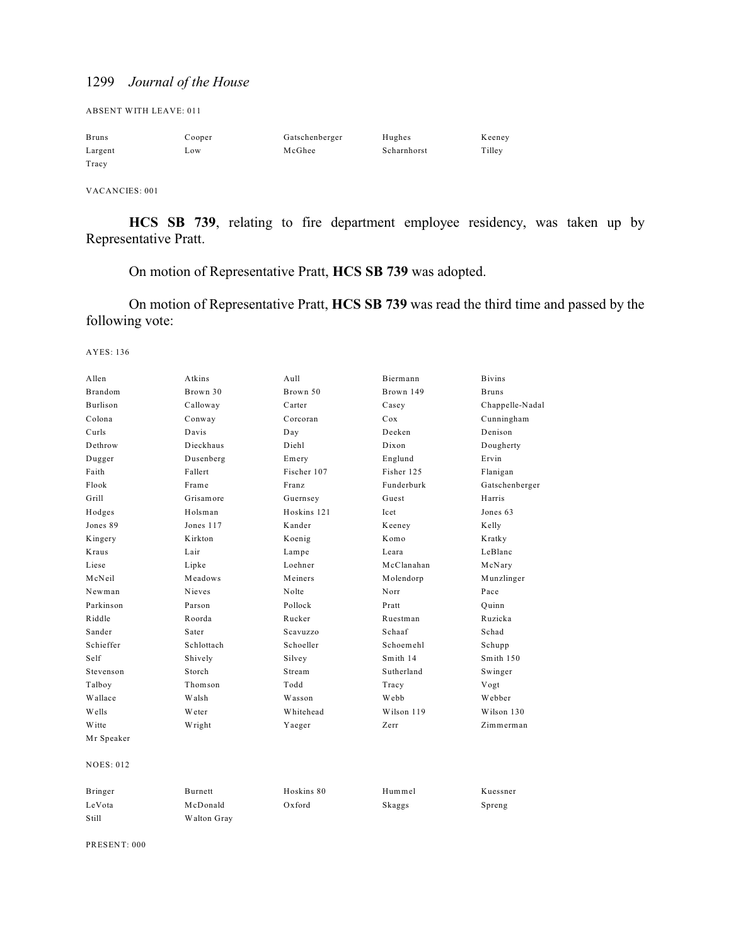ABSENT WITH LEAVE: 011

| <b>Bruns</b> | Cooper | Gatschenberger | Hughes      | Keeney |
|--------------|--------|----------------|-------------|--------|
| Largent      | LOW    | McGhee         | Scharnhorst | Tilley |
| Tracy        |        |                |             |        |

VACANCIES: 001

**HCS SB 739**, relating to fire department employee residency, was taken up by Representative Pratt.

On motion of Representative Pratt, **HCS SB 739** was adopted.

On motion of Representative Pratt, **HCS SB 739** was read the third time and passed by the following vote:

AYES: 136

| Allen            | Atkins     | Aull        | Biermann   | <b>Bivins</b>   |
|------------------|------------|-------------|------------|-----------------|
| <b>Brandom</b>   | Brown 30   | Brown 50    | Brown 149  | <b>Bruns</b>    |
| <b>Burlison</b>  | Calloway   | Carter      | Casey      | Chappelle-Nadal |
| Colona           | Conway     | Corcoran    | Cox        | Cunningham      |
| Curls            | Davis      | Day         | Deeken     | Denison         |
| Dethrow          | Dieckhaus  | Diehl       | Dixon      | Dougherty       |
| Dugger           | Dusenberg  | Emery       | Englund    | Ervin           |
| Faith            | Fallert    | Fischer 107 | Fisher 125 | Flanigan        |
| Flook            | Frame      | Franz       | Funderburk | Gatschenberger  |
| Grill            | Grisamore  | Guernsey    | Guest      | Harris          |
| Hodges           | Holsman    | Hoskins 121 | Icet       | Jones 63        |
| Jones 89         | Jones 117  | Kander      | Keeney     | Kelly           |
| Kingery          | Kirkton    | Koenig      | Komo       | Kratky          |
| <b>Kraus</b>     | Lair       | Lampe       | Leara      | LeBlanc         |
| Liese            | Lipke      | Loehner     | McClanahan | McNary          |
| McNeil           | Meadows    | Meiners     | Molendorp  | Munzlinger      |
| Newman           | Nieves     | Nolte       | Norr       | Pace            |
| Parkinson        | Parson     | Pollock     | Pratt      | Quinn           |
| Riddle           | Roorda     | Rucker      | Ruestman   | Ruzicka         |
| Sander           | Sater      | Scavuzzo    | Schaaf     | Schad           |
| Schieffer        | Schlottach | Schoeller   | Schoemehl  | Schupp          |
| Self             | Shively    | Silvey      | Smith 14   | Smith 150       |
| Stevenson        | Storch     | Stream      | Sutherland | Swinger         |
| Talboy           | Thomson    | Todd        | Tracy      | Vogt            |
| Wallace          | Walsh      | Wasson      | Webb       | Webber          |
| <b>Wells</b>     | Weter      | Whitehead   | Wilson 119 | Wilson 130      |
| Witte            | Wright     | Yaeger      | Zerr       | Zimmerman       |
| Mr Speaker       |            |             |            |                 |
| <b>NOES: 012</b> |            |             |            |                 |
| Bringer          | Burnett    | Hoskins 80  | Hummel     | Kuessner        |
| LeVota           | McDonald   | Oxford      | Skaggs     | Spreng          |

PRESENT: 000

Still Walton Gray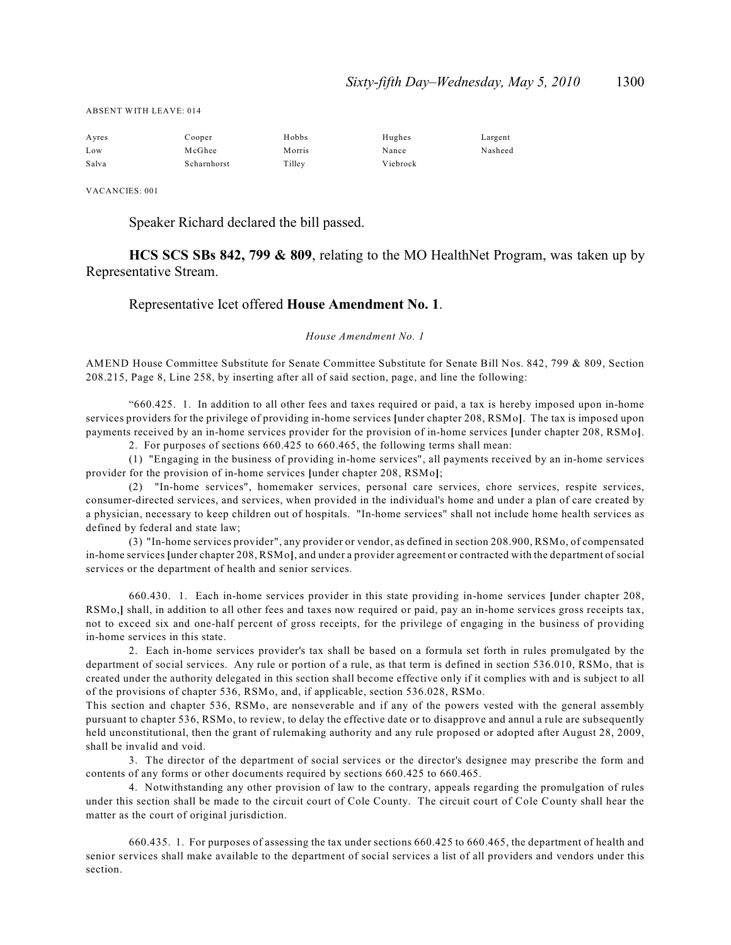ABSENT WITH LEAVE: 014

| Ayres | Cooper      | Hobbs   | Hughes   | Largent |
|-------|-------------|---------|----------|---------|
| Low   | McGhee      | M orris | Nance    | Nasheed |
| Salva | Scharnhorst | Tilley  | Viebrock |         |

VACANCIES: 001

Speaker Richard declared the bill passed.

**HCS SCS SBs 842, 799 & 809**, relating to the MO HealthNet Program, was taken up by Representative Stream.

### Representative Icet offered **House Amendment No. 1**.

#### *House Amendment No. 1*

AMEND House Committee Substitute for Senate Committee Substitute for Senate Bill Nos. 842, 799 & 809, Section 208.215, Page 8, Line 258, by inserting after all of said section, page, and line the following:

"660.425. 1. In addition to all other fees and taxes required or paid, a tax is hereby imposed upon in-home services providers for the privilege of providing in-home services **[**under chapter 208, RSMo**]**. The tax is imposed upon payments received by an in-home services provider for the provision of in-home services **[**under chapter 208, RSMo**]**. 2. For purposes of sections 660.425 to 660.465, the following terms shall mean:

(1) "Engaging in the business of providing in-home services", all payments received by an in-home services provider for the provision of in-home services **[**under chapter 208, RSMo**]**;

(2) "In-home services", homemaker services, personal care services, chore services, respite services, consumer-directed services, and services, when provided in the individual's home and under a plan of care created by a physician, necessary to keep children out of hospitals. "In-home services" shall not include home health services as defined by federal and state law;

(3) "In-home services provider", any provider or vendor, as defined in section 208.900, RSMo, of compensated in-home services **[**under chapter 208, RSMo**]**, and under a provider agreement or contracted with the department of social services or the department of health and senior services.

660.430. 1. Each in-home services provider in this state providing in-home services **[**under chapter 208, RSMo,**]** shall, in addition to all other fees and taxes now required or paid, pay an in-home services gross receipts tax, not to exceed six and one-half percent of gross receipts, for the privilege of engaging in the business of providing in-home services in this state.

2. Each in-home services provider's tax shall be based on a formula set forth in rules promulgated by the department of social services. Any rule or portion of a rule, as that term is defined in section 536.010, RSMo, that is created under the authority delegated in this section shall become effective only if it complies with and is subject to all of the provisions of chapter 536, RSMo, and, if applicable, section 536.028, RSMo.

This section and chapter 536, RSMo, are nonseverable and if any of the powers vested with the general assembly pursuant to chapter 536, RSMo, to review, to delay the effective date or to disapprove and annul a rule are subsequently held unconstitutional, then the grant of rulemaking authority and any rule proposed or adopted after August 28, 2009, shall be invalid and void.

3. The director of the department of social services or the director's designee may prescribe the form and contents of any forms or other documents required by sections 660.425 to 660.465.

4. Notwithstanding any other provision of law to the contrary, appeals regarding the promulgation of rules under this section shall be made to the circuit court of Cole County. The circuit court of Cole County shall hear the matter as the court of original jurisdiction.

660.435. 1. For purposes of assessing the tax under sections 660.425 to 660.465, the department of health and senior services shall make available to the department of social services a list of all providers and vendors under this section.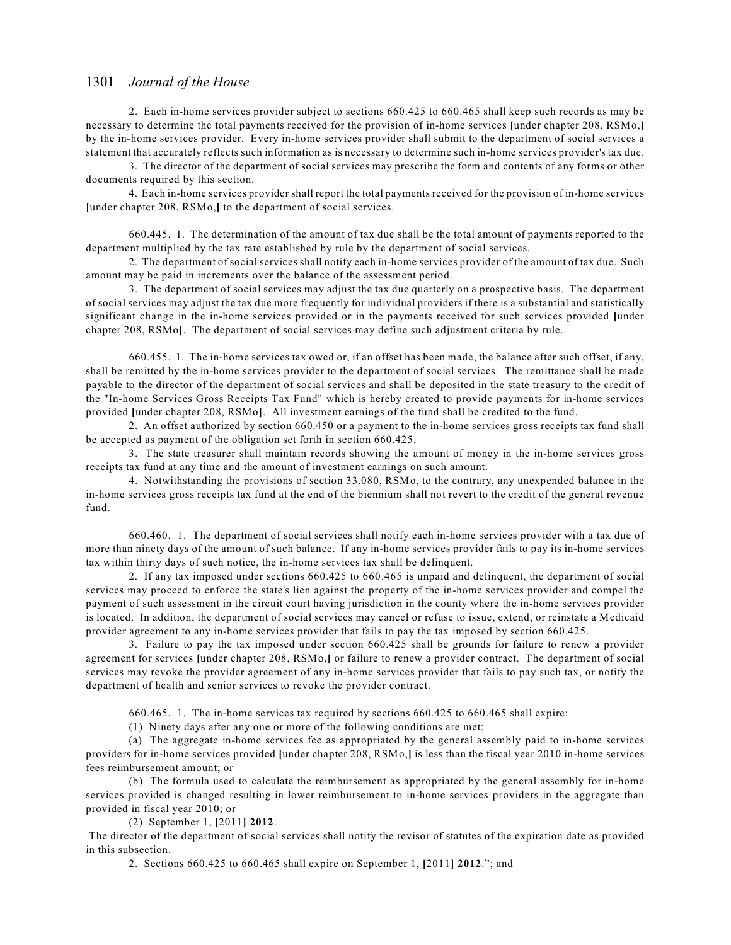2. Each in-home services provider subject to sections 660.425 to 660.465 shall keep such records as may be necessary to determine the total payments received for the provision of in-home services **[**under chapter 208, RSMo,**]** by the in-home services provider. Every in-home services provider shall submit to the department of social services a statement that accurately reflects such information as is necessary to determine such in-home services provider's tax due.

3. The director of the department of social services may prescribe the form and contents of any forms or other documents required by this section.

4. Each in-home services provider shall report the total payments received for the provision of in-home services **[**under chapter 208, RSMo,**]** to the department of social services.

660.445. 1. The determination of the amount of tax due shall be the total amount of payments reported to the department multiplied by the tax rate established by rule by the department of social services.

2. The department of social services shall notify each in-home services provider of the amount of tax due. Such amount may be paid in increments over the balance of the assessment period.

3. The department of social services may adjust the tax due quarterly on a prospective basis. The department of social services may adjust the tax due more frequently for individual providers if there is a substantial and statistically significant change in the in-home services provided or in the payments received for such services provided **[**under chapter 208, RSMo**]**. The department of social services may define such adjustment criteria by rule.

660.455. 1. The in-home services tax owed or, if an offset has been made, the balance after such offset, if any, shall be remitted by the in-home services provider to the department of social services. The remittance shall be made payable to the director of the department of social services and shall be deposited in the state treasury to the credit of the "In-home Services Gross Receipts Tax Fund" which is hereby created to provide payments for in-home services provided **[**under chapter 208, RSMo**]**. All investment earnings of the fund shall be credited to the fund.

2. An offset authorized by section 660.450 or a payment to the in-home services gross receipts tax fund shall be accepted as payment of the obligation set forth in section 660.425.

3. The state treasurer shall maintain records showing the amount of money in the in-home services gross receipts tax fund at any time and the amount of investment earnings on such amount.

4. Notwithstanding the provisions of section 33.080, RSMo, to the contrary, any unexpended balance in the in-home services gross receipts tax fund at the end of the biennium shall not revert to the credit of the general revenue fund.

660.460. 1. The department of social services shall notify each in-home services provider with a tax due of more than ninety days of the amount of such balance. If any in-home services provider fails to pay its in-home services tax within thirty days of such notice, the in-home services tax shall be delinquent.

2. If any tax imposed under sections 660.425 to 660.465 is unpaid and delinquent, the department of social services may proceed to enforce the state's lien against the property of the in-home services provider and compel the payment of such assessment in the circuit court having jurisdiction in the county where the in-home services provider is located. In addition, the department of social services may cancel or refuse to issue, extend, or reinstate a Medicaid provider agreement to any in-home services provider that fails to pay the tax imposed by section 660.425.

3. Failure to pay the tax imposed under section 660.425 shall be grounds for failure to renew a provider agreement for services **[**under chapter 208, RSMo,**]** or failure to renew a provider contract. The department of social services may revoke the provider agreement of any in-home services provider that fails to pay such tax, or notify the department of health and senior services to revoke the provider contract.

660.465. 1. The in-home services tax required by sections 660.425 to 660.465 shall expire:

(1) Ninety days after any one or more of the following conditions are met:

(a) The aggregate in-home services fee as appropriated by the general assembly paid to in-home services providers for in-home services provided **[**under chapter 208, RSMo,**]** is less than the fiscal year 2010 in-home services fees reimbursement amount; or

(b) The formula used to calculate the reimbursement as appropriated by the general assembly for in-home services provided is changed resulting in lower reimbursement to in-home services providers in the aggregate than provided in fiscal year 2010; or

(2) September 1, **[**2011**] 2012**.

 The director of the department of social services shall notify the revisor of statutes of the expiration date as provided in this subsection.

2. Sections 660.425 to 660.465 shall expire on September 1, **[**2011**] 2012**."; and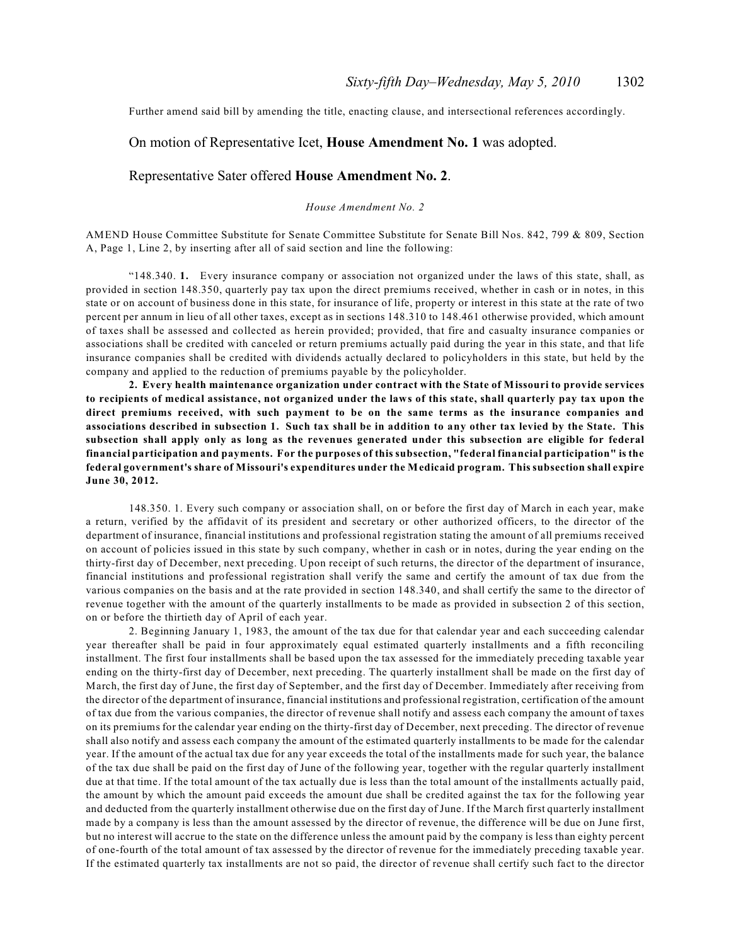Further amend said bill by amending the title, enacting clause, and intersectional references accordingly.

## On motion of Representative Icet, **House Amendment No. 1** was adopted.

### Representative Sater offered **House Amendment No. 2**.

#### *House Amendment No. 2*

AMEND House Committee Substitute for Senate Committee Substitute for Senate Bill Nos. 842, 799 & 809, Section A, Page 1, Line 2, by inserting after all of said section and line the following:

"148.340. **1.** Every insurance company or association not organized under the laws of this state, shall, as provided in section 148.350, quarterly pay tax upon the direct premiums received, whether in cash or in notes, in this state or on account of business done in this state, for insurance of life, property or interest in this state at the rate of two percent per annum in lieu of all other taxes, except as in sections 148.310 to 148.461 otherwise provided, which amount of taxes shall be assessed and collected as herein provided; provided, that fire and casualty insurance companies or associations shall be credited with canceled or return premiums actually paid during the year in this state, and that life insurance companies shall be credited with dividends actually declared to policyholders in this state, but held by the company and applied to the reduction of premiums payable by the policyholder.

**2. Every health maintenance organization under contract with the State of Missouri to provide services to recipients of medical assistance, not organized under the laws of this state, shall quarterly pay tax upon the direct premiums received, with such payment to be on the same terms as the insurance companies and associations described in subsection 1. Such tax shall be in addition to any other tax levied by the State. This subsection shall apply only as long as the revenues generated under this subsection are eligible for federal financial participation and payments. For the purposes of this subsection, "federal financial participation" is the federal government's share of Missouri's expenditures under the Medicaid program. This subsection shall expire June 30, 2012.**

148.350. 1. Every such company or association shall, on or before the first day of March in each year, make a return, verified by the affidavit of its president and secretary or other authorized officers, to the director of the department of insurance, financial institutions and professional registration stating the amount of all premiums received on account of policies issued in this state by such company, whether in cash or in notes, during the year ending on the thirty-first day of December, next preceding. Upon receipt of such returns, the director of the department of insurance, financial institutions and professional registration shall verify the same and certify the amount of tax due from the various companies on the basis and at the rate provided in section 148.340, and shall certify the same to the director of revenue together with the amount of the quarterly installments to be made as provided in subsection 2 of this section, on or before the thirtieth day of April of each year.

2. Beginning January 1, 1983, the amount of the tax due for that calendar year and each succeeding calendar year thereafter shall be paid in four approximately equal estimated quarterly installments and a fifth reconciling installment. The first four installments shall be based upon the tax assessed for the immediately preceding taxable year ending on the thirty-first day of December, next preceding. The quarterly installment shall be made on the first day of March, the first day of June, the first day of September, and the first day of December. Immediately after receiving from the director of the department of insurance, financial institutions and professional registration, certification of the amount of tax due from the various companies, the director of revenue shall notify and assess each company the amount of taxes on its premiums for the calendar year ending on the thirty-first day of December, next preceding. The director of revenue shall also notify and assess each company the amount of the estimated quarterly installments to be made for the calendar year. If the amount of the actual tax due for any year exceeds the total of the installments made for such year, the balance of the tax due shall be paid on the first day of June of the following year, together with the regular quarterly installment due at that time. If the total amount of the tax actually due is less than the total amount of the installments actually paid, the amount by which the amount paid exceeds the amount due shall be credited against the tax for the following year and deducted from the quarterly installment otherwise due on the first day of June. If the March first quarterly installment made by a company is less than the amount assessed by the director of revenue, the difference will be due on June first, but no interest will accrue to the state on the difference unless the amount paid by the company is less than eighty percent of one-fourth of the total amount of tax assessed by the director of revenue for the immediately preceding taxable year. If the estimated quarterly tax installments are not so paid, the director of revenue shall certify such fact to the director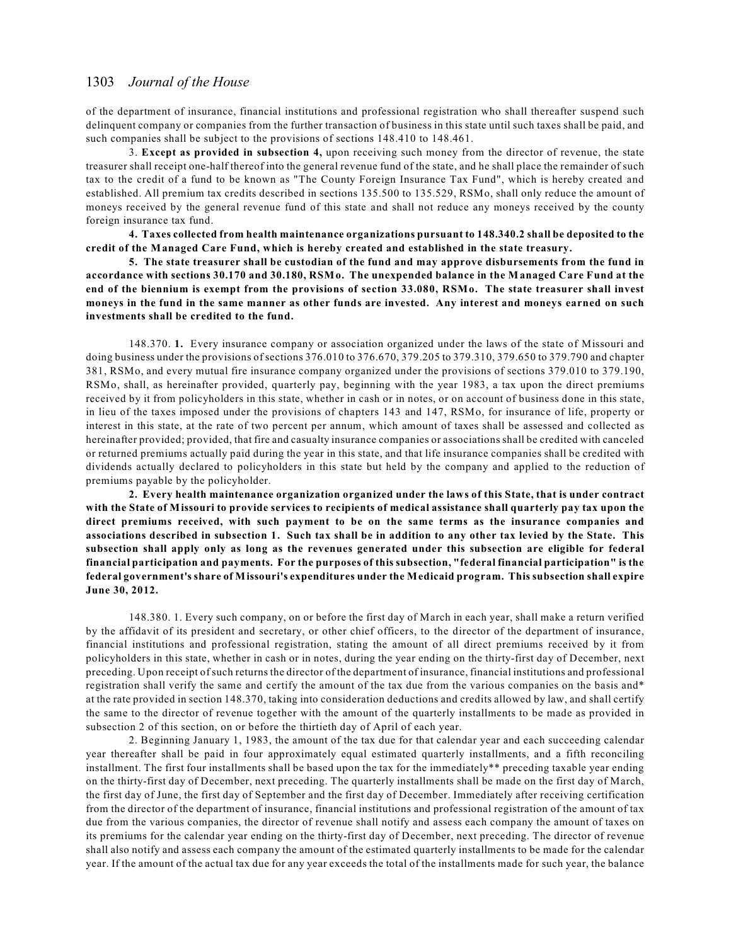of the department of insurance, financial institutions and professional registration who shall thereafter suspend such delinquent company or companies from the further transaction of business in this state until such taxes shall be paid, and such companies shall be subject to the provisions of sections 148.410 to 148.461.

3. **Except as provided in subsection 4,** upon receiving such money from the director of revenue, the state treasurer shall receipt one-half thereof into the general revenue fund of the state, and he shall place the remainder of such tax to the credit of a fund to be known as "The County Foreign Insurance Tax Fund", which is hereby created and established. All premium tax credits described in sections 135.500 to 135.529, RSMo, shall only reduce the amount of moneys received by the general revenue fund of this state and shall not reduce any moneys received by the county foreign insurance tax fund.

**4. Taxes collected from health maintenance organizations pursuant to 148.340.2 shall be deposited to the credit of the Managed Care Fund, which is hereby created and established in the state treasury.**

**5. The state treasurer shall be custodian of the fund and may approve disbursements from the fund in accordance with sections 30.170 and 30.180, RSMo. The unexpended balance in the Managed Care Fund at the end of the biennium is exempt from the provisions of section 33.080, RSMo. The state treasurer shall invest moneys in the fund in the same manner as other funds are invested. Any interest and moneys earned on such investments shall be credited to the fund.**

148.370. **1.** Every insurance company or association organized under the laws of the state of Missouri and doing business under the provisions of sections 376.010 to 376.670, 379.205 to 379.310, 379.650 to 379.790 and chapter 381, RSMo, and every mutual fire insurance company organized under the provisions of sections 379.010 to 379.190, RSMo, shall, as hereinafter provided, quarterly pay, beginning with the year 1983, a tax upon the direct premiums received by it from policyholders in this state, whether in cash or in notes, or on account of business done in this state, in lieu of the taxes imposed under the provisions of chapters 143 and 147, RSMo, for insurance of life, property or interest in this state, at the rate of two percent per annum, which amount of taxes shall be assessed and collected as hereinafter provided; provided, that fire and casualty insurance companies or associations shall be credited with canceled or returned premiums actually paid during the year in this state, and that life insurance companies shall be credited with dividends actually declared to policyholders in this state but held by the company and applied to the reduction of premiums payable by the policyholder.

**2. Every health maintenance organization organized under the laws of this State, that is under contract with the State of Missouri to provide services to recipients of medical assistance shall quarterly pay tax upon the direct premiums received, with such payment to be on the same terms as the insurance companies and associations described in subsection 1. Such tax shall be in addition to any other tax levied by the State. This subsection shall apply only as long as the revenues generated under this subsection are eligible for federal financial participation and payments. For the purposes of this subsection, "federal financial participation" is the federal government's share of Missouri's expenditures under the Medicaid program. This subsection shall expire June 30, 2012.**

148.380. 1. Every such company, on or before the first day of March in each year, shall make a return verified by the affidavit of its president and secretary, or other chief officers, to the director of the department of insurance, financial institutions and professional registration, stating the amount of all direct premiums received by it from policyholders in this state, whether in cash or in notes, during the year ending on the thirty-first day of December, next preceding. Upon receipt of such returns the director of the department of insurance, financial institutions and professional registration shall verify the same and certify the amount of the tax due from the various companies on the basis and\* at the rate provided in section 148.370, taking into consideration deductions and credits allowed by law, and shall certify the same to the director of revenue together with the amount of the quarterly installments to be made as provided in subsection 2 of this section, on or before the thirtieth day of April of each year.

2. Beginning January 1, 1983, the amount of the tax due for that calendar year and each succeeding calendar year thereafter shall be paid in four approximately equal estimated quarterly installments, and a fifth reconciling installment. The first four installments shall be based upon the tax for the immediately\*\* preceding taxable year ending on the thirty-first day of December, next preceding. The quarterly installments shall be made on the first day of March, the first day of June, the first day of September and the first day of December. Immediately after receiving certification from the director of the department of insurance, financial institutions and professional registration of the amount of tax due from the various companies, the director of revenue shall notify and assess each company the amount of taxes on its premiums for the calendar year ending on the thirty-first day of December, next preceding. The director of revenue shall also notify and assess each company the amount of the estimated quarterly installments to be made for the calendar year. If the amount of the actual tax due for any year exceeds the total of the installments made for such year, the balance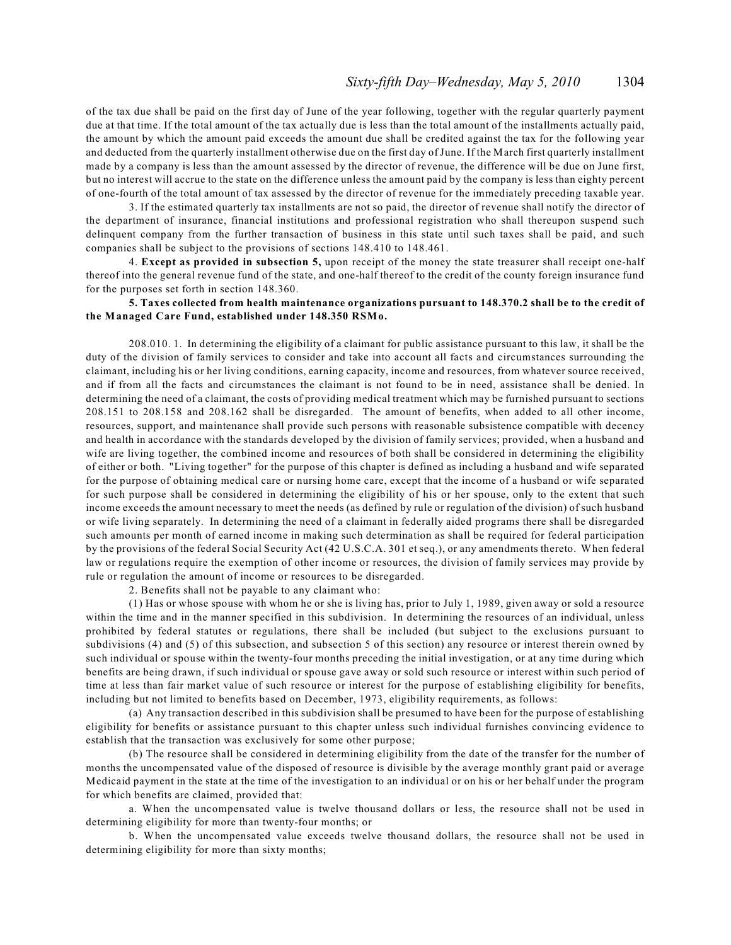of the tax due shall be paid on the first day of June of the year following, together with the regular quarterly payment due at that time. If the total amount of the tax actually due is less than the total amount of the installments actually paid, the amount by which the amount paid exceeds the amount due shall be credited against the tax for the following year and deducted from the quarterly installment otherwise due on the first day of June. If the March first quarterly installment made by a company is less than the amount assessed by the director of revenue, the difference will be due on June first, but no interest will accrue to the state on the difference unless the amount paid by the company is less than eighty percent of one-fourth of the total amount of tax assessed by the director of revenue for the immediately preceding taxable year.

3. If the estimated quarterly tax installments are not so paid, the director of revenue shall notify the director of the department of insurance, financial institutions and professional registration who shall thereupon suspend such delinquent company from the further transaction of business in this state until such taxes shall be paid, and such companies shall be subject to the provisions of sections 148.410 to 148.461.

4. **Except as provided in subsection 5,** upon receipt of the money the state treasurer shall receipt one-half thereof into the general revenue fund of the state, and one-half thereof to the credit of the county foreign insurance fund for the purposes set forth in section 148.360.

### **5. Taxes collected from health maintenance organizations pursuant to 148.370.2 shall be to the credit of the Managed Care Fund, established under 148.350 RSMo.**

208.010. 1. In determining the eligibility of a claimant for public assistance pursuant to this law, it shall be the duty of the division of family services to consider and take into account all facts and circumstances surrounding the claimant, including his or her living conditions, earning capacity, income and resources, from whatever source received, and if from all the facts and circumstances the claimant is not found to be in need, assistance shall be denied. In determining the need of a claimant, the costs of providing medical treatment which may be furnished pursuant to sections 208.151 to 208.158 and 208.162 shall be disregarded. The amount of benefits, when added to all other income, resources, support, and maintenance shall provide such persons with reasonable subsistence compatible with decency and health in accordance with the standards developed by the division of family services; provided, when a husband and wife are living together, the combined income and resources of both shall be considered in determining the eligibility of either or both. "Living together" for the purpose of this chapter is defined as including a husband and wife separated for the purpose of obtaining medical care or nursing home care, except that the income of a husband or wife separated for such purpose shall be considered in determining the eligibility of his or her spouse, only to the extent that such income exceeds the amount necessary to meet the needs (as defined by rule or regulation of the division) of such husband or wife living separately. In determining the need of a claimant in federally aided programs there shall be disregarded such amounts per month of earned income in making such determination as shall be required for federal participation by the provisions of the federal Social Security Act (42 U.S.C.A. 301 et seq.), or any amendments thereto. When federal law or regulations require the exemption of other income or resources, the division of family services may provide by rule or regulation the amount of income or resources to be disregarded.

2. Benefits shall not be payable to any claimant who:

(1) Has or whose spouse with whom he or she is living has, prior to July 1, 1989, given away or sold a resource within the time and in the manner specified in this subdivision. In determining the resources of an individual, unless prohibited by federal statutes or regulations, there shall be included (but subject to the exclusions pursuant to subdivisions (4) and (5) of this subsection, and subsection 5 of this section) any resource or interest therein owned by such individual or spouse within the twenty-four months preceding the initial investigation, or at any time during which benefits are being drawn, if such individual or spouse gave away or sold such resource or interest within such period of time at less than fair market value of such resource or interest for the purpose of establishing eligibility for benefits, including but not limited to benefits based on December, 1973, eligibility requirements, as follows:

(a) Any transaction described in this subdivision shall be presumed to have been for the purpose of establishing eligibility for benefits or assistance pursuant to this chapter unless such individual furnishes convincing evidence to establish that the transaction was exclusively for some other purpose;

(b) The resource shall be considered in determining eligibility from the date of the transfer for the number of months the uncompensated value of the disposed of resource is divisible by the average monthly grant paid or average Medicaid payment in the state at the time of the investigation to an individual or on his or her behalf under the program for which benefits are claimed, provided that:

a. When the uncompensated value is twelve thousand dollars or less, the resource shall not be used in determining eligibility for more than twenty-four months; or

b. When the uncompensated value exceeds twelve thousand dollars, the resource shall not be used in determining eligibility for more than sixty months;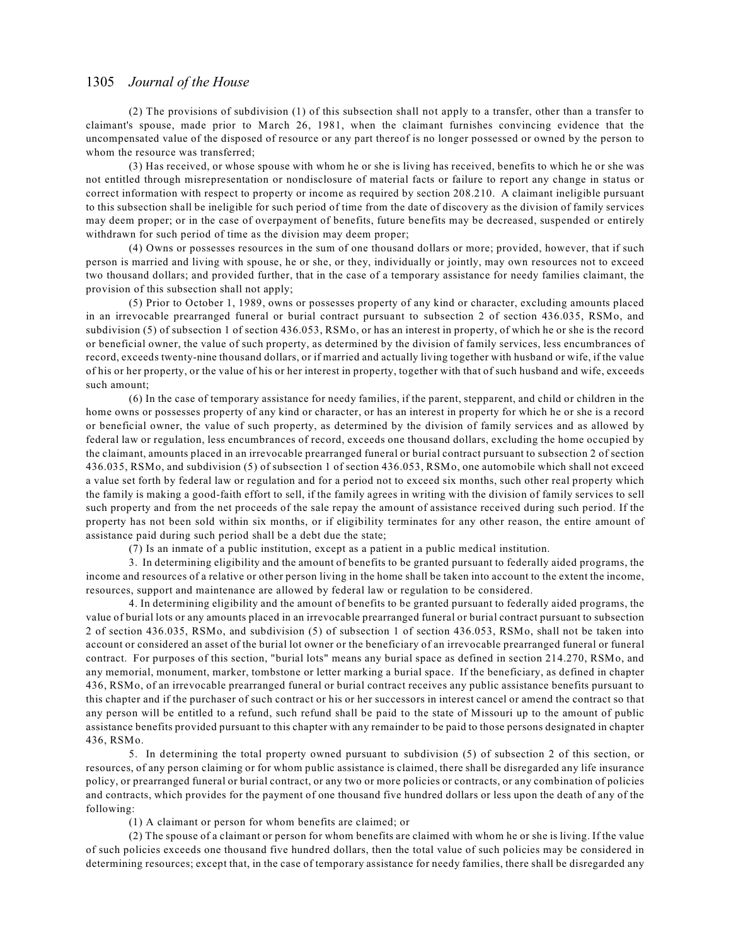(2) The provisions of subdivision (1) of this subsection shall not apply to a transfer, other than a transfer to claimant's spouse, made prior to March 26, 1981, when the claimant furnishes convincing evidence that the uncompensated value of the disposed of resource or any part thereof is no longer possessed or owned by the person to whom the resource was transferred;

(3) Has received, or whose spouse with whom he or she is living has received, benefits to which he or she was not entitled through misrepresentation or nondisclosure of material facts or failure to report any change in status or correct information with respect to property or income as required by section 208.210. A claimant ineligible pursuant to this subsection shall be ineligible for such period of time from the date of discovery as the division of family services may deem proper; or in the case of overpayment of benefits, future benefits may be decreased, suspended or entirely withdrawn for such period of time as the division may deem proper;

(4) Owns or possesses resources in the sum of one thousand dollars or more; provided, however, that if such person is married and living with spouse, he or she, or they, individually or jointly, may own resources not to exceed two thousand dollars; and provided further, that in the case of a temporary assistance for needy families claimant, the provision of this subsection shall not apply;

(5) Prior to October 1, 1989, owns or possesses property of any kind or character, excluding amounts placed in an irrevocable prearranged funeral or burial contract pursuant to subsection 2 of section 436.035, RSMo, and subdivision (5) of subsection 1 of section 436.053, RSMo, or has an interest in property, of which he or she is the record or beneficial owner, the value of such property, as determined by the division of family services, less encumbrances of record, exceeds twenty-nine thousand dollars, or if married and actually living together with husband or wife, if the value of his or her property, or the value of his or her interest in property, together with that of such husband and wife, exceeds such amount;

(6) In the case of temporary assistance for needy families, if the parent, stepparent, and child or children in the home owns or possesses property of any kind or character, or has an interest in property for which he or she is a record or beneficial owner, the value of such property, as determined by the division of family services and as allowed by federal law or regulation, less encumbrances of record, exceeds one thousand dollars, excluding the home occupied by the claimant, amounts placed in an irrevocable prearranged funeral or burial contract pursuant to subsection 2 of section 436.035, RSMo, and subdivision (5) of subsection 1 of section 436.053, RSMo, one automobile which shall not exceed a value set forth by federal law or regulation and for a period not to exceed six months, such other real property which the family is making a good-faith effort to sell, if the family agrees in writing with the division of family services to sell such property and from the net proceeds of the sale repay the amount of assistance received during such period. If the property has not been sold within six months, or if eligibility terminates for any other reason, the entire amount of assistance paid during such period shall be a debt due the state;

(7) Is an inmate of a public institution, except as a patient in a public medical institution.

3. In determining eligibility and the amount of benefits to be granted pursuant to federally aided programs, the income and resources of a relative or other person living in the home shall be taken into account to the extent the income, resources, support and maintenance are allowed by federal law or regulation to be considered.

4. In determining eligibility and the amount of benefits to be granted pursuant to federally aided programs, the value of burial lots or any amounts placed in an irrevocable prearranged funeral or burial contract pursuant to subsection 2 of section 436.035, RSMo, and subdivision (5) of subsection 1 of section 436.053, RSMo, shall not be taken into account or considered an asset of the burial lot owner or the beneficiary of an irrevocable prearranged funeral or funeral contract. For purposes of this section, "burial lots" means any burial space as defined in section 214.270, RSMo, and any memorial, monument, marker, tombstone or letter marking a burial space. If the beneficiary, as defined in chapter 436, RSMo, of an irrevocable prearranged funeral or burial contract receives any public assistance benefits pursuant to this chapter and if the purchaser of such contract or his or her successors in interest cancel or amend the contract so that any person will be entitled to a refund, such refund shall be paid to the state of Missouri up to the amount of public assistance benefits provided pursuant to this chapter with any remainder to be paid to those persons designated in chapter 436, RSMo.

5. In determining the total property owned pursuant to subdivision (5) of subsection 2 of this section, or resources, of any person claiming or for whom public assistance is claimed, there shall be disregarded any life insurance policy, or prearranged funeral or burial contract, or any two or more policies or contracts, or any combination of policies and contracts, which provides for the payment of one thousand five hundred dollars or less upon the death of any of the following:

(1) A claimant or person for whom benefits are claimed; or

(2) The spouse of a claimant or person for whom benefits are claimed with whom he or she is living. If the value of such policies exceeds one thousand five hundred dollars, then the total value of such policies may be considered in determining resources; except that, in the case of temporary assistance for needy families, there shall be disregarded any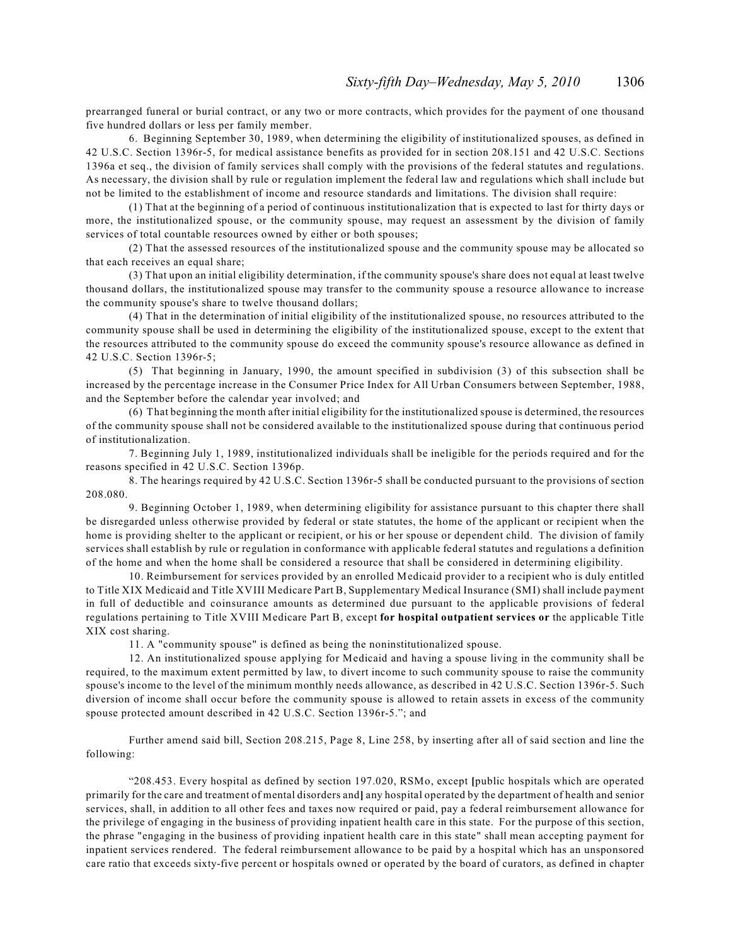prearranged funeral or burial contract, or any two or more contracts, which provides for the payment of one thousand five hundred dollars or less per family member.

6. Beginning September 30, 1989, when determining the eligibility of institutionalized spouses, as defined in 42 U.S.C. Section 1396r-5, for medical assistance benefits as provided for in section 208.151 and 42 U.S.C. Sections 1396a et seq., the division of family services shall comply with the provisions of the federal statutes and regulations. As necessary, the division shall by rule or regulation implement the federal law and regulations which shall include but not be limited to the establishment of income and resource standards and limitations. The division shall require:

(1) That at the beginning of a period of continuous institutionalization that is expected to last for thirty days or more, the institutionalized spouse, or the community spouse, may request an assessment by the division of family services of total countable resources owned by either or both spouses;

(2) That the assessed resources of the institutionalized spouse and the community spouse may be allocated so that each receives an equal share;

(3) That upon an initial eligibility determination, if the community spouse's share does not equal at least twelve thousand dollars, the institutionalized spouse may transfer to the community spouse a resource allowance to increase the community spouse's share to twelve thousand dollars;

(4) That in the determination of initial eligibility of the institutionalized spouse, no resources attributed to the community spouse shall be used in determining the eligibility of the institutionalized spouse, except to the extent that the resources attributed to the community spouse do exceed the community spouse's resource allowance as defined in 42 U.S.C. Section 1396r-5;

(5) That beginning in January, 1990, the amount specified in subdivision (3) of this subsection shall be increased by the percentage increase in the Consumer Price Index for All Urban Consumers between September, 1988, and the September before the calendar year involved; and

(6) That beginning the month after initial eligibility for the institutionalized spouse is determined, the resources of the community spouse shall not be considered available to the institutionalized spouse during that continuous period of institutionalization.

7. Beginning July 1, 1989, institutionalized individuals shall be ineligible for the periods required and for the reasons specified in 42 U.S.C. Section 1396p.

8. The hearings required by 42 U.S.C. Section 1396r-5 shall be conducted pursuant to the provisions of section 208.080.

9. Beginning October 1, 1989, when determining eligibility for assistance pursuant to this chapter there shall be disregarded unless otherwise provided by federal or state statutes, the home of the applicant or recipient when the home is providing shelter to the applicant or recipient, or his or her spouse or dependent child. The division of family services shall establish by rule or regulation in conformance with applicable federal statutes and regulations a definition of the home and when the home shall be considered a resource that shall be considered in determining eligibility.

10. Reimbursement for services provided by an enrolled Medicaid provider to a recipient who is duly entitled to Title XIX Medicaid and Title XVIII Medicare Part B, Supplementary Medical Insurance (SMI) shall include payment in full of deductible and coinsurance amounts as determined due pursuant to the applicable provisions of federal regulations pertaining to Title XVIII Medicare Part B, except **for hospital outpatient services or** the applicable Title XIX cost sharing.

11. A "community spouse" is defined as being the noninstitutionalized spouse.

12. An institutionalized spouse applying for Medicaid and having a spouse living in the community shall be required, to the maximum extent permitted by law, to divert income to such community spouse to raise the community spouse's income to the level of the minimum monthly needs allowance, as described in 42 U.S.C. Section 1396r-5. Such diversion of income shall occur before the community spouse is allowed to retain assets in excess of the community spouse protected amount described in 42 U.S.C. Section 1396r-5."; and

Further amend said bill, Section 208.215, Page 8, Line 258, by inserting after all of said section and line the following:

"208.453. Every hospital as defined by section 197.020, RSMo, except **[**public hospitals which are operated primarily for the care and treatment of mental disorders and**]** any hospital operated by the department of health and senior services, shall, in addition to all other fees and taxes now required or paid, pay a federal reimbursement allowance for the privilege of engaging in the business of providing inpatient health care in this state. For the purpose of this section, the phrase "engaging in the business of providing inpatient health care in this state" shall mean accepting payment for inpatient services rendered. The federal reimbursement allowance to be paid by a hospital which has an unsponsored care ratio that exceeds sixty-five percent or hospitals owned or operated by the board of curators, as defined in chapter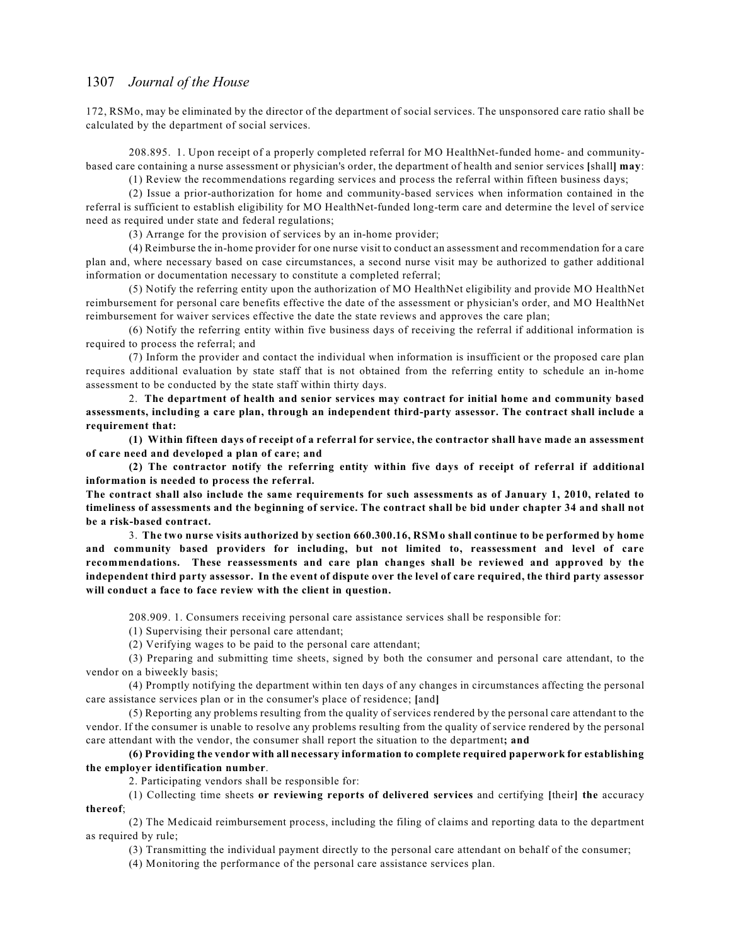172, RSMo, may be eliminated by the director of the department of social services. The unsponsored care ratio shall be calculated by the department of social services.

208.895. 1. Upon receipt of a properly completed referral for MO HealthNet-funded home- and communitybased care containing a nurse assessment or physician's order, the department of health and senior services **[**shall**] may**:

(1) Review the recommendations regarding services and process the referral within fifteen business days;

(2) Issue a prior-authorization for home and community-based services when information contained in the referral is sufficient to establish eligibility for MO HealthNet-funded long-term care and determine the level of service need as required under state and federal regulations;

(3) Arrange for the provision of services by an in-home provider;

(4) Reimburse the in-home provider for one nurse visit to conduct an assessment and recommendation for a care plan and, where necessary based on case circumstances, a second nurse visit may be authorized to gather additional information or documentation necessary to constitute a completed referral;

(5) Notify the referring entity upon the authorization of MO HealthNet eligibility and provide MO HealthNet reimbursement for personal care benefits effective the date of the assessment or physician's order, and MO HealthNet reimbursement for waiver services effective the date the state reviews and approves the care plan;

(6) Notify the referring entity within five business days of receiving the referral if additional information is required to process the referral; and

(7) Inform the provider and contact the individual when information is insufficient or the proposed care plan requires additional evaluation by state staff that is not obtained from the referring entity to schedule an in-home assessment to be conducted by the state staff within thirty days.

2. **The department of health and senior services may contract for initial home and community based assessments, including a care plan, through an independent third-party assessor. The contract shall include a requirement that:**

**(1) Within fifteen days of receipt of a referral for service, the contractor shall have made an assessment of care need and developed a plan of care; and**

**(2) The contractor notify the referring entity within five days of receipt of referral if additional information is needed to process the referral.**

**The contract shall also include the same requirements for such assessments as of January 1, 2010, related to timeliness of assessments and the beginning of service. The contract shall be bid under chapter 34 and shall not be a risk-based contract.**

3. **The two nurse visits authorized by section 660.300.16, RSMo shall continue to be performed by home and community based providers for including, but not limited to, reassessment and level of care recommendations. These reassessments and care plan changes shall be reviewed and approved by the independent third party assessor. In the event of dispute over the level of care required, the third party assessor will conduct a face to face review with the client in question.**

208.909. 1. Consumers receiving personal care assistance services shall be responsible for:

(1) Supervising their personal care attendant;

(2) Verifying wages to be paid to the personal care attendant;

(3) Preparing and submitting time sheets, signed by both the consumer and personal care attendant, to the vendor on a biweekly basis;

(4) Promptly notifying the department within ten days of any changes in circumstances affecting the personal care assistance services plan or in the consumer's place of residence; **[**and**]** 

(5) Reporting any problems resulting from the quality of services rendered by the personal care attendant to the vendor. If the consumer is unable to resolve any problems resulting from the quality of service rendered by the personal care attendant with the vendor, the consumer shall report the situation to the department**; and**

### **(6) Providing the vendor with all necessary information to complete required paperwork for establishing the employer identification number**.

2. Participating vendors shall be responsible for:

(1) Collecting time sheets **or reviewing reports of delivered services** and certifying **[**their**] the** accuracy **thereof**;

(2) The Medicaid reimbursement process, including the filing of claims and reporting data to the department as required by rule;

(3) Transmitting the individual payment directly to the personal care attendant on behalf of the consumer;

(4) Monitoring the performance of the personal care assistance services plan.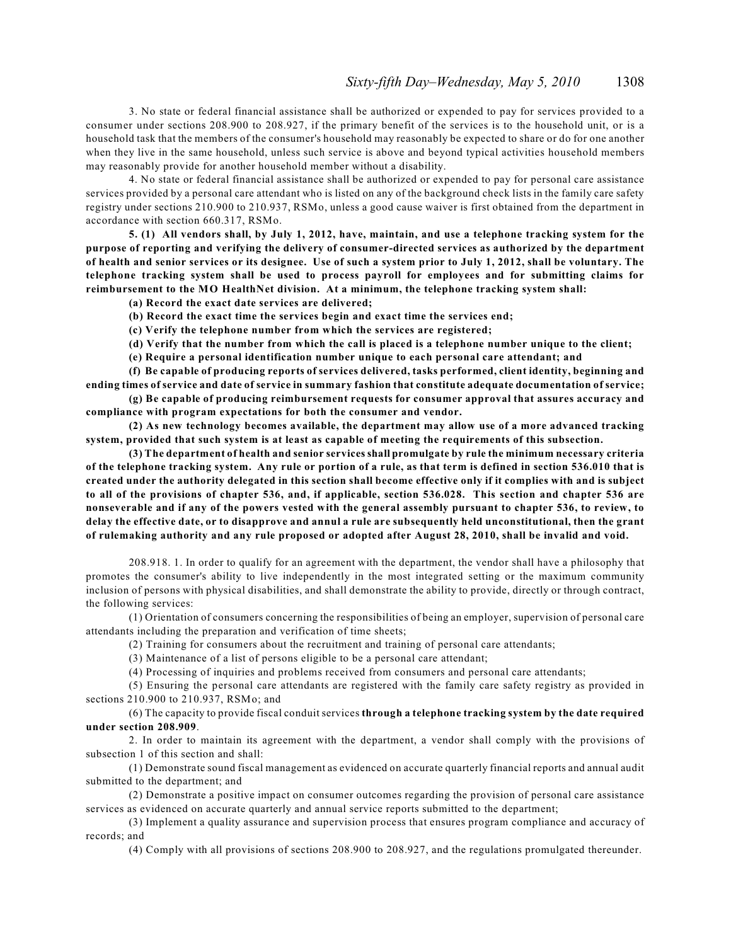3. No state or federal financial assistance shall be authorized or expended to pay for services provided to a consumer under sections 208.900 to 208.927, if the primary benefit of the services is to the household unit, or is a household task that the members of the consumer's household may reasonably be expected to share or do for one another when they live in the same household, unless such service is above and beyond typical activities household members may reasonably provide for another household member without a disability.

4. No state or federal financial assistance shall be authorized or expended to pay for personal care assistance services provided by a personal care attendant who is listed on any of the background check lists in the family care safety registry under sections 210.900 to 210.937, RSMo, unless a good cause waiver is first obtained from the department in accordance with section 660.317, RSMo.

**5. (1) All vendors shall, by July 1, 2012, have, maintain, and use a telephone tracking system for the purpose of reporting and verifying the delivery of consumer-directed services as authorized by the department of health and senior services or its designee. Use of such a system prior to July 1, 2012, shall be voluntary. The telephone tracking system shall be used to process payroll for employees and for submitting claims for reimbursement to the MO HealthNet division. At a minimum, the telephone tracking system shall:**

**(a) Record the exact date services are delivered;**

**(b) Record the exact time the services begin and exact time the services end;**

**(c) Verify the telephone number from which the services are registered;**

**(d) Verify that the number from which the call is placed is a telephone number unique to the client;**

**(e) Require a personal identification number unique to each personal care attendant; and**

**(f) Be capable of producing reports of services delivered, tasks performed, client identity, beginning and ending times of service and date of service in summary fashion that constitute adequate documentation of service;**

**(g) Be capable of producing reimbursement requests for consumer approval that assures accuracy and compliance with program expectations for both the consumer and vendor.**

**(2) As new technology becomes available, the department may allow use of a more advanced tracking system, provided that such system is at least as capable of meeting the requirements of this subsection.**

**(3) The department of health and senior services shall promulgate by rule the minimum necessary criteria of the telephone tracking system. Any rule or portion of a rule, as that term is defined in section 536.010 that is created under the authority delegated in this section shall become effective only if it complies with and is subject to all of the provisions of chapter 536, and, if applicable, section 536.028. This section and chapter 536 are nonseverable and if any of the powers vested with the general assembly pursuant to chapter 536, to review, to delay the effective date, or to disapprove and annul a rule are subsequently held unconstitutional, then the grant of rulemaking authority and any rule proposed or adopted after August 28, 2010, shall be invalid and void.**

208.918. 1. In order to qualify for an agreement with the department, the vendor shall have a philosophy that promotes the consumer's ability to live independently in the most integrated setting or the maximum community inclusion of persons with physical disabilities, and shall demonstrate the ability to provide, directly or through contract, the following services:

(1) Orientation of consumers concerning the responsibilities of being an employer, supervision of personal care attendants including the preparation and verification of time sheets;

(2) Training for consumers about the recruitment and training of personal care attendants;

(3) Maintenance of a list of persons eligible to be a personal care attendant;

(4) Processing of inquiries and problems received from consumers and personal care attendants;

(5) Ensuring the personal care attendants are registered with the family care safety registry as provided in sections 210.900 to 210.937, RSMo; and

(6) The capacity to provide fiscal conduit services **through a telephone tracking system by the date required under section 208.909**.

2. In order to maintain its agreement with the department, a vendor shall comply with the provisions of subsection 1 of this section and shall:

(1) Demonstrate sound fiscal management as evidenced on accurate quarterly financial reports and annual audit submitted to the department; and

(2) Demonstrate a positive impact on consumer outcomes regarding the provision of personal care assistance services as evidenced on accurate quarterly and annual service reports submitted to the department;

(3) Implement a quality assurance and supervision process that ensures program compliance and accuracy of records; and

(4) Comply with all provisions of sections 208.900 to 208.927, and the regulations promulgated thereunder.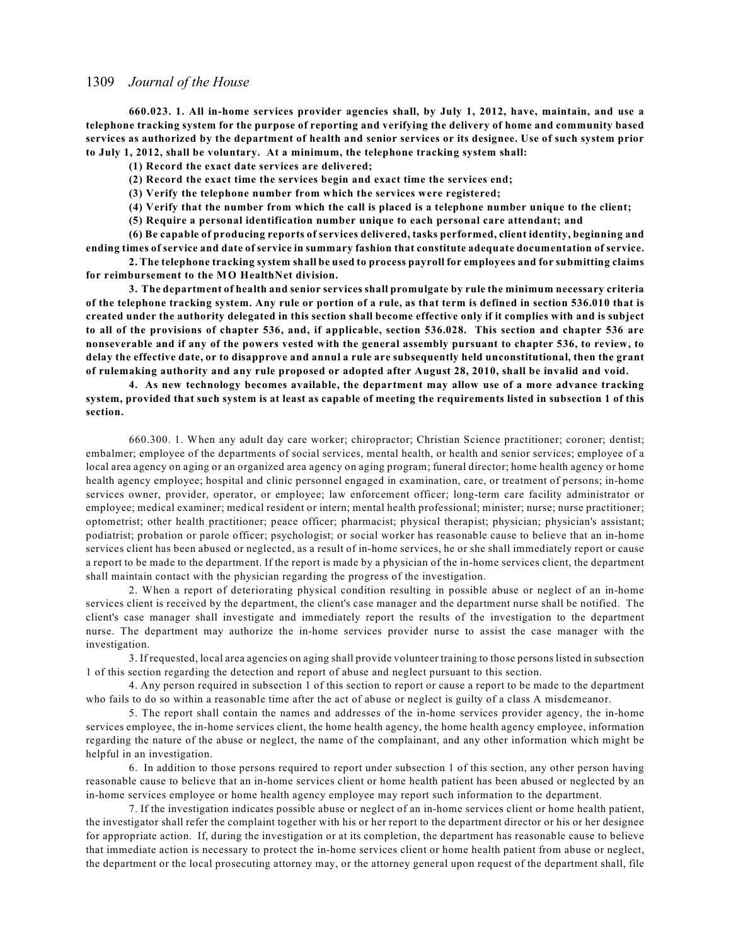**660.023. 1. All in-home services provider agencies shall, by July 1, 2012, have, maintain, and use a telephone tracking system for the purpose of reporting and verifying the delivery of home and community based services as authorized by the department of health and senior services or its designee. Use of such system prior to July 1, 2012, shall be voluntary. At a minimum, the telephone tracking system shall:**

**(1) Record the exact date services are delivered;**

**(2) Record the exact time the services begin and exact time the services end;**

**(3) Verify the telephone number from which the services were registered;**

**(4) Verify that the number from which the call is placed is a telephone number unique to the client;**

**(5) Require a personal identification number unique to each personal care attendant; and**

**(6) Be capable of producing reports of services delivered, tasks performed, client identity, beginning and ending times of service and date of service in summary fashion that constitute adequate documentation of service.**

**2. The telephone tracking system shall be used to process payroll for employees and for submitting claims for reimbursement to the MO HealthNet division.**

**3. The department of health and senior services shall promulgate by rule the minimum necessary criteria of the telephone tracking system. Any rule or portion of a rule, as that term is defined in section 536.010 that is created under the authority delegated in this section shall become effective only if it complies with and is subject to all of the provisions of chapter 536, and, if applicable, section 536.028. This section and chapter 536 are nonseverable and if any of the powers vested with the general assembly pursuant to chapter 536, to review, to delay the effective date, or to disapprove and annul a rule are subsequently held unconstitutional, then the grant of rulemaking authority and any rule proposed or adopted after August 28, 2010, shall be invalid and void.**

**4. As new technology becomes available, the department may allow use of a more advance tracking system, provided that such system is at least as capable of meeting the requirements listed in subsection 1 of this section.**

660.300. 1. When any adult day care worker; chiropractor; Christian Science practitioner; coroner; dentist; embalmer; employee of the departments of social services, mental health, or health and senior services; employee of a local area agency on aging or an organized area agency on aging program; funeral director; home health agency or home health agency employee; hospital and clinic personnel engaged in examination, care, or treatment of persons; in-home services owner, provider, operator, or employee; law enforcement officer; long-term care facility administrator or employee; medical examiner; medical resident or intern; mental health professional; minister; nurse; nurse practitioner; optometrist; other health practitioner; peace officer; pharmacist; physical therapist; physician; physician's assistant; podiatrist; probation or parole officer; psychologist; or social worker has reasonable cause to believe that an in-home services client has been abused or neglected, as a result of in-home services, he or she shall immediately report or cause a report to be made to the department. If the report is made by a physician of the in-home services client, the department shall maintain contact with the physician regarding the progress of the investigation.

2. When a report of deteriorating physical condition resulting in possible abuse or neglect of an in-home services client is received by the department, the client's case manager and the department nurse shall be notified. The client's case manager shall investigate and immediately report the results of the investigation to the department nurse. The department may authorize the in-home services provider nurse to assist the case manager with the investigation.

3. If requested, local area agencies on aging shall provide volunteer training to those persons listed in subsection 1 of this section regarding the detection and report of abuse and neglect pursuant to this section.

4. Any person required in subsection 1 of this section to report or cause a report to be made to the department who fails to do so within a reasonable time after the act of abuse or neglect is guilty of a class A misdemeanor.

5. The report shall contain the names and addresses of the in-home services provider agency, the in-home services employee, the in-home services client, the home health agency, the home health agency employee, information regarding the nature of the abuse or neglect, the name of the complainant, and any other information which might be helpful in an investigation.

6. In addition to those persons required to report under subsection 1 of this section, any other person having reasonable cause to believe that an in-home services client or home health patient has been abused or neglected by an in-home services employee or home health agency employee may report such information to the department.

7. If the investigation indicates possible abuse or neglect of an in-home services client or home health patient, the investigator shall refer the complaint together with his or her report to the department director or his or her designee for appropriate action. If, during the investigation or at its completion, the department has reasonable cause to believe that immediate action is necessary to protect the in-home services client or home health patient from abuse or neglect, the department or the local prosecuting attorney may, or the attorney general upon request of the department shall, file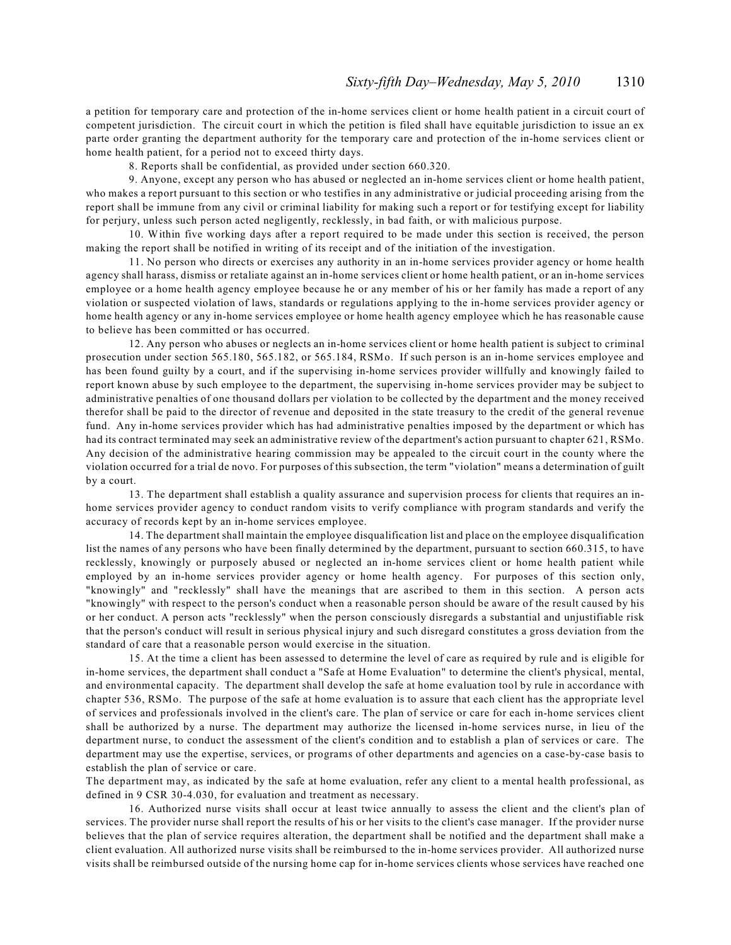a petition for temporary care and protection of the in-home services client or home health patient in a circuit court of competent jurisdiction. The circuit court in which the petition is filed shall have equitable jurisdiction to issue an ex parte order granting the department authority for the temporary care and protection of the in-home services client or home health patient, for a period not to exceed thirty days.

8. Reports shall be confidential, as provided under section 660.320.

9. Anyone, except any person who has abused or neglected an in-home services client or home health patient, who makes a report pursuant to this section or who testifies in any administrative or judicial proceeding arising from the report shall be immune from any civil or criminal liability for making such a report or for testifying except for liability for perjury, unless such person acted negligently, recklessly, in bad faith, or with malicious purpose.

10. Within five working days after a report required to be made under this section is received, the person making the report shall be notified in writing of its receipt and of the initiation of the investigation.

11. No person who directs or exercises any authority in an in-home services provider agency or home health agency shall harass, dismiss or retaliate against an in-home services client or home health patient, or an in-home services employee or a home health agency employee because he or any member of his or her family has made a report of any violation or suspected violation of laws, standards or regulations applying to the in-home services provider agency or home health agency or any in-home services employee or home health agency employee which he has reasonable cause to believe has been committed or has occurred.

12. Any person who abuses or neglects an in-home services client or home health patient is subject to criminal prosecution under section 565.180, 565.182, or 565.184, RSMo. If such person is an in-home services employee and has been found guilty by a court, and if the supervising in-home services provider willfully and knowingly failed to report known abuse by such employee to the department, the supervising in-home services provider may be subject to administrative penalties of one thousand dollars per violation to be collected by the department and the money received therefor shall be paid to the director of revenue and deposited in the state treasury to the credit of the general revenue fund. Any in-home services provider which has had administrative penalties imposed by the department or which has had its contract terminated may seek an administrative review of the department's action pursuant to chapter 621, RSMo. Any decision of the administrative hearing commission may be appealed to the circuit court in the county where the violation occurred for a trial de novo. For purposes of this subsection, the term "violation" means a determination of guilt by a court.

13. The department shall establish a quality assurance and supervision process for clients that requires an inhome services provider agency to conduct random visits to verify compliance with program standards and verify the accuracy of records kept by an in-home services employee.

14. The department shall maintain the employee disqualification list and place on the employee disqualification list the names of any persons who have been finally determined by the department, pursuant to section 660.315, to have recklessly, knowingly or purposely abused or neglected an in-home services client or home health patient while employed by an in-home services provider agency or home health agency. For purposes of this section only, "knowingly" and "recklessly" shall have the meanings that are ascribed to them in this section. A person acts "knowingly" with respect to the person's conduct when a reasonable person should be aware of the result caused by his or her conduct. A person acts "recklessly" when the person consciously disregards a substantial and unjustifiable risk that the person's conduct will result in serious physical injury and such disregard constitutes a gross deviation from the standard of care that a reasonable person would exercise in the situation.

15. At the time a client has been assessed to determine the level of care as required by rule and is eligible for in-home services, the department shall conduct a "Safe at Home Evaluation" to determine the client's physical, mental, and environmental capacity. The department shall develop the safe at home evaluation tool by rule in accordance with chapter 536, RSMo. The purpose of the safe at home evaluation is to assure that each client has the appropriate level of services and professionals involved in the client's care. The plan of service or care for each in-home services client shall be authorized by a nurse. The department may authorize the licensed in-home services nurse, in lieu of the department nurse, to conduct the assessment of the client's condition and to establish a plan of services or care. The department may use the expertise, services, or programs of other departments and agencies on a case-by-case basis to establish the plan of service or care.

The department may, as indicated by the safe at home evaluation, refer any client to a mental health professional, as defined in 9 CSR 30-4.030, for evaluation and treatment as necessary.

16. Authorized nurse visits shall occur at least twice annually to assess the client and the client's plan of services. The provider nurse shall report the results of his or her visits to the client's case manager. If the provider nurse believes that the plan of service requires alteration, the department shall be notified and the department shall make a client evaluation. All authorized nurse visits shall be reimbursed to the in-home services provider. All authorized nurse visits shall be reimbursed outside of the nursing home cap for in-home services clients whose services have reached one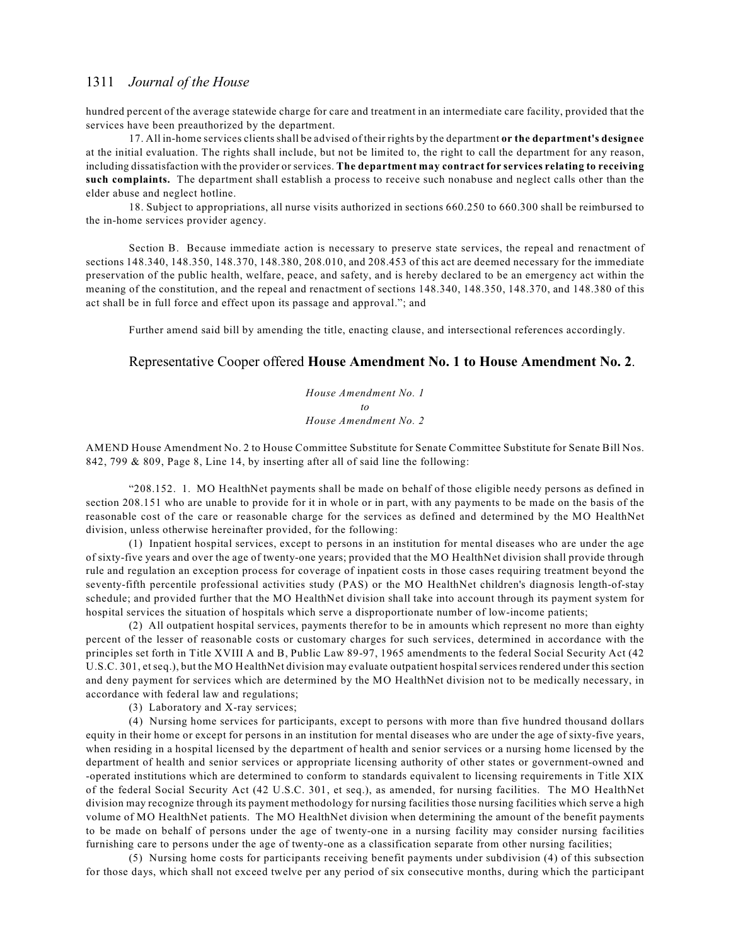hundred percent of the average statewide charge for care and treatment in an intermediate care facility, provided that the services have been preauthorized by the department.

17. All in-home services clients shall be advised of their rights by the department **or the department's designee** at the initial evaluation. The rights shall include, but not be limited to, the right to call the department for any reason, including dissatisfaction with the provider or services. **The department may contract for services relating to receiving such complaints.** The department shall establish a process to receive such nonabuse and neglect calls other than the elder abuse and neglect hotline.

18. Subject to appropriations, all nurse visits authorized in sections 660.250 to 660.300 shall be reimbursed to the in-home services provider agency.

Section B. Because immediate action is necessary to preserve state services, the repeal and renactment of sections 148.340, 148.350, 148.370, 148.380, 208.010, and 208.453 of this act are deemed necessary for the immediate preservation of the public health, welfare, peace, and safety, and is hereby declared to be an emergency act within the meaning of the constitution, and the repeal and renactment of sections 148.340, 148.350, 148.370, and 148.380 of this act shall be in full force and effect upon its passage and approval."; and

Further amend said bill by amending the title, enacting clause, and intersectional references accordingly.

## Representative Cooper offered **House Amendment No. 1 to House Amendment No. 2**.

*House Amendment No. 1 to House Amendment No. 2*

AMEND House Amendment No. 2 to House Committee Substitute for Senate Committee Substitute for Senate Bill Nos. 842, 799 & 809, Page 8, Line 14, by inserting after all of said line the following:

"208.152. 1. MO HealthNet payments shall be made on behalf of those eligible needy persons as defined in section 208.151 who are unable to provide for it in whole or in part, with any payments to be made on the basis of the reasonable cost of the care or reasonable charge for the services as defined and determined by the MO HealthNet division, unless otherwise hereinafter provided, for the following:

(1) Inpatient hospital services, except to persons in an institution for mental diseases who are under the age of sixty-five years and over the age of twenty-one years; provided that the MO HealthNet division shall provide through rule and regulation an exception process for coverage of inpatient costs in those cases requiring treatment beyond the seventy-fifth percentile professional activities study (PAS) or the MO HealthNet children's diagnosis length-of-stay schedule; and provided further that the MO HealthNet division shall take into account through its payment system for hospital services the situation of hospitals which serve a disproportionate number of low-income patients;

(2) All outpatient hospital services, payments therefor to be in amounts which represent no more than eighty percent of the lesser of reasonable costs or customary charges for such services, determined in accordance with the principles set forth in Title XVIII A and B, Public Law 89-97, 1965 amendments to the federal Social Security Act (42 U.S.C. 301, et seq.), but the MO HealthNet division may evaluate outpatient hospital services rendered under this section and deny payment for services which are determined by the MO HealthNet division not to be medically necessary, in accordance with federal law and regulations;

(3) Laboratory and X-ray services;

(4) Nursing home services for participants, except to persons with more than five hundred thousand dollars equity in their home or except for persons in an institution for mental diseases who are under the age of sixty-five years, when residing in a hospital licensed by the department of health and senior services or a nursing home licensed by the department of health and senior services or appropriate licensing authority of other states or government-owned and -operated institutions which are determined to conform to standards equivalent to licensing requirements in Title XIX of the federal Social Security Act (42 U.S.C. 301, et seq.), as amended, for nursing facilities. The MO HealthNet division may recognize through its payment methodology for nursing facilities those nursing facilities which serve a high volume of MO HealthNet patients. The MO HealthNet division when determining the amount of the benefit payments to be made on behalf of persons under the age of twenty-one in a nursing facility may consider nursing facilities furnishing care to persons under the age of twenty-one as a classification separate from other nursing facilities;

(5) Nursing home costs for participants receiving benefit payments under subdivision (4) of this subsection for those days, which shall not exceed twelve per any period of six consecutive months, during which the participant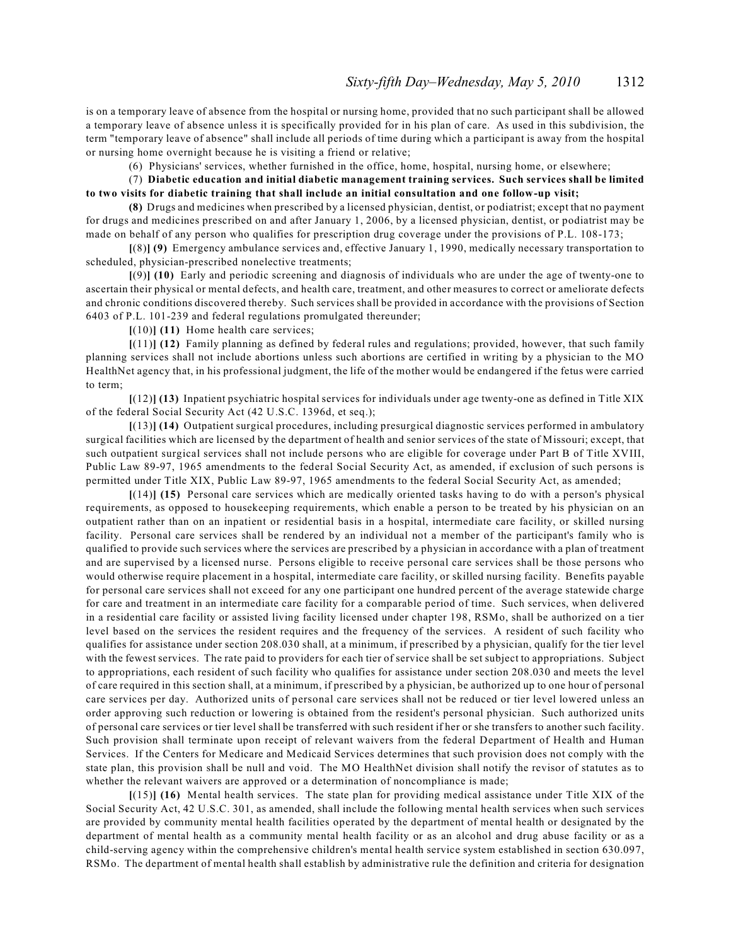is on a temporary leave of absence from the hospital or nursing home, provided that no such participant shall be allowed a temporary leave of absence unless it is specifically provided for in his plan of care. As used in this subdivision, the term "temporary leave of absence" shall include all periods of time during which a participant is away from the hospital or nursing home overnight because he is visiting a friend or relative;

(6) Physicians' services, whether furnished in the office, home, hospital, nursing home, or elsewhere;

(7) **Diabetic education and initial diabetic management training services. Such services shall be limited to two visits for diabetic training that shall include an initial consultation and one follow-up visit;**

**(8)** Drugs and medicines when prescribed by a licensed physician, dentist, or podiatrist; except that no payment for drugs and medicines prescribed on and after January 1, 2006, by a licensed physician, dentist, or podiatrist may be made on behalf of any person who qualifies for prescription drug coverage under the provisions of P.L. 108-173;

**[**(8)**] (9)** Emergency ambulance services and, effective January 1, 1990, medically necessary transportation to scheduled, physician-prescribed nonelective treatments;

**[**(9)**] (10)** Early and periodic screening and diagnosis of individuals who are under the age of twenty-one to ascertain their physical or mental defects, and health care, treatment, and other measures to correct or ameliorate defects and chronic conditions discovered thereby. Such services shall be provided in accordance with the provisions of Section 6403 of P.L. 101-239 and federal regulations promulgated thereunder;

**[**(10)**] (11)** Home health care services;

**[**(11)**] (12)** Family planning as defined by federal rules and regulations; provided, however, that such family planning services shall not include abortions unless such abortions are certified in writing by a physician to the MO HealthNet agency that, in his professional judgment, the life of the mother would be endangered if the fetus were carried to term;

**[**(12)**] (13)** Inpatient psychiatric hospital services for individuals under age twenty-one as defined in Title XIX of the federal Social Security Act (42 U.S.C. 1396d, et seq.);

**[**(13)**] (14)** Outpatient surgical procedures, including presurgical diagnostic services performed in ambulatory surgical facilities which are licensed by the department of health and senior services of the state of Missouri; except, that such outpatient surgical services shall not include persons who are eligible for coverage under Part B of Title XVIII, Public Law 89-97, 1965 amendments to the federal Social Security Act, as amended, if exclusion of such persons is permitted under Title XIX, Public Law 89-97, 1965 amendments to the federal Social Security Act, as amended;

**[**(14)**] (15)** Personal care services which are medically oriented tasks having to do with a person's physical requirements, as opposed to housekeeping requirements, which enable a person to be treated by his physician on an outpatient rather than on an inpatient or residential basis in a hospital, intermediate care facility, or skilled nursing facility. Personal care services shall be rendered by an individual not a member of the participant's family who is qualified to provide such services where the services are prescribed by a physician in accordance with a plan of treatment and are supervised by a licensed nurse. Persons eligible to receive personal care services shall be those persons who would otherwise require placement in a hospital, intermediate care facility, or skilled nursing facility. Benefits payable for personal care services shall not exceed for any one participant one hundred percent of the average statewide charge for care and treatment in an intermediate care facility for a comparable period of time. Such services, when delivered in a residential care facility or assisted living facility licensed under chapter 198, RSMo, shall be authorized on a tier level based on the services the resident requires and the frequency of the services. A resident of such facility who qualifies for assistance under section 208.030 shall, at a minimum, if prescribed by a physician, qualify for the tier level with the fewest services. The rate paid to providers for each tier of service shall be set subject to appropriations. Subject to appropriations, each resident of such facility who qualifies for assistance under section 208.030 and meets the level of care required in this section shall, at a minimum, if prescribed by a physician, be authorized up to one hour of personal care services per day. Authorized units of personal care services shall not be reduced or tier level lowered unless an order approving such reduction or lowering is obtained from the resident's personal physician. Such authorized units of personal care services or tier level shall be transferred with such resident if her or she transfers to another such facility. Such provision shall terminate upon receipt of relevant waivers from the federal Department of Health and Human Services. If the Centers for Medicare and Medicaid Services determines that such provision does not comply with the state plan, this provision shall be null and void. The MO HealthNet division shall notify the revisor of statutes as to whether the relevant waivers are approved or a determination of noncompliance is made;

**[**(15)**] (16)** Mental health services. The state plan for providing medical assistance under Title XIX of the Social Security Act, 42 U.S.C. 301, as amended, shall include the following mental health services when such services are provided by community mental health facilities operated by the department of mental health or designated by the department of mental health as a community mental health facility or as an alcohol and drug abuse facility or as a child-serving agency within the comprehensive children's mental health service system established in section 630.097, RSMo. The department of mental health shall establish by administrative rule the definition and criteria for designation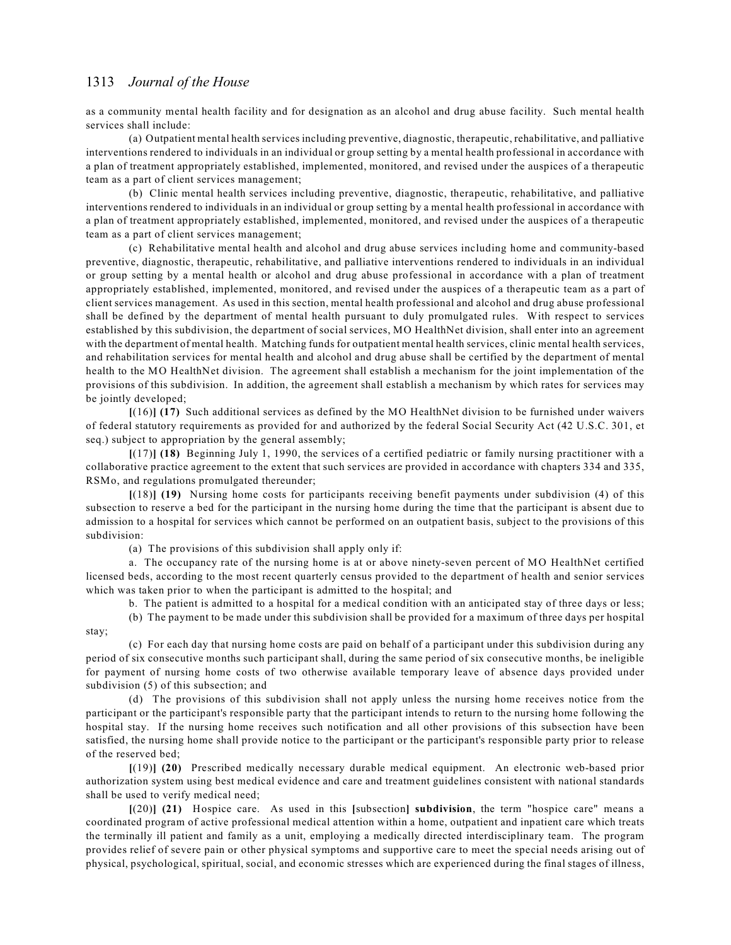stay;

as a community mental health facility and for designation as an alcohol and drug abuse facility. Such mental health services shall include:

(a) Outpatient mental health services including preventive, diagnostic, therapeutic, rehabilitative, and palliative interventions rendered to individuals in an individual or group setting by a mental health professional in accordance with a plan of treatment appropriately established, implemented, monitored, and revised under the auspices of a therapeutic team as a part of client services management;

(b) Clinic mental health services including preventive, diagnostic, therapeutic, rehabilitative, and palliative interventions rendered to individuals in an individual or group setting by a mental health professional in accordance with a plan of treatment appropriately established, implemented, monitored, and revised under the auspices of a therapeutic team as a part of client services management;

(c) Rehabilitative mental health and alcohol and drug abuse services including home and community-based preventive, diagnostic, therapeutic, rehabilitative, and palliative interventions rendered to individuals in an individual or group setting by a mental health or alcohol and drug abuse professional in accordance with a plan of treatment appropriately established, implemented, monitored, and revised under the auspices of a therapeutic team as a part of client services management. As used in this section, mental health professional and alcohol and drug abuse professional shall be defined by the department of mental health pursuant to duly promulgated rules. With respect to services established by this subdivision, the department of social services, MO HealthNet division, shall enter into an agreement with the department of mental health. Matching funds for outpatient mental health services, clinic mental health services, and rehabilitation services for mental health and alcohol and drug abuse shall be certified by the department of mental health to the MO HealthNet division. The agreement shall establish a mechanism for the joint implementation of the provisions of this subdivision. In addition, the agreement shall establish a mechanism by which rates for services may be jointly developed;

**[**(16)**] (17)** Such additional services as defined by the MO HealthNet division to be furnished under waivers of federal statutory requirements as provided for and authorized by the federal Social Security Act (42 U.S.C. 301, et seq.) subject to appropriation by the general assembly;

**[**(17)**] (18)** Beginning July 1, 1990, the services of a certified pediatric or family nursing practitioner with a collaborative practice agreement to the extent that such services are provided in accordance with chapters 334 and 335, RSMo, and regulations promulgated thereunder;

**[**(18)**] (19)** Nursing home costs for participants receiving benefit payments under subdivision (4) of this subsection to reserve a bed for the participant in the nursing home during the time that the participant is absent due to admission to a hospital for services which cannot be performed on an outpatient basis, subject to the provisions of this subdivision:

(a) The provisions of this subdivision shall apply only if:

a. The occupancy rate of the nursing home is at or above ninety-seven percent of MO HealthNet certified licensed beds, according to the most recent quarterly census provided to the department of health and senior services which was taken prior to when the participant is admitted to the hospital; and

b. The patient is admitted to a hospital for a medical condition with an anticipated stay of three days or less;

(b) The payment to be made under this subdivision shall be provided for a maximum of three days per hospital

(c) For each day that nursing home costs are paid on behalf of a participant under this subdivision during any period of six consecutive months such participant shall, during the same period of six consecutive months, be ineligible for payment of nursing home costs of two otherwise available temporary leave of absence days provided under subdivision (5) of this subsection; and

(d) The provisions of this subdivision shall not apply unless the nursing home receives notice from the participant or the participant's responsible party that the participant intends to return to the nursing home following the hospital stay. If the nursing home receives such notification and all other provisions of this subsection have been satisfied, the nursing home shall provide notice to the participant or the participant's responsible party prior to release of the reserved bed;

**[**(19)**] (20)** Prescribed medically necessary durable medical equipment. An electronic web-based prior authorization system using best medical evidence and care and treatment guidelines consistent with national standards shall be used to verify medical need;

**[**(20)**] (21)** Hospice care. As used in this **[**subsection**] subdivision**, the term "hospice care" means a coordinated program of active professional medical attention within a home, outpatient and inpatient care which treats the terminally ill patient and family as a unit, employing a medically directed interdisciplinary team. The program provides relief of severe pain or other physical symptoms and supportive care to meet the special needs arising out of physical, psychological, spiritual, social, and economic stresses which are experienced during the final stages of illness,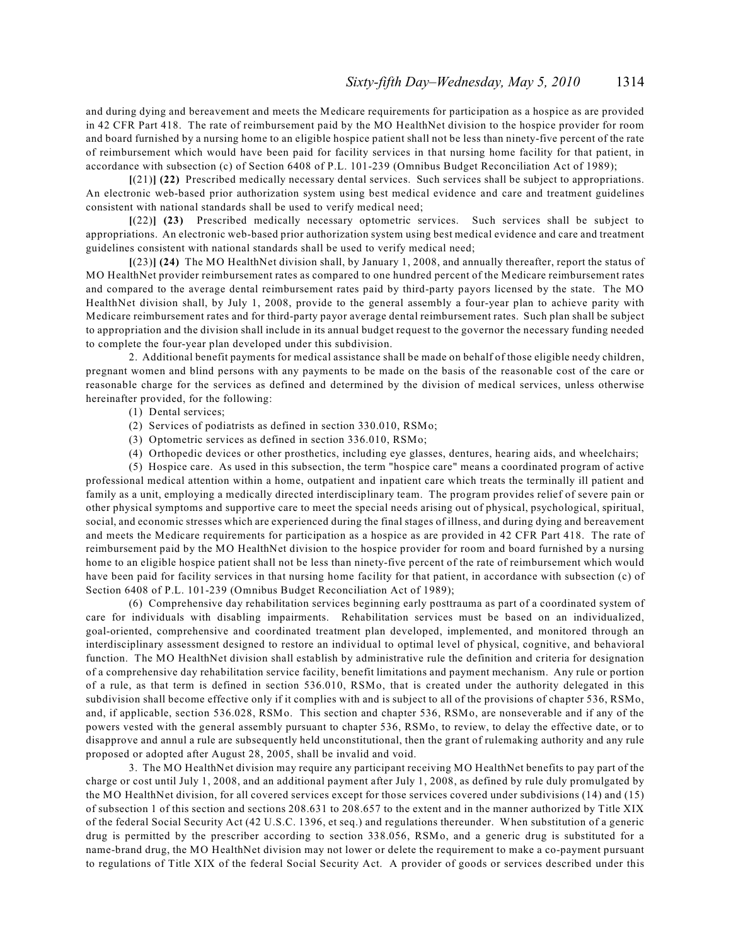and during dying and bereavement and meets the Medicare requirements for participation as a hospice as are provided in 42 CFR Part 418. The rate of reimbursement paid by the MO HealthNet division to the hospice provider for room and board furnished by a nursing home to an eligible hospice patient shall not be less than ninety-five percent of the rate of reimbursement which would have been paid for facility services in that nursing home facility for that patient, in accordance with subsection (c) of Section 6408 of P.L. 101-239 (Omnibus Budget Reconciliation Act of 1989);

**[**(21)**] (22)** Prescribed medically necessary dental services. Such services shall be subject to appropriations. An electronic web-based prior authorization system using best medical evidence and care and treatment guidelines consistent with national standards shall be used to verify medical need;

**[**(22)**] (23)** Prescribed medically necessary optometric services. Such services shall be subject to appropriations. An electronic web-based prior authorization system using best medical evidence and care and treatment guidelines consistent with national standards shall be used to verify medical need;

**[**(23)**] (24)** The MO HealthNet division shall, by January 1, 2008, and annually thereafter, report the status of MO HealthNet provider reimbursement rates as compared to one hundred percent of the Medicare reimbursement rates and compared to the average dental reimbursement rates paid by third-party payors licensed by the state. The MO HealthNet division shall, by July 1, 2008, provide to the general assembly a four-year plan to achieve parity with Medicare reimbursement rates and for third-party payor average dental reimbursement rates. Such plan shall be subject to appropriation and the division shall include in its annual budget request to the governor the necessary funding needed to complete the four-year plan developed under this subdivision.

2. Additional benefit payments for medical assistance shall be made on behalf of those eligible needy children, pregnant women and blind persons with any payments to be made on the basis of the reasonable cost of the care or reasonable charge for the services as defined and determined by the division of medical services, unless otherwise hereinafter provided, for the following:

- (1) Dental services;
- (2) Services of podiatrists as defined in section 330.010, RSMo;
- (3) Optometric services as defined in section 336.010, RSMo;
- (4) Orthopedic devices or other prosthetics, including eye glasses, dentures, hearing aids, and wheelchairs;

(5) Hospice care. As used in this subsection, the term "hospice care" means a coordinated program of active professional medical attention within a home, outpatient and inpatient care which treats the terminally ill patient and family as a unit, employing a medically directed interdisciplinary team. The program provides relief of severe pain or other physical symptoms and supportive care to meet the special needs arising out of physical, psychological, spiritual, social, and economic stresses which are experienced during the final stages of illness, and during dying and bereavement and meets the Medicare requirements for participation as a hospice as are provided in 42 CFR Part 418. The rate of reimbursement paid by the MO HealthNet division to the hospice provider for room and board furnished by a nursing home to an eligible hospice patient shall not be less than ninety-five percent of the rate of reimbursement which would have been paid for facility services in that nursing home facility for that patient, in accordance with subsection (c) of Section 6408 of P.L. 101-239 (Omnibus Budget Reconciliation Act of 1989);

(6) Comprehensive day rehabilitation services beginning early posttrauma as part of a coordinated system of care for individuals with disabling impairments. Rehabilitation services must be based on an individualized, goal-oriented, comprehensive and coordinated treatment plan developed, implemented, and monitored through an interdisciplinary assessment designed to restore an individual to optimal level of physical, cognitive, and behavioral function. The MO HealthNet division shall establish by administrative rule the definition and criteria for designation of a comprehensive day rehabilitation service facility, benefit limitations and payment mechanism. Any rule or portion of a rule, as that term is defined in section 536.010, RSMo, that is created under the authority delegated in this subdivision shall become effective only if it complies with and is subject to all of the provisions of chapter 536, RSMo, and, if applicable, section 536.028, RSMo. This section and chapter 536, RSMo, are nonseverable and if any of the powers vested with the general assembly pursuant to chapter 536, RSMo, to review, to delay the effective date, or to disapprove and annul a rule are subsequently held unconstitutional, then the grant of rulemaking authority and any rule proposed or adopted after August 28, 2005, shall be invalid and void.

3. The MO HealthNet division may require any participant receiving MO HealthNet benefits to pay part of the charge or cost until July 1, 2008, and an additional payment after July 1, 2008, as defined by rule duly promulgated by the MO HealthNet division, for all covered services except for those services covered under subdivisions (14) and (15) of subsection 1 of this section and sections 208.631 to 208.657 to the extent and in the manner authorized by Title XIX of the federal Social Security Act (42 U.S.C. 1396, et seq.) and regulations thereunder. When substitution of a generic drug is permitted by the prescriber according to section 338.056, RSMo, and a generic drug is substituted for a name-brand drug, the MO HealthNet division may not lower or delete the requirement to make a co-payment pursuant to regulations of Title XIX of the federal Social Security Act. A provider of goods or services described under this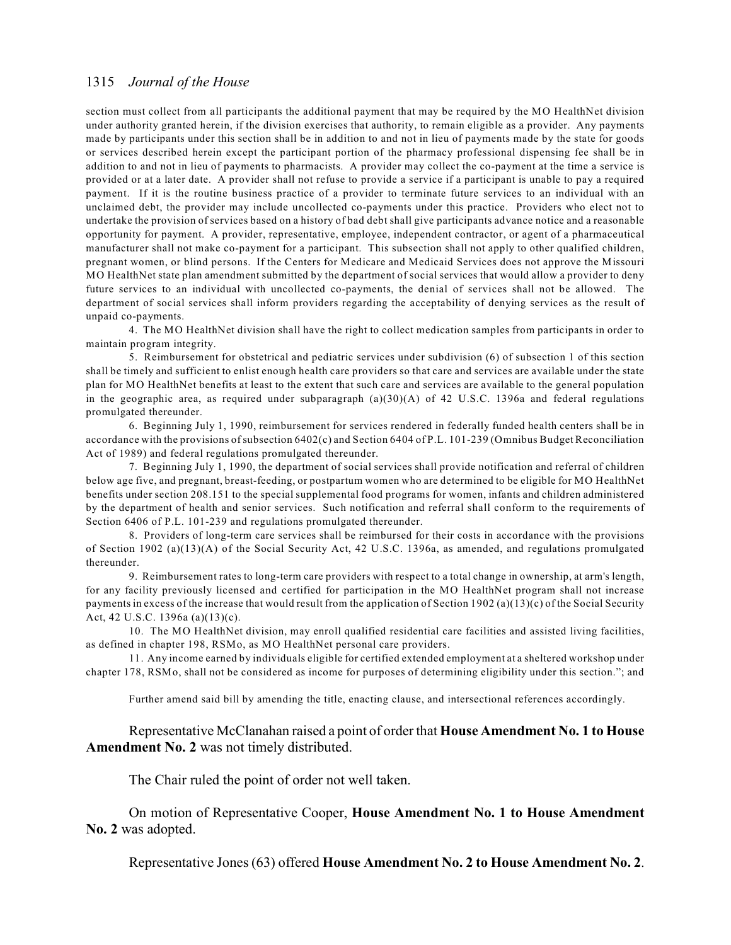section must collect from all participants the additional payment that may be required by the MO HealthNet division under authority granted herein, if the division exercises that authority, to remain eligible as a provider. Any payments made by participants under this section shall be in addition to and not in lieu of payments made by the state for goods or services described herein except the participant portion of the pharmacy professional dispensing fee shall be in addition to and not in lieu of payments to pharmacists. A provider may collect the co-payment at the time a service is provided or at a later date. A provider shall not refuse to provide a service if a participant is unable to pay a required payment. If it is the routine business practice of a provider to terminate future services to an individual with an unclaimed debt, the provider may include uncollected co-payments under this practice. Providers who elect not to undertake the provision of services based on a history of bad debt shall give participants advance notice and a reasonable opportunity for payment. A provider, representative, employee, independent contractor, or agent of a pharmaceutical manufacturer shall not make co-payment for a participant. This subsection shall not apply to other qualified children, pregnant women, or blind persons. If the Centers for Medicare and Medicaid Services does not approve the Missouri MO HealthNet state plan amendment submitted by the department of social services that would allow a provider to deny future services to an individual with uncollected co-payments, the denial of services shall not be allowed. The department of social services shall inform providers regarding the acceptability of denying services as the result of unpaid co-payments.

4. The MO HealthNet division shall have the right to collect medication samples from participants in order to maintain program integrity.

5. Reimbursement for obstetrical and pediatric services under subdivision (6) of subsection 1 of this section shall be timely and sufficient to enlist enough health care providers so that care and services are available under the state plan for MO HealthNet benefits at least to the extent that such care and services are available to the general population in the geographic area, as required under subparagraph (a)(30)(A) of 42 U.S.C. 1396a and federal regulations promulgated thereunder.

6. Beginning July 1, 1990, reimbursement for services rendered in federally funded health centers shall be in accordance with the provisions of subsection 6402(c) and Section 6404 of P.L. 101-239 (Omnibus Budget Reconciliation Act of 1989) and federal regulations promulgated thereunder.

7. Beginning July 1, 1990, the department of social services shall provide notification and referral of children below age five, and pregnant, breast-feeding, or postpartum women who are determined to be eligible for MO HealthNet benefits under section 208.151 to the special supplemental food programs for women, infants and children administered by the department of health and senior services. Such notification and referral shall conform to the requirements of Section 6406 of P.L. 101-239 and regulations promulgated thereunder.

8. Providers of long-term care services shall be reimbursed for their costs in accordance with the provisions of Section 1902 (a)(13)(A) of the Social Security Act, 42 U.S.C. 1396a, as amended, and regulations promulgated thereunder.

9. Reimbursement rates to long-term care providers with respect to a total change in ownership, at arm's length, for any facility previously licensed and certified for participation in the MO HealthNet program shall not increase payments in excess of the increase that would result from the application of Section 1902 (a)(13)(c) of the Social Security Act, 42 U.S.C. 1396a (a)(13)(c).

10. The MO HealthNet division, may enroll qualified residential care facilities and assisted living facilities, as defined in chapter 198, RSMo, as MO HealthNet personal care providers.

11. Any income earned by individuals eligible for certified extended employment at a sheltered workshop under chapter 178, RSMo, shall not be considered as income for purposes of determining eligibility under this section."; and

Further amend said bill by amending the title, enacting clause, and intersectional references accordingly.

Representative McClanahan raised a point of order that **House Amendment No. 1 to House Amendment No. 2** was not timely distributed.

The Chair ruled the point of order not well taken.

On motion of Representative Cooper, **House Amendment No. 1 to House Amendment No. 2** was adopted.

Representative Jones (63) offered **House Amendment No. 2 to House Amendment No. 2**.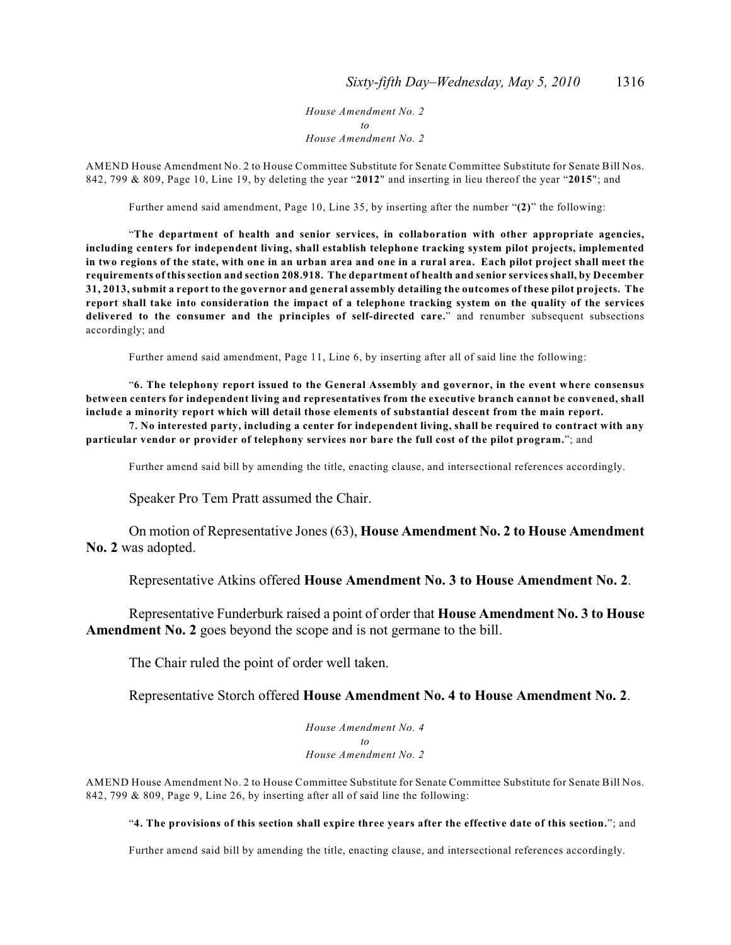*House Amendment No. 2 to House Amendment No. 2*

AMEND House Amendment No. 2 to House Committee Substitute for Senate Committee Substitute for Senate Bill Nos. 842, 799 & 809, Page 10, Line 19, by deleting the year "**2012**" and inserting in lieu thereof the year "**2015**"; and

Further amend said amendment, Page 10, Line 35, by inserting after the number "**(2)**" the following:

"**The department of health and senior services, in collaboration with other appropriate agencies, including centers for independent living, shall establish telephone tracking system pilot projects, implemented in two regions of the state, with one in an urban area and one in a rural area. Each pilot project shall meet the requirements of this section and section 208.918. The department of health and senior services shall, by December 31, 2013, submit a report to the governor and general assembly detailing the outcomes of these pilot projects. The report shall take into consideration the impact of a telephone tracking system on the quality of the services delivered to the consumer and the principles of self-directed care.**" and renumber subsequent subsections accordingly; and

Further amend said amendment, Page 11, Line 6, by inserting after all of said line the following:

"**6. The telephony report issued to the General Assembly and governor, in the event where consensus between centers for independent living and representatives from the executive branch cannot be convened, shall include a minority report which will detail those elements of substantial descent from the main report.**

**7. No interested party, including a center for independent living, shall be required to contract with any particular vendor or provider of telephony services nor bare the full cost of the pilot program.**"; and

Further amend said bill by amending the title, enacting clause, and intersectional references accordingly.

Speaker Pro Tem Pratt assumed the Chair.

On motion of Representative Jones (63), **House Amendment No. 2 to House Amendment No. 2** was adopted.

Representative Atkins offered **House Amendment No. 3 to House Amendment No. 2**.

Representative Funderburk raised a point of order that **House Amendment No. 3 to House Amendment No. 2** goes beyond the scope and is not germane to the bill.

The Chair ruled the point of order well taken.

Representative Storch offered **House Amendment No. 4 to House Amendment No. 2**.

*House Amendment No. 4 to House Amendment No. 2*

AMEND House Amendment No. 2 to House Committee Substitute for Senate Committee Substitute for Senate Bill Nos. 842, 799 & 809, Page 9, Line 26, by inserting after all of said line the following:

### "**4. The provisions of this section shall expire three years after the effective date of this section.**"; and

Further amend said bill by amending the title, enacting clause, and intersectional references accordingly.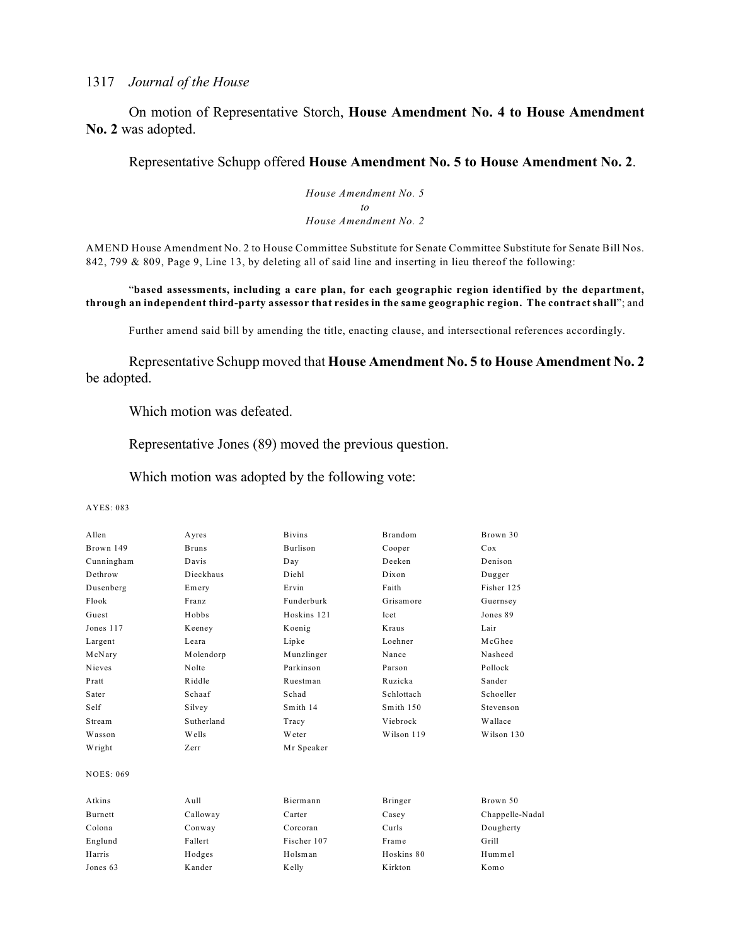On motion of Representative Storch, **House Amendment No. 4 to House Amendment No. 2** was adopted.

Representative Schupp offered **House Amendment No. 5 to House Amendment No. 2**.

*House Amendment No. 5 to House Amendment No. 2*

AMEND House Amendment No. 2 to House Committee Substitute for Senate Committee Substitute for Senate Bill Nos. 842, 799 & 809, Page 9, Line 13, by deleting all of said line and inserting in lieu thereof the following:

"**based assessments, including a care plan, for each geographic region identified by the department, through an independent third-party assessor that resides in the same geographic region. The contract shall**"; and

Further amend said bill by amending the title, enacting clause, and intersectional references accordingly.

Representative Schupp moved that **House Amendment No. 5 to House Amendment No. 2** be adopted.

Which motion was defeated.

Representative Jones (89) moved the previous question.

Which motion was adopted by the following vote:

| <b>Burlison</b><br>Brown 149<br><b>Bruns</b><br>Cooper<br>Deeken<br>Davis<br>Cunningham<br>Day<br>Dethrow<br>Dieckhaus<br>Diehl<br>Dixon<br>Ervin<br>Faith<br>Dusenberg<br>Emery<br>Flook<br>Funderburk<br>Franz<br>Grisamore<br>Hobbs<br>Hoskins 121<br>Guest<br>Icet<br>Jones 117<br>Kraus<br>Keeney<br>Koenig<br>Loehner<br>Largent<br>Leara<br>Lipke<br>Molendorp<br>Munzlinger<br>Nance<br>McNary<br>Nieves<br>Nolte<br>Parkinson<br>Parson<br>Riddle<br>Ruzicka<br>Pratt<br>Ruestman<br>Schad<br>Sater<br>Schaaf<br>Schlottach<br>Self<br>Smith 14<br>Smith 150<br>Silvey<br>Sutherland<br>Stream<br>Viebrock<br>Tracy | Cox<br>Denison  |
|------------------------------------------------------------------------------------------------------------------------------------------------------------------------------------------------------------------------------------------------------------------------------------------------------------------------------------------------------------------------------------------------------------------------------------------------------------------------------------------------------------------------------------------------------------------------------------------------------------------------------|-----------------|
|                                                                                                                                                                                                                                                                                                                                                                                                                                                                                                                                                                                                                              |                 |
|                                                                                                                                                                                                                                                                                                                                                                                                                                                                                                                                                                                                                              |                 |
|                                                                                                                                                                                                                                                                                                                                                                                                                                                                                                                                                                                                                              | Dugger          |
|                                                                                                                                                                                                                                                                                                                                                                                                                                                                                                                                                                                                                              | Fisher 125      |
|                                                                                                                                                                                                                                                                                                                                                                                                                                                                                                                                                                                                                              | Guernsey        |
|                                                                                                                                                                                                                                                                                                                                                                                                                                                                                                                                                                                                                              | Jones 89        |
|                                                                                                                                                                                                                                                                                                                                                                                                                                                                                                                                                                                                                              | Lair            |
|                                                                                                                                                                                                                                                                                                                                                                                                                                                                                                                                                                                                                              | McGhee          |
|                                                                                                                                                                                                                                                                                                                                                                                                                                                                                                                                                                                                                              | Nasheed         |
|                                                                                                                                                                                                                                                                                                                                                                                                                                                                                                                                                                                                                              | Pollock         |
|                                                                                                                                                                                                                                                                                                                                                                                                                                                                                                                                                                                                                              | Sander          |
|                                                                                                                                                                                                                                                                                                                                                                                                                                                                                                                                                                                                                              | Schoeller       |
|                                                                                                                                                                                                                                                                                                                                                                                                                                                                                                                                                                                                                              | Stevenson       |
|                                                                                                                                                                                                                                                                                                                                                                                                                                                                                                                                                                                                                              | Wallace         |
| Wells<br>Weter<br>Wilson 119<br>Wasson                                                                                                                                                                                                                                                                                                                                                                                                                                                                                                                                                                                       | Wilson 130      |
| Zerr<br>Mr Speaker<br>Wright                                                                                                                                                                                                                                                                                                                                                                                                                                                                                                                                                                                                 |                 |
| <b>NOES: 069</b>                                                                                                                                                                                                                                                                                                                                                                                                                                                                                                                                                                                                             |                 |
| Atkins<br>Aull<br>Biermann<br>Bringer                                                                                                                                                                                                                                                                                                                                                                                                                                                                                                                                                                                        | Brown 50        |
| Burnett<br>Calloway<br>Carter<br>Casey                                                                                                                                                                                                                                                                                                                                                                                                                                                                                                                                                                                       | Chappelle-Nadal |
| Colona<br>Curls<br>Conway<br>Corcoran                                                                                                                                                                                                                                                                                                                                                                                                                                                                                                                                                                                        | Dougherty       |
| Englund<br>Fallert<br>Fischer 107<br>Frame                                                                                                                                                                                                                                                                                                                                                                                                                                                                                                                                                                                   | Grill           |
| Harris<br>Holsman<br>Hoskins 80<br>Hodges                                                                                                                                                                                                                                                                                                                                                                                                                                                                                                                                                                                    | Hummel          |
| Kander<br>Kirkton<br>Jones 63<br>Kelly                                                                                                                                                                                                                                                                                                                                                                                                                                                                                                                                                                                       | Komo            |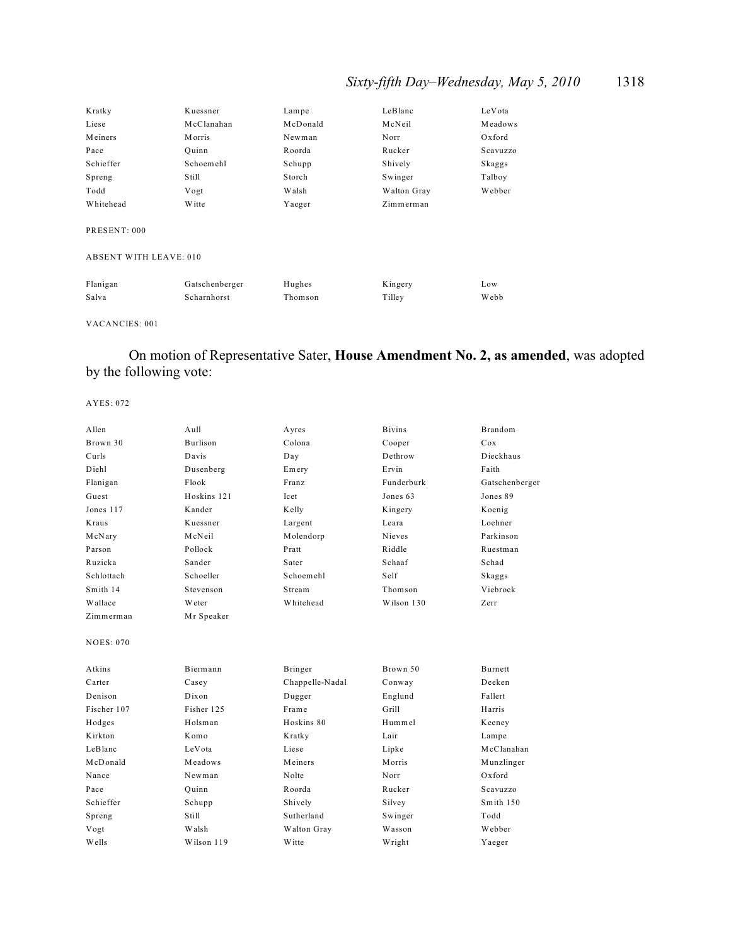## *Sixty-fifth Day–Wednesday, May 5, 2010* 1318

| Kratky                        | Kuessner       | Lampe    | LeBlanc     | LeVota   |
|-------------------------------|----------------|----------|-------------|----------|
| Liese                         | McClanahan     | McDonald | McNeil      | Meadows  |
| Meiners                       | <b>Morris</b>  | Newman   | Norr        | Oxford   |
| Pace                          | Ouinn          | Roorda   | Rucker      | Scavuzzo |
| Schieffer                     | Schoemehl      | Schupp   | Shively     | Skaggs   |
| Spreng                        | Still          | Storch   | Swinger     | Talboy   |
| Todd                          | Vogt           | Walsh    | Walton Gray | Webber   |
| Whitehead                     | Witte          | Yaeger   | Zimmerman   |          |
| PRESENT: 000                  |                |          |             |          |
| <b>ABSENT WITH LEAVE: 010</b> |                |          |             |          |
| Flanigan                      | Gatschenberger | Hughes   | Kingery     | Low      |

Salva Scharnhorst Thomson Tilley Webb

### VACANCIES: 001

## On motion of Representative Sater, **House Amendment No. 2, as amended**, was adopted by the following vote:

| Allen            | A <sub>u</sub> 11 | Ayres           | <b>Bivins</b> | <b>Brandom</b> |
|------------------|-------------------|-----------------|---------------|----------------|
| Brown 30         | Burlison          | Colona          | Cooper        | Cox            |
| Curls            | Davis             | Day             | Dethrow       | Dieckhaus      |
| Diehl            | Dusenberg         | Emery           | Ervin         | Faith          |
| Flanigan         | Flook             | Franz           | Funderburk    | Gatschenberger |
| Guest            | Hoskins 121       | Icet            | Jones 63      | Jones 89       |
| Jones 117        | Kander            | Kelly           | Kingery       | Koenig         |
| Kraus            | Kuessner          | Largent         | Leara         | Loehner        |
| McNary           | McNeil            | Molendorp       | Nieves        | Parkinson      |
| Parson           | Pollock           | Pratt           | Riddle        | Ruestman       |
| Ruzicka          | Sander            | Sater           | Schaaf        | Schad          |
| Schlottach       | Schoeller         | Schoemehl       | Self          | Skaggs         |
| Smith 14         | Stevenson         | Stream          | Thomson       | Viebrock       |
| Wallace          | Weter             | Whitehead       | Wilson 130    | Zerr           |
| Zimmerman        | Mr Speaker        |                 |               |                |
|                  |                   |                 |               |                |
| <b>NOES: 070</b> |                   |                 |               |                |
|                  |                   |                 |               |                |
| Atkins           | Biermann          | Bringer         | Brown 50      | <b>Burnett</b> |
| Carter           | Casey             | Chappelle-Nadal | Conway        | Deeken         |
| Denison          | Dixon             | Dugger          | Englund       | Fallert        |
| Fischer 107      | Fisher 125        | Frame           | Grill         | Harris         |
| Hodges           | Holsman           | Hoskins 80      | Hummel        | Keeney         |
| Kirkton          | Komo              | Kratky          | Lair          | Lampe          |
| LeBlanc          | LeVota            | Liese           | Lipke         | McClanahan     |
| McDonald         | Meadows           | Meiners         | Morris        | Munzlinger     |
| Nance            | Newman            | Nolte           | Norr          | Oxford         |
| Pace             | Quinn             | Roorda          | Rucker        | Scavuzzo       |
| Schieffer        | Schupp            | Shively         | Silvey        | Smith 150      |
| Spreng           | Still             | Sutherland      | Swinger       | Todd           |
| Vogt             | Walsh             | Walton Gray     | Wasson        | Webber         |
| Wells            | Wilson 119        | W itte          | Wright        | Yaeger         |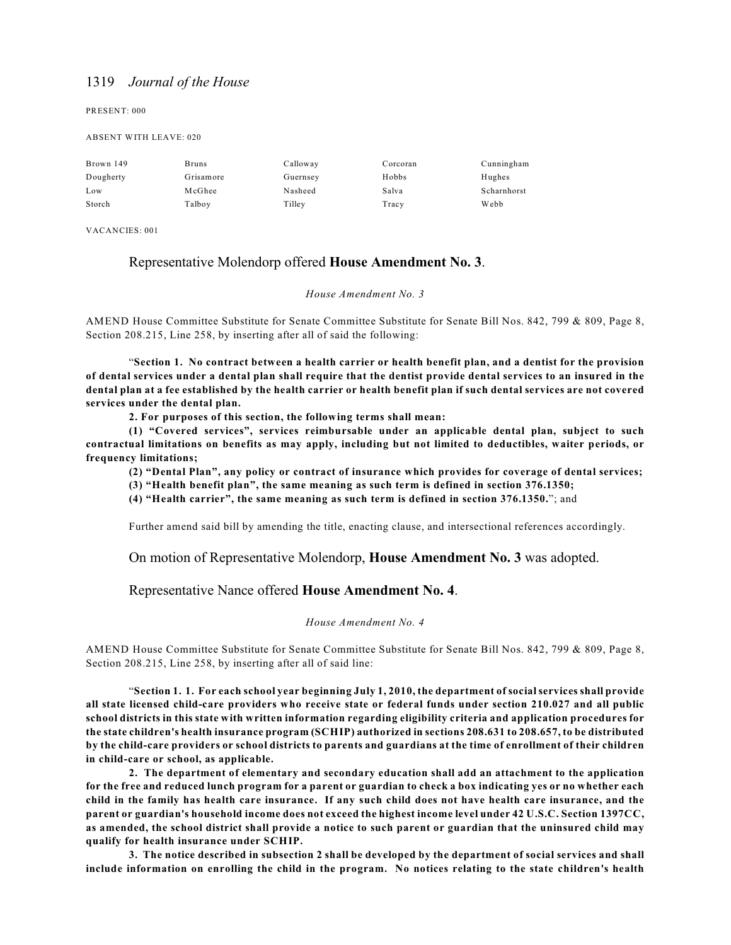PRESENT: 000

#### ABSENT WITH LEAVE: 020

| Brown 149 | <b>Bruns</b> | Calloway | Corcoran | Cunningham  |
|-----------|--------------|----------|----------|-------------|
| Dougherty | Grisamore    | Guernsey | Hobbs    | Hughes      |
| Low       | McGhee       | Nasheed  | Salva    | Scharnhorst |
| Storch    | Talboy       | Tilley   | Tracy    | Webb        |

VACANCIES: 001

### Representative Molendorp offered **House Amendment No. 3**.

#### *House Amendment No. 3*

AMEND House Committee Substitute for Senate Committee Substitute for Senate Bill Nos. 842, 799 & 809, Page 8, Section 208.215, Line 258, by inserting after all of said the following:

"**Section 1. No contract between a health carrier or health benefit plan, and a dentist for the provision of dental services under a dental plan shall require that the dentist provide dental services to an insured in the dental plan at a fee established by the health carrier or health benefit plan if such dental services are not covered services under the dental plan.**

**2. For purposes of this section, the following terms shall mean:**

**(1) "Covered services", services reimbursable under an applicable dental plan, subject to such contractual limitations on benefits as may apply, including but not limited to deductibles, waiter periods, or frequency limitations;**

**(2) "Dental Plan", any policy or contract of insurance which provides for coverage of dental services;**

**(3) "Health benefit plan", the same meaning as such term is defined in section 376.1350;**

**(4) "Health carrier", the same meaning as such term is defined in section 376.1350.**"; and

Further amend said bill by amending the title, enacting clause, and intersectional references accordingly.

On motion of Representative Molendorp, **House Amendment No. 3** was adopted.

### Representative Nance offered **House Amendment No. 4**.

#### *House Amendment No. 4*

AMEND House Committee Substitute for Senate Committee Substitute for Senate Bill Nos. 842, 799 & 809, Page 8, Section 208.215, Line 258, by inserting after all of said line:

"**Section 1. 1. For each school year beginning July 1, 2010, the department of social services shall provide all state licensed child-care providers who receive state or federal funds under section 210.027 and all public school districts in this state with written information regarding eligibility criteria and application procedures for the state children's health insurance program (SCHIP) authorized in sections 208.631 to 208.657, to be distributed by the child-care providers or school districts to parents and guardians at the time of enrollment of their children in child-care or school, as applicable.**

**2. The department of elementary and secondary education shall add an attachment to the application for the free and reduced lunch program for a parent or guardian to check a box indicating yes or no whether each child in the family has health care insurance. If any such child does not have health care insurance, and the parent or guardian's household income does not exceed the highest income level under 42 U.S.C. Section 1397CC, as amended, the school district shall provide a notice to such parent or guardian that the uninsured child may qualify for health insurance under SCHIP.**

**3. The notice described in subsection 2 shall be developed by the department of social services and shall include information on enrolling the child in the program. No notices relating to the state children's health**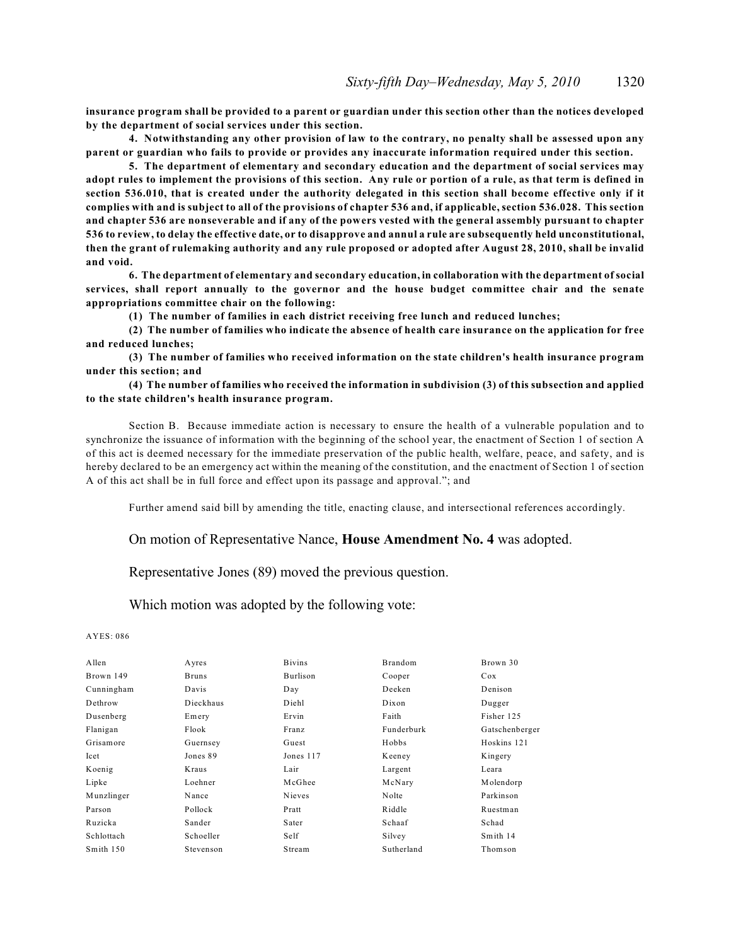**insurance program shall be provided to a parent or guardian under this section other than the notices developed by the department of social services under this section.**

**4. Notwithstanding any other provision of law to the contrary, no penalty shall be assessed upon any parent or guardian who fails to provide or provides any inaccurate information required under this section.**

**5. The department of elementary and secondary education and the department of social services may adopt rules to implement the provisions of this section. Any rule or portion of a rule, as that term is defined in section 536.010, that is created under the authority delegated in this section shall become effective only if it complies with and is subject to all of the provisions of chapter 536 and, if applicable, section 536.028. This section and chapter 536 are nonseverable and if any of the powers vested with the general assembly pursuant to chapter 536 to review, to delay the effective date, or to disapprove and annul a rule are subsequently held unconstitutional, then the grant of rulemaking authority and any rule proposed or adopted after August 28, 2010, shall be invalid and void.**

**6. The department of elementary and secondary education, in collaboration with the department of social services, shall report annually to the governor and the house budget committee chair and the senate appropriations committee chair on the following:**

**(1) The number of families in each district receiving free lunch and reduced lunches;**

**(2) The number of families who indicate the absence of health care insurance on the application for free and reduced lunches;**

**(3) The number of families who received information on the state children's health insurance program under this section; and**

**(4) The number of families who received the information in subdivision (3) of this subsection and applied to the state children's health insurance program.**

Section B. Because immediate action is necessary to ensure the health of a vulnerable population and to synchronize the issuance of information with the beginning of the school year, the enactment of Section 1 of section A of this act is deemed necessary for the immediate preservation of the public health, welfare, peace, and safety, and is hereby declared to be an emergency act within the meaning of the constitution, and the enactment of Section 1 of section A of this act shall be in full force and effect upon its passage and approval."; and

Further amend said bill by amending the title, enacting clause, and intersectional references accordingly.

### On motion of Representative Nance, **House Amendment No. 4** was adopted.

Representative Jones (89) moved the previous question.

Which motion was adopted by the following vote:

| Allen      | Ayres        | <b>Bivins</b> | Brandom    | Brown 30       |
|------------|--------------|---------------|------------|----------------|
| Brown 149  | <b>Bruns</b> | Burlison      | Cooper     | Cox            |
| Cunningham | Davis        | Day           | Deeken     | Denison        |
| Dethrow    | Dieckhaus    | Diehl         | Dixon      | Dugger         |
| Dusenberg  | Emery        | Ervin         | Faith      | Fisher 125     |
| Flanigan   | Flook        | Franz         | Funderburk | Gatschenberger |
| Grisamore  | Guernsey     | Guest         | Hobbs      | Hoskins 121    |
| Icet       | Jones 89     | Jones 117     | Keeney     | Kingery        |
| Koenig     | Kraus        | Lair          | Largent    | Leara          |
| Lipke      | Loehner      | McGhee        | McNary     | Molendorp      |
| Munzlinger | Nance        | Nieves        | Nolte      | Parkinson      |
| Parson     | Pollock      | Pratt         | Riddle     | Ruestman       |
| Ruzicka    | Sander       | Sater         | Schaaf     | Schad          |
| Schlottach | Schoeller    | Self          | Silvey     | Smith 14       |
| Smith 150  | Stevenson    | Stream        | Sutherland | Thomson        |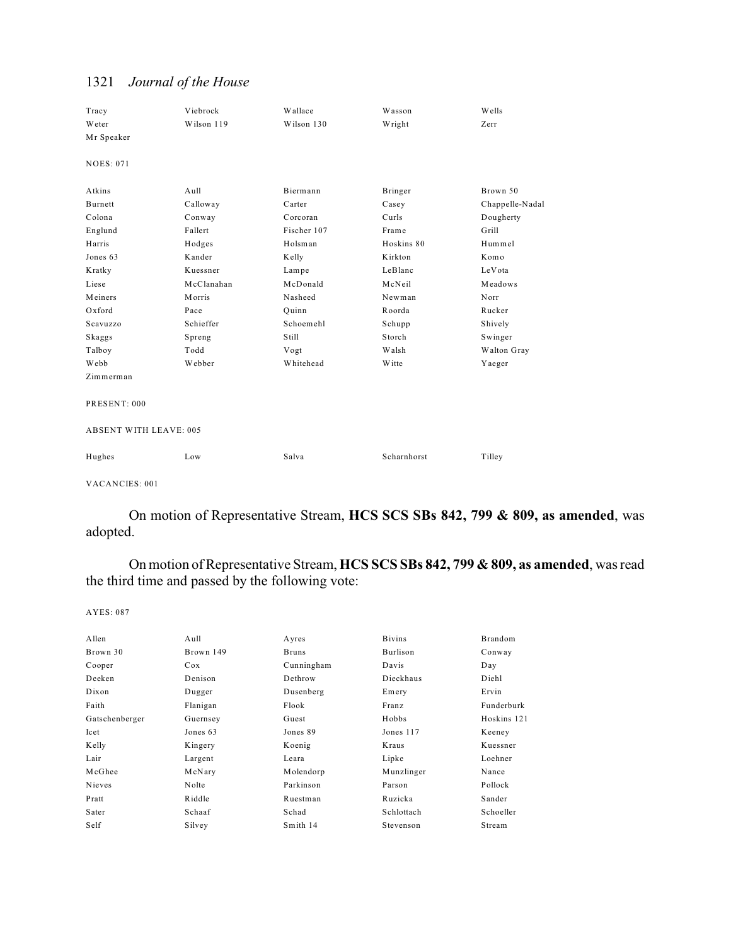| Tracy<br>Weter<br>Mr Speaker  | Viebrock<br>Wilson 119 | Wallace<br>Wilson 130 | Wasson<br>Wright | Wells<br>Zerr   |
|-------------------------------|------------------------|-----------------------|------------------|-----------------|
|                               |                        |                       |                  |                 |
| <b>NOES: 071</b>              |                        |                       |                  |                 |
| Atkins                        | Aull                   | Biermann              | <b>Bringer</b>   | Brown 50        |
| Burnett                       | Calloway               | Carter                | Casey            | Chappelle-Nadal |
| Colona                        | Conway                 | Corcoran              | Curls            | Dougherty       |
| Englund                       | Fallert                | Fischer 107           | Frame            | Grill           |
| Harris                        | Hodges                 | Holsman               | Hoskins 80       | Hummel          |
| Jones 63                      | Kander                 | Kelly                 | Kirkton          | Komo            |
| Kratky                        | Kuessner               | Lampe                 | LeBlanc          | LeVota          |
| Liese                         | McClanahan             | McDonald              | McNeil           | Meadows         |
| Meiners                       | Morris                 | Nasheed               | Newman           | Norr            |
| Oxford                        | Pace                   | Quinn                 | Roorda           | Rucker          |
| Scavuzzo                      | Schieffer              | Schoemehl             | Schupp           | Shively         |
| Skaggs                        | Spreng                 | Still                 | Storch           | Swinger         |
| Talboy                        | Todd                   | Vogt                  | Walsh            | Walton Gray     |
| Webb                          | Webber                 | Whitehead             | Witte            | Yaeger          |
| Zimmerman                     |                        |                       |                  |                 |
| PRESENT: 000                  |                        |                       |                  |                 |
| <b>ABSENT WITH LEAVE: 005</b> |                        |                       |                  |                 |
| Hughes                        | Low                    | Salva                 | Scharnhorst      | Tilley          |
|                               |                        |                       |                  |                 |

VACANCIES: 001

On motion of Representative Stream, **HCS SCS SBs 842, 799 & 809, as amended**, was adopted.

On motion of Representative Stream, **HCS SCS SBs 842, 799 & 809, as amended**, was read the third time and passed by the following vote:

| Allen          | Aull      | Ayres        | <b>Bivins</b>   | Brandom     |
|----------------|-----------|--------------|-----------------|-------------|
| Brown 30       | Brown 149 | <b>Bruns</b> | <b>Burlison</b> | Conway      |
| Cooper         | Cox       | Cunningham   | Davis           | Day         |
| Deeken         | Denison   | Dethrow      | Dieckhaus       | Diehl       |
| Dixon          | Dugger    | Dusenberg    | Emery           | Ervin       |
| Faith          | Flanigan  | Flook        | Franz           | Funderburk  |
| Gatschenberger | Guernsey  | Guest        | Hobbs           | Hoskins 121 |
| Icet           | Jones 63  | Jones 89     | Jones 117       | Keeney      |
| Kelly          | Kingery   | Koenig       | Kraus           | Kuessner    |
| Lair           | Largent   | Leara        | Lipke           | Loehner     |
| McGhee         | McNary    | Molendorp    | Munzlinger      | Nance       |
| Nieves         | Nolte     | Parkinson    | Parson          | Pollock     |
| Pratt          | Riddle    | Ruestman     | Ruzicka         | Sander      |
| Sater          | Schaaf    | Schad        | Schlottach      | Schoeller   |
| Self           | Silvey    | Smith 14     | Stevenson       | Stream      |
|                |           |              |                 |             |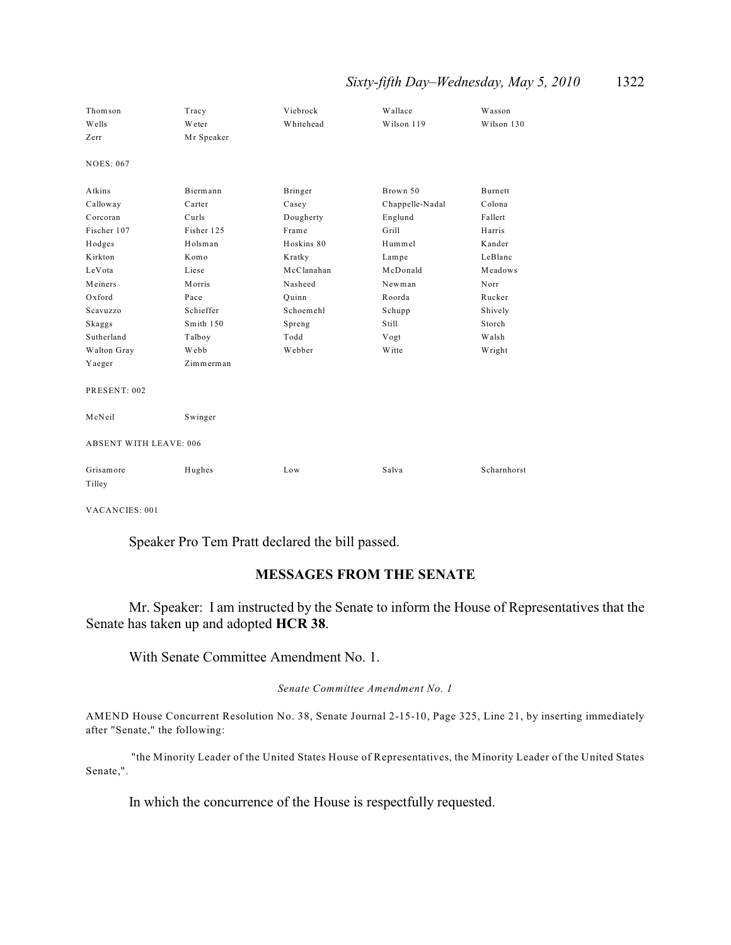## *Sixty-fifth Day–Wednesday, May 5, 2010* 1322

| Thomson                       | Tracy      | Viebrock   | Wallace         | Wasson         |
|-------------------------------|------------|------------|-----------------|----------------|
| Wells                         | Weter      | Whitehead  | Wilson 119      | Wilson 130     |
| Zerr                          | Mr Speaker |            |                 |                |
| <b>NOES: 067</b>              |            |            |                 |                |
| Atkins                        | Biermann   | Bringer    | Brown 50        | <b>Burnett</b> |
| Calloway                      | Carter     | Casey      | Chappelle-Nadal | Colona         |
| Corcoran                      | Curls      | Dougherty  | Englund         | Fallert        |
| Fischer 107                   | Fisher 125 | Frame      | Grill           | Harris         |
| Hodges                        | Holsman    | Hoskins 80 | Hummel          | Kander         |
| Kirkton                       | Komo       | Kratky     | Lampe           | LeBlanc        |
| LeVota                        | Liese      | McClanahan | McDonald        | Meadows        |
| Meiners                       | Morris     | Nasheed    | Newman          | Norr           |
| Oxford                        | Pace       | Quinn      | Roorda          | Rucker         |
| Scavuzzo                      | Schieffer  | Schoemehl  | Schupp          | Shively        |
| Skaggs                        | Smith 150  | Spreng     | Still           | Storch         |
| Sutherland                    | Talboy     | Todd       | Vogt            | Walsh          |
| Walton Gray                   | Webb       | Webber     | Witte           | Wright         |
| Yaeger                        | Zimmerman  |            |                 |                |
| PRESENT: 002                  |            |            |                 |                |
| McNeil                        | Swinger    |            |                 |                |
| <b>ABSENT WITH LEAVE: 006</b> |            |            |                 |                |
| Grisamore<br>Tilley           | Hughes     | Low        | Salva           | Scharnhorst    |

VACANCIES: 001

Speaker Pro Tem Pratt declared the bill passed.

## **MESSAGES FROM THE SENATE**

Mr. Speaker: I am instructed by the Senate to inform the House of Representatives that the Senate has taken up and adopted **HCR 38**.

With Senate Committee Amendment No. 1.

*Senate Committee Amendment No. 1*

AMEND House Concurrent Resolution No. 38, Senate Journal 2-15-10, Page 325, Line 21, by inserting immediately after "Senate," the following:

 "the Minority Leader of the United States House of Representatives, the Minority Leader of the United States Senate,".

In which the concurrence of the House is respectfully requested.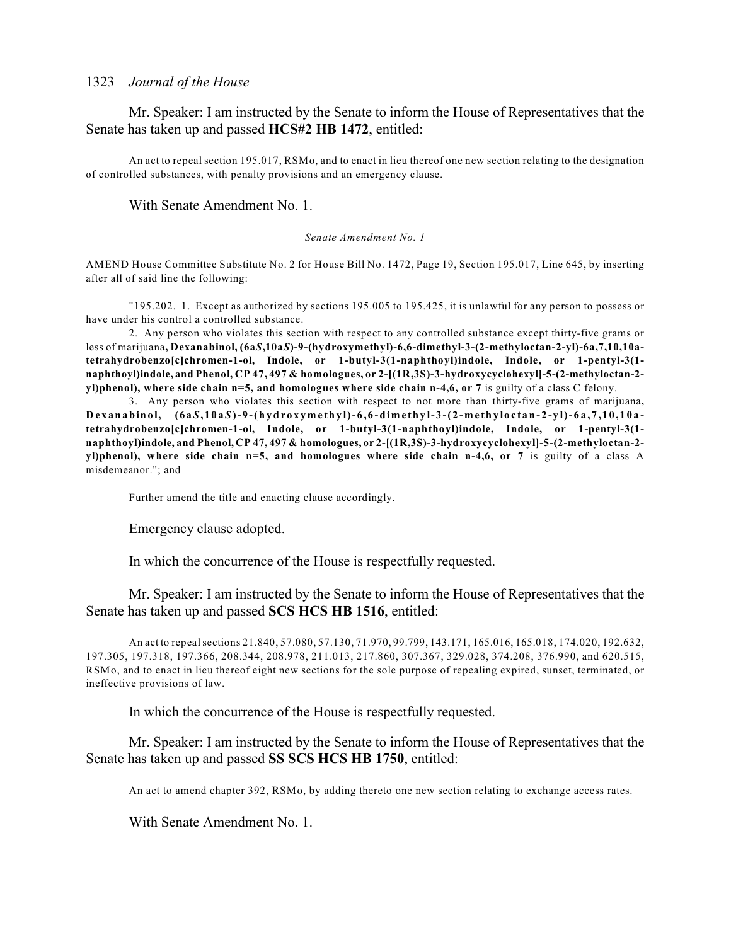Mr. Speaker: I am instructed by the Senate to inform the House of Representatives that the Senate has taken up and passed **HCS#2 HB 1472**, entitled:

An act to repeal section 195.017, RSMo, and to enact in lieu thereof one new section relating to the designation of controlled substances, with penalty provisions and an emergency clause.

With Senate Amendment No. 1.

#### *Senate Amendment No. 1*

AMEND House Committee Substitute No. 2 for House Bill No. 1472, Page 19, Section 195.017, Line 645, by inserting after all of said line the following:

"195.202. 1. Except as authorized by sections 195.005 to 195.425, it is unlawful for any person to possess or have under his control a controlled substance.

2. Any person who violates this section with respect to any controlled substance except thirty-five grams or less of marijuana**, Dexanabinol, (6a***S***,10a***S***)-9-(hydroxymethyl)-6,6-dimethyl-3-(2-methyloctan-2-yl)-6a,7,10,10atetrahydrobenzo[c]chromen-1-ol, Indole, or 1-butyl-3(1-naphthoyl)indole, Indole, or 1-pentyl-3(1 naphthoyl)indole, and Phenol, CP 47, 497 & homologues, or 2-[(1R,3S)-3-hydroxycyclohexyl]-5-(2-methyloctan-2 yl)phenol), where side chain n=5, and homologues where side chain n-4,6, or 7** is guilty of a class C felony.

3. Any person who violates this section with respect to not more than thirty-five grams of marijuana**,** Dexanabinol,  $(6aS,10aS)-9-(hydroxymethyl-6,6-dimethyl-3-(2-methyloctan-2-yl)-6a,7,10,10a$ **tetrahydrobenzo[c]chromen-1-ol, Indole, or 1-butyl-3(1-naphthoyl)indole, Indole, or 1-pentyl-3(1 naphthoyl)indole, and Phenol, CP 47, 497 & homologues, or 2-[(1R,3S)-3-hydroxycyclohexyl]-5-(2-methyloctan-2 yl)phenol), where side chain n=5, and homologues where side chain n-4,6, or 7** is guilty of a class A misdemeanor."; and

Further amend the title and enacting clause accordingly.

Emergency clause adopted.

In which the concurrence of the House is respectfully requested.

Mr. Speaker: I am instructed by the Senate to inform the House of Representatives that the Senate has taken up and passed **SCS HCS HB 1516**, entitled:

An act to repeal sections 21.840, 57.080, 57.130, 71.970, 99.799, 143.171, 165.016, 165.018, 174.020, 192.632, 197.305, 197.318, 197.366, 208.344, 208.978, 211.013, 217.860, 307.367, 329.028, 374.208, 376.990, and 620.515, RSMo, and to enact in lieu thereof eight new sections for the sole purpose of repealing expired, sunset, terminated, or ineffective provisions of law.

In which the concurrence of the House is respectfully requested.

Mr. Speaker: I am instructed by the Senate to inform the House of Representatives that the Senate has taken up and passed **SS SCS HCS HB 1750**, entitled:

An act to amend chapter 392, RSMo, by adding thereto one new section relating to exchange access rates.

With Senate Amendment No. 1.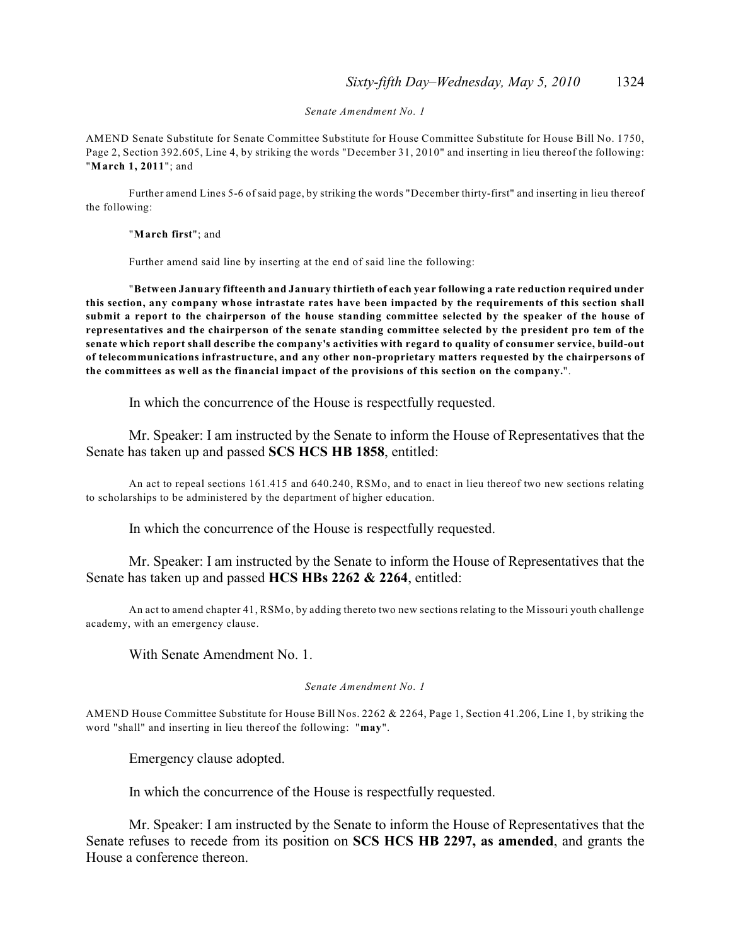*Senate Amendment No. 1*

AMEND Senate Substitute for Senate Committee Substitute for House Committee Substitute for House Bill No. 1750, Page 2, Section 392.605, Line 4, by striking the words "December 31, 2010" and inserting in lieu thereof the following: "**March 1, 2011**"; and

Further amend Lines 5-6 of said page, by striking the words "December thirty-first" and inserting in lieu thereof the following:

"**March first**"; and

Further amend said line by inserting at the end of said line the following:

"**Between January fifteenth and January thirtieth of each year following a rate reduction required under this section, any company whose intrastate rates have been impacted by the requirements of this section shall submit a report to the chairperson of the house standing committee selected by the speaker of the house of representatives and the chairperson of the senate standing committee selected by the president pro tem of the senate which report shall describe the company's activities with regard to quality of consumer service, build-out of telecommunications infrastructure, and any other non-proprietary matters requested by the chairpersons of the committees as well as the financial impact of the provisions of this section on the company.**".

In which the concurrence of the House is respectfully requested.

Mr. Speaker: I am instructed by the Senate to inform the House of Representatives that the Senate has taken up and passed **SCS HCS HB 1858**, entitled:

An act to repeal sections 161.415 and 640.240, RSMo, and to enact in lieu thereof two new sections relating to scholarships to be administered by the department of higher education.

In which the concurrence of the House is respectfully requested.

Mr. Speaker: I am instructed by the Senate to inform the House of Representatives that the Senate has taken up and passed **HCS HBs 2262 & 2264**, entitled:

An act to amend chapter 41, RSMo, by adding thereto two new sections relating to the Missouri youth challenge academy, with an emergency clause.

With Senate Amendment No. 1.

*Senate Amendment No. 1*

AMEND House Committee Substitute for House Bill Nos. 2262 & 2264, Page 1, Section 41.206, Line 1, by striking the word "shall" and inserting in lieu thereof the following: "**may**".

Emergency clause adopted.

In which the concurrence of the House is respectfully requested.

Mr. Speaker: I am instructed by the Senate to inform the House of Representatives that the Senate refuses to recede from its position on **SCS HCS HB 2297, as amended**, and grants the House a conference thereon.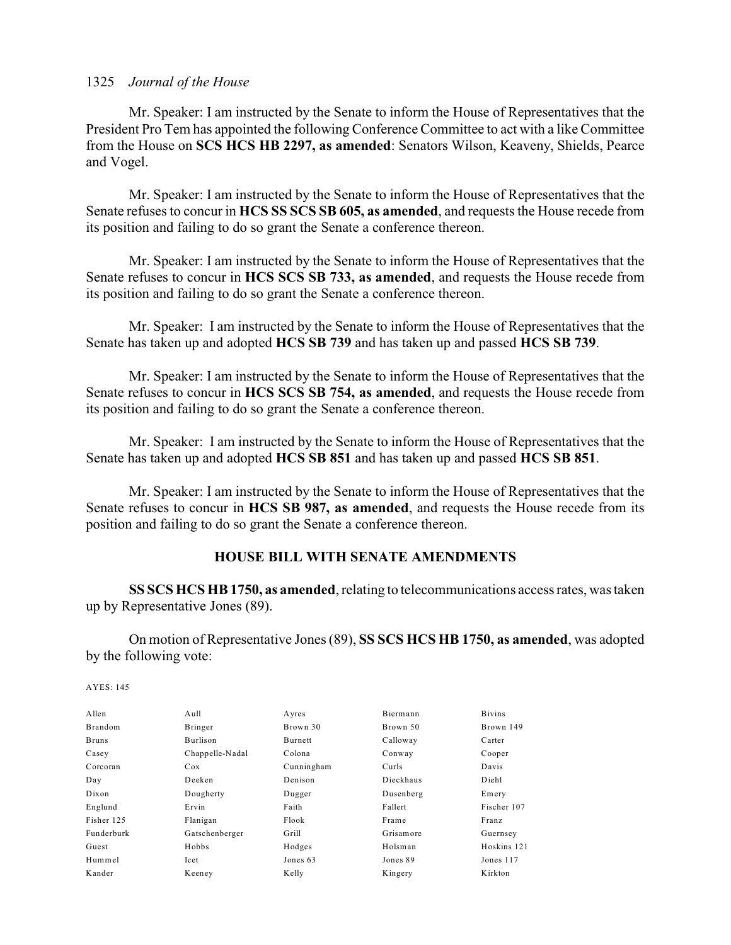Mr. Speaker: I am instructed by the Senate to inform the House of Representatives that the President Pro Tem has appointed the following Conference Committee to act with a like Committee from the House on **SCS HCS HB 2297, as amended**: Senators Wilson, Keaveny, Shields, Pearce and Vogel.

Mr. Speaker: I am instructed by the Senate to inform the House of Representatives that the Senate refuses to concur in **HCS SS SCS SB 605, as amended**, and requests the House recede from its position and failing to do so grant the Senate a conference thereon.

Mr. Speaker: I am instructed by the Senate to inform the House of Representatives that the Senate refuses to concur in **HCS SCS SB 733, as amended**, and requests the House recede from its position and failing to do so grant the Senate a conference thereon.

Mr. Speaker: I am instructed by the Senate to inform the House of Representatives that the Senate has taken up and adopted **HCS SB 739** and has taken up and passed **HCS SB 739**.

Mr. Speaker: I am instructed by the Senate to inform the House of Representatives that the Senate refuses to concur in **HCS SCS SB 754, as amended**, and requests the House recede from its position and failing to do so grant the Senate a conference thereon.

Mr. Speaker: I am instructed by the Senate to inform the House of Representatives that the Senate has taken up and adopted **HCS SB 851** and has taken up and passed **HCS SB 851**.

Mr. Speaker: I am instructed by the Senate to inform the House of Representatives that the Senate refuses to concur in **HCS SB 987, as amended**, and requests the House recede from its position and failing to do so grant the Senate a conference thereon.

## **HOUSE BILL WITH SENATE AMENDMENTS**

**SS SCS HCS HB 1750, as amended**, relating to telecommunications access rates, was taken up by Representative Jones (89).

On motion of Representative Jones (89), **SS SCS HCS HB 1750, as amended**, was adopted by the following vote:

| Allen          | Aull            | Ayres      | Biermann  | <b>Bivins</b> |
|----------------|-----------------|------------|-----------|---------------|
| <b>Brandom</b> | Bringer         | Brown 30   | Brown 50  | Brown 149     |
| <b>Bruns</b>   | Burlison        | Burnett    | Calloway  | Carter        |
| Casey          | Chappelle-Nadal | Colona     | Conway    | Cooper        |
| Corcoran       | Cox             | Cunningham | Curls     | Davis         |
| Day            | Deeken          | Denison    | Dieckhaus | Diehl         |
| Dixon          | Dougherty       | Dugger     | Dusenberg | Emery         |
| Englund        | Ervin           | Faith      | Fallert   | Fischer 107   |
| Fisher 125     | Flanigan        | Flook      | Frame     | Franz         |
| Funderburk     | Gatschenberger  | Grill      | Grisamore | Guernsey      |
| Guest          | Hobbs           | Hodges     | Holsman   | Hoskins 121   |
| Hummel         | Icet            | Jones 63   | Jones 89  | Jones 117     |
| Kander         | Keeney          | Kelly      | Kingery   | Kirkton       |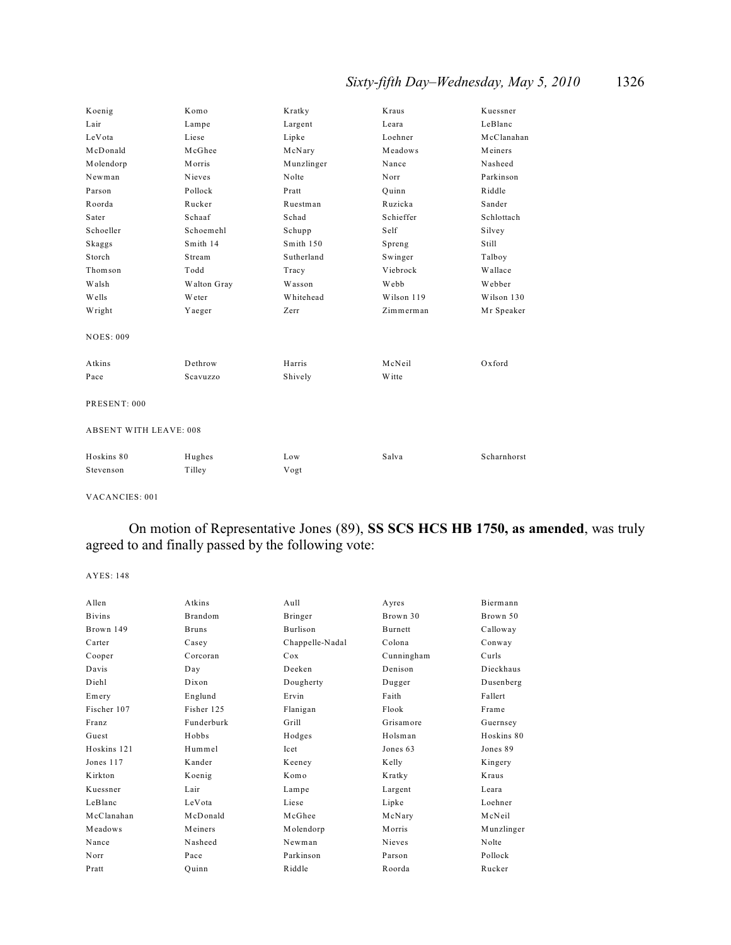## *Sixty-fifth Day–Wednesday, May 5, 2010* 1326

| Koenig                        | Komo        | Kratky     | Kraus      | Kuessner    |
|-------------------------------|-------------|------------|------------|-------------|
| Lair                          | Lampe       | Largent    | Leara      | LeBlanc     |
| LeVota                        | Liese       | Lipke      | Loehner    | McClanahan  |
| McDonald                      | McGhee      | McNary     | Meadows    | Meiners     |
| Molendorp                     | Morris      | Munzlinger | Nance      | Nasheed     |
| Newman                        | Nieves      | Nolte      | Norr       | Parkinson   |
| Parson                        | Pollock     | Pratt      | Ouinn      | Riddle      |
| Roorda                        | Rucker      | Ruestman   | Ruzicka    | Sander      |
| Sater                         | Schaaf      | Schad      | Schieffer  | Schlottach  |
| Schoeller                     | Schoemehl   | Schupp     | Self       | Silvey      |
| Skaggs                        | Smith 14    | Smith 150  | Spreng     | Still       |
| Storch                        | Stream      | Sutherland | Swinger    | Talboy      |
| Thomson                       | Todd        | Tracy      | Viebrock   | Wallace     |
| Walsh                         | Walton Gray | Wasson     | Webb       | Webber      |
| Wells                         | Weter       | Whitehead  | Wilson 119 | Wilson 130  |
| Wright                        | Yaeger      | Zerr       | Zimmerman  | Mr Speaker  |
| <b>NOES: 009</b>              |             |            |            |             |
| Atkins                        | Dethrow     | Harris     | McNeil     | Oxford      |
| Pace                          | Scavuzzo    | Shively    | W itte     |             |
| PRESENT: 000                  |             |            |            |             |
| <b>ABSENT WITH LEAVE: 008</b> |             |            |            |             |
| Hoskins 80                    | Hughes      | Low        | Salva      | Scharnhorst |
| Stevenson                     | Tilley      | Vogt       |            |             |

VACANCIES: 001

On motion of Representative Jones (89), **SS SCS HCS HB 1750, as amended**, was truly agreed to and finally passed by the following vote:

| Allen         | Atkins       | Aull            | Ayres          | Biermann   |
|---------------|--------------|-----------------|----------------|------------|
| <b>Bivins</b> | Brandom      | Bringer         | Brown 30       | Brown 50   |
| Brown 149     | <b>Bruns</b> | Burlison        | <b>Burnett</b> | Calloway   |
| Carter        | Casey        | Chappelle-Nadal | Colona         | Conway     |
| Cooper        | Corcoran     | Cox             | Cunningham     | Curls      |
| Davis         | Day          | Deeken          | Denison        | Dieckhaus  |
| Diehl         | Dixon        | Dougherty       | Dugger         | Dusenberg  |
| Emery         | Englund      | Ervin           | Faith          | Fallert    |
| Fischer 107   | Fisher 125   | Flanigan        | Flook          | Frame      |
| Franz         | Funderburk   | Grill           | Grisamore      | Guernsey   |
| Guest         | Hobbs        | Hodges          | Holsman        | Hoskins 80 |
| Hoskins 121   | Hummel       | Icet            | Jones 63       | Jones 89   |
| Jones 117     | Kander       | Keeney          | Kelly          | Kingery    |
| Kirkton       | Koenig       | Komo            | Kratky         | Kraus      |
| Kuessner      | Lair         | Lampe           | Largent        | Leara      |
| LeBlanc       | LeVota       | Liese           | Lipke          | Loehner    |
| McClanahan    | McDonald     | McGhee          | McNary         | McNeil     |
| Meadows       | Meiners      | Molendorp       | Morris         | Munzlinger |
| Nance         | Nasheed      | Newman          | Nieves         | Nolte      |
| Norr          | Pace         | Parkinson       | Parson         | Pollock    |
| Pratt         | Quinn        | Riddle          | Roorda         | Rucker     |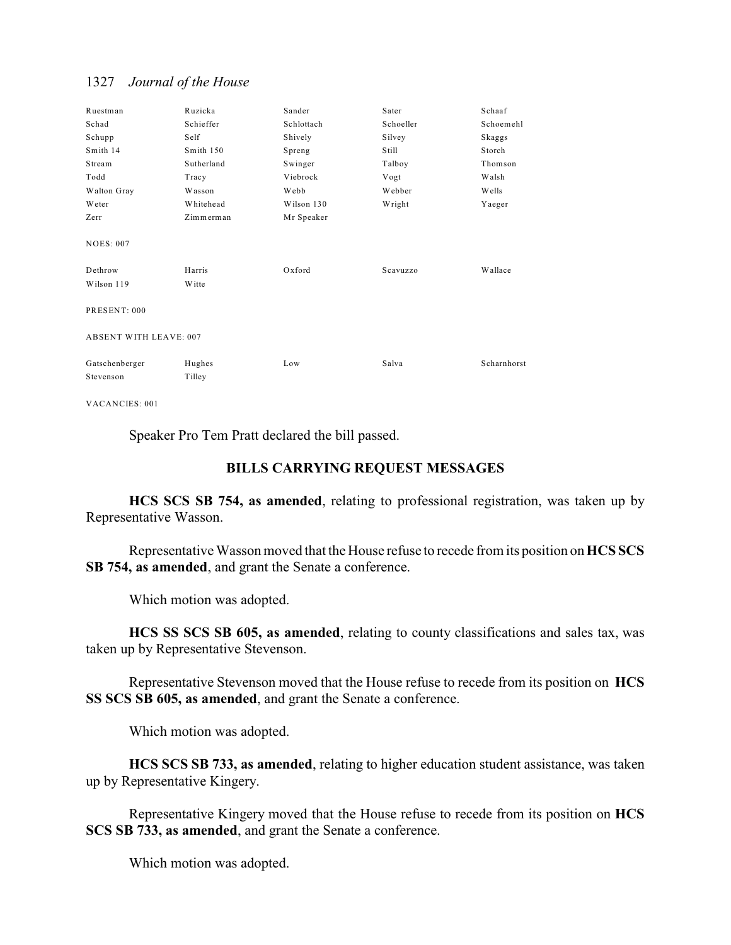| Ruestman                      | Ruzicka          | Sander     | Sater     | Schaaf      |  |
|-------------------------------|------------------|------------|-----------|-------------|--|
| Schad                         | Schieffer        | Schlottach | Schoeller | Schoemehl   |  |
| Schupp                        | Self             | Shively    | Silvey    | Skaggs      |  |
| Smith 14                      | Smith 150        | Spreng     | Still     | Storch      |  |
| Stream                        | Sutherland       | Swinger    | Talboy    | Thomson     |  |
| Todd                          | Tracy            | Viebrock   | Vogt      | Walsh       |  |
| Walton Gray                   | Wasson           | Webb       | Webber    | Wells       |  |
| Weter                         | Whitehead        | Wilson 130 | Wright    | Yaeger      |  |
| Zerr                          | Zimmerman        | Mr Speaker |           |             |  |
| <b>NOES: 007</b><br>Dethrow   | Harris           | Oxford     | Scavuzzo  | Wallace     |  |
| Wilson 119                    | Witte            |            |           |             |  |
| PRESENT: 000                  |                  |            |           |             |  |
| <b>ABSENT WITH LEAVE: 007</b> |                  |            |           |             |  |
| Gatschenberger<br>Stevenson   | Hughes<br>Tilley | Low        | Salva     | Scharnhorst |  |

VACANCIES: 001

Speaker Pro Tem Pratt declared the bill passed.

## **BILLS CARRYING REQUEST MESSAGES**

**HCS SCS SB 754, as amended**, relating to professional registration, was taken up by Representative Wasson.

Representative Wasson moved that the House refuse to recede from its position on **HCS SCS SB 754, as amended**, and grant the Senate a conference.

Which motion was adopted.

**HCS SS SCS SB 605, as amended**, relating to county classifications and sales tax, was taken up by Representative Stevenson.

Representative Stevenson moved that the House refuse to recede from its position on **HCS SS SCS SB 605, as amended**, and grant the Senate a conference.

Which motion was adopted.

**HCS SCS SB 733, as amended**, relating to higher education student assistance, was taken up by Representative Kingery.

Representative Kingery moved that the House refuse to recede from its position on **HCS SCS SB 733, as amended**, and grant the Senate a conference.

Which motion was adopted.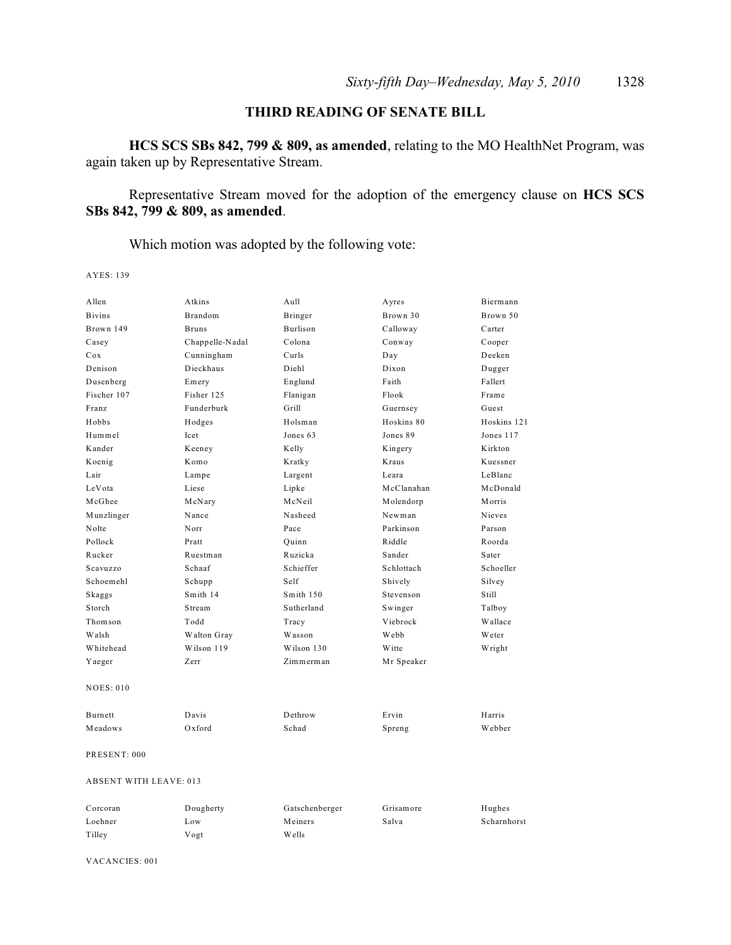## **THIRD READING OF SENATE BILL**

**HCS SCS SBs 842, 799 & 809, as amended**, relating to the MO HealthNet Program, was again taken up by Representative Stream.

Representative Stream moved for the adoption of the emergency clause on **HCS SCS SBs 842, 799 & 809, as amended**.

Which motion was adopted by the following vote:

AYES: 139

| Allen                         | Atkins          | Aull           | Ayres      | Biermann      |  |  |
|-------------------------------|-----------------|----------------|------------|---------------|--|--|
| <b>Bivins</b>                 | Brandom         | Bringer        | Brown 30   | Brown 50      |  |  |
| Brown 149                     | <b>Bruns</b>    | Burlison       | Calloway   | Carter        |  |  |
| Casey                         | Chappelle-Nadal | Colona         | Conway     | Cooper        |  |  |
| Cox                           | Cunningham      | Curls          | Day        | Deeken        |  |  |
| Denison                       | Dieckhaus       | Diehl          | Dixon      | Dugger        |  |  |
| Dusenberg                     | Emery           | Englund        | Faith      | Fallert       |  |  |
| Fischer 107                   | Fisher 125      | Flanigan       | Flook      | Frame         |  |  |
| Franz                         | Funderburk      | Grill          | Guernsey   | Guest         |  |  |
| Hobbs                         | Hodges          | Holsman        | Hoskins 80 | Hoskins 121   |  |  |
| Hummel                        | Icet            | Jones 63       | Jones 89   | Jones 117     |  |  |
| Kander                        | Keeney          | Kelly          | Kingery    | Kirkton       |  |  |
| Koenig                        | Komo            | Kratky         | Kraus      | Kuessner      |  |  |
| Lair                          | Lampe           | Largent        | Leara      | LeBlanc       |  |  |
| LeVota                        | Liese           | Lipke          | McClanahan | McDonald      |  |  |
| McGhee                        | McNary          | McNeil         | Molendorp  | Morris        |  |  |
| Munzlinger                    | Nance           | Nasheed        | Newman     | <b>Nieves</b> |  |  |
| Nolte                         | Norr            | Pace           | Parkinson  | Parson        |  |  |
| Pollock                       | Pratt           | Quinn          | Riddle     | Roorda        |  |  |
| Rucker                        | Ruestman        | Ruzicka        | Sander     | Sater         |  |  |
| Scavuzzo                      | Schaaf          | Schieffer      | Schlottach | Schoeller     |  |  |
| Schoemehl                     | Schupp          | Self           | Shively    | Silvey        |  |  |
| Skaggs                        | Smith 14        | Smith 150      | Stevenson  | Still         |  |  |
| Storch                        | Stream          | Sutherland     | Swinger    | Talboy        |  |  |
| Thomson                       | Todd            | Tracy          | Viebrock   | Wallace       |  |  |
| Walsh                         | Walton Gray     | Wasson         | Webb       | Weter         |  |  |
| Whitehead                     | Wilson 119      | Wilson 130     | Witte      | Wright        |  |  |
| Yaeger                        | Zerr            | Zimmerman      | Mr Speaker |               |  |  |
| <b>NOES: 010</b>              |                 |                |            |               |  |  |
| Burnett                       | Davis           | Dethrow        | Ervin      | Harris        |  |  |
| Meadows                       | Oxford          | Schad          | Spreng     | Webber        |  |  |
| PRESENT: 000                  |                 |                |            |               |  |  |
| <b>ABSENT WITH LEAVE: 013</b> |                 |                |            |               |  |  |
| Corcoran                      | Dougherty       | Gatschenberger | Grisamore  | Hughes        |  |  |
| Loehner                       | Low             | Meiners        | Salva      | Scharnhorst   |  |  |
| Tilley                        | Vogt            | Wells          |            |               |  |  |

VACANCIES: 001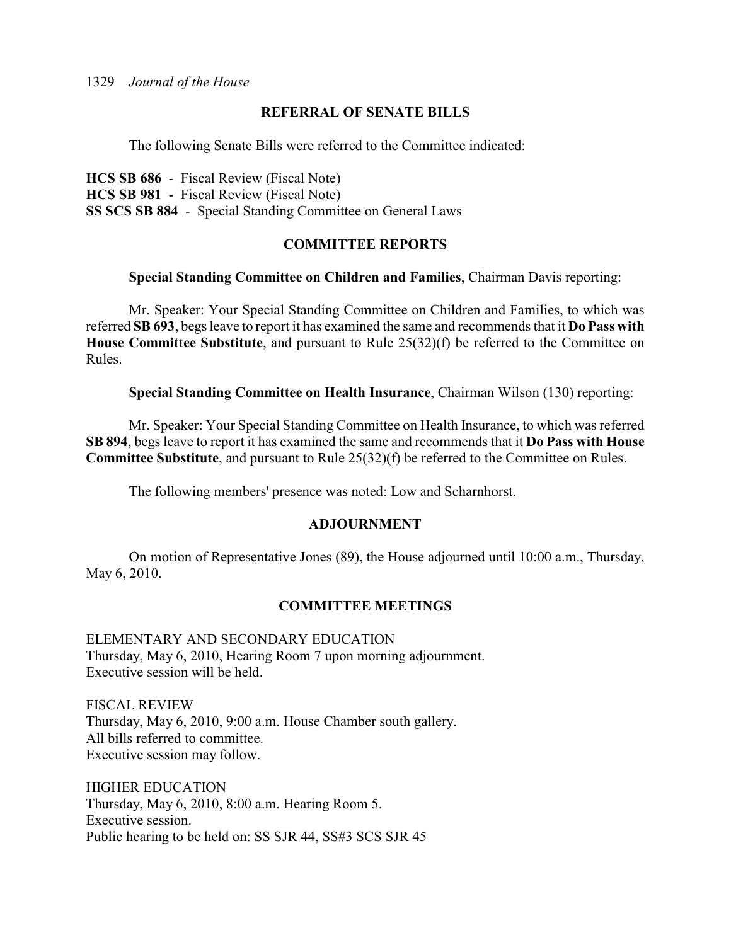## **REFERRAL OF SENATE BILLS**

The following Senate Bills were referred to the Committee indicated:

**HCS SB 686** - Fiscal Review (Fiscal Note) **HCS SB 981** - Fiscal Review (Fiscal Note) **SS SCS SB 884** - Special Standing Committee on General Laws

## **COMMITTEE REPORTS**

### **Special Standing Committee on Children and Families**, Chairman Davis reporting:

Mr. Speaker: Your Special Standing Committee on Children and Families, to which was referred **SB 693**, begs leave to report it has examined the same and recommends that it **Do Pass with House Committee Substitute**, and pursuant to Rule 25(32)(f) be referred to the Committee on Rules.

**Special Standing Committee on Health Insurance**, Chairman Wilson (130) reporting:

Mr. Speaker: Your Special Standing Committee on Health Insurance, to which was referred **SB 894**, begs leave to report it has examined the same and recommends that it **Do Pass with House Committee Substitute**, and pursuant to Rule 25(32)(f) be referred to the Committee on Rules.

The following members' presence was noted: Low and Scharnhorst.

### **ADJOURNMENT**

On motion of Representative Jones (89), the House adjourned until 10:00 a.m., Thursday, May 6, 2010.

## **COMMITTEE MEETINGS**

ELEMENTARY AND SECONDARY EDUCATION Thursday, May 6, 2010, Hearing Room 7 upon morning adjournment. Executive session will be held.

FISCAL REVIEW Thursday, May 6, 2010, 9:00 a.m. House Chamber south gallery. All bills referred to committee. Executive session may follow.

HIGHER EDUCATION Thursday, May 6, 2010, 8:00 a.m. Hearing Room 5. Executive session. Public hearing to be held on: SS SJR 44, SS#3 SCS SJR 45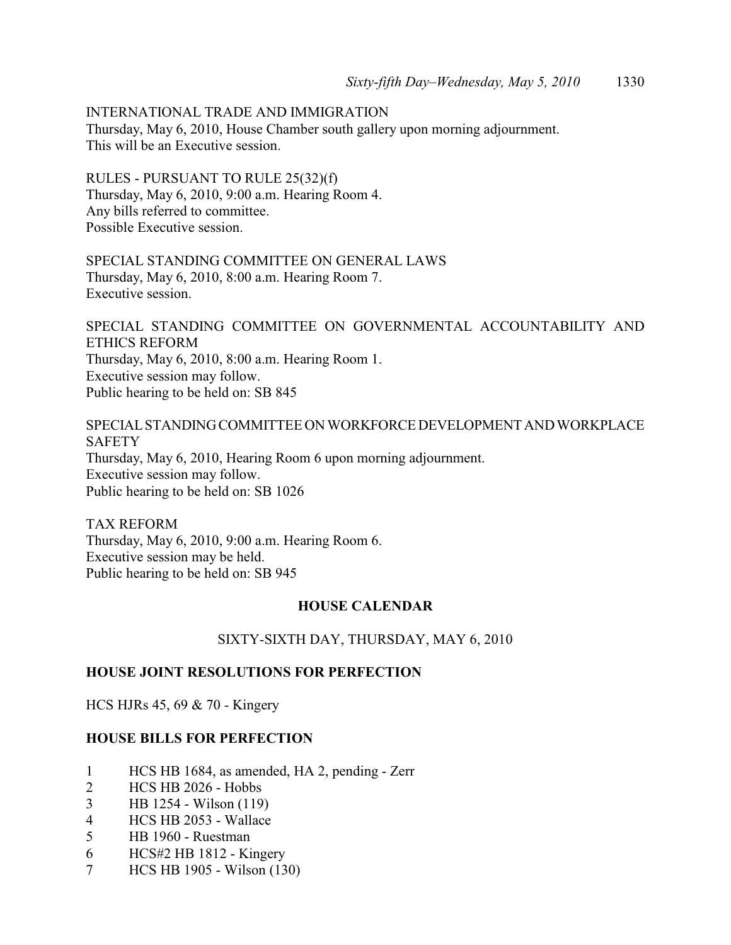INTERNATIONAL TRADE AND IMMIGRATION Thursday, May 6, 2010, House Chamber south gallery upon morning adjournment. This will be an Executive session.

RULES - PURSUANT TO RULE 25(32)(f) Thursday, May 6, 2010, 9:00 a.m. Hearing Room 4. Any bills referred to committee. Possible Executive session.

SPECIAL STANDING COMMITTEE ON GENERAL LAWS Thursday, May 6, 2010, 8:00 a.m. Hearing Room 7. Executive session.

SPECIAL STANDING COMMITTEE ON GOVERNMENTAL ACCOUNTABILITY AND ETHICS REFORM Thursday, May 6, 2010, 8:00 a.m. Hearing Room 1. Executive session may follow. Public hearing to be held on: SB 845

SPECIAL STANDING COMMITTEE ON WORKFORCE DEVELOPMENT AND WORKPLACE **SAFETY** Thursday, May 6, 2010, Hearing Room 6 upon morning adjournment. Executive session may follow. Public hearing to be held on: SB 1026

TAX REFORM Thursday, May 6, 2010, 9:00 a.m. Hearing Room 6. Executive session may be held. Public hearing to be held on: SB 945

## **HOUSE CALENDAR**

SIXTY-SIXTH DAY, THURSDAY, MAY 6, 2010

## **HOUSE JOINT RESOLUTIONS FOR PERFECTION**

HCS HJRs 45, 69 & 70 - Kingery

## **HOUSE BILLS FOR PERFECTION**

- 1 HCS HB 1684, as amended, HA 2, pending Zerr
- 2 HCS HB 2026 Hobbs
- 3 HB 1254 Wilson (119)
- 4 HCS HB 2053 Wallace
- 5 HB 1960 Ruestman
- 6 HCS#2 HB 1812 Kingery
- 7 HCS HB 1905 Wilson (130)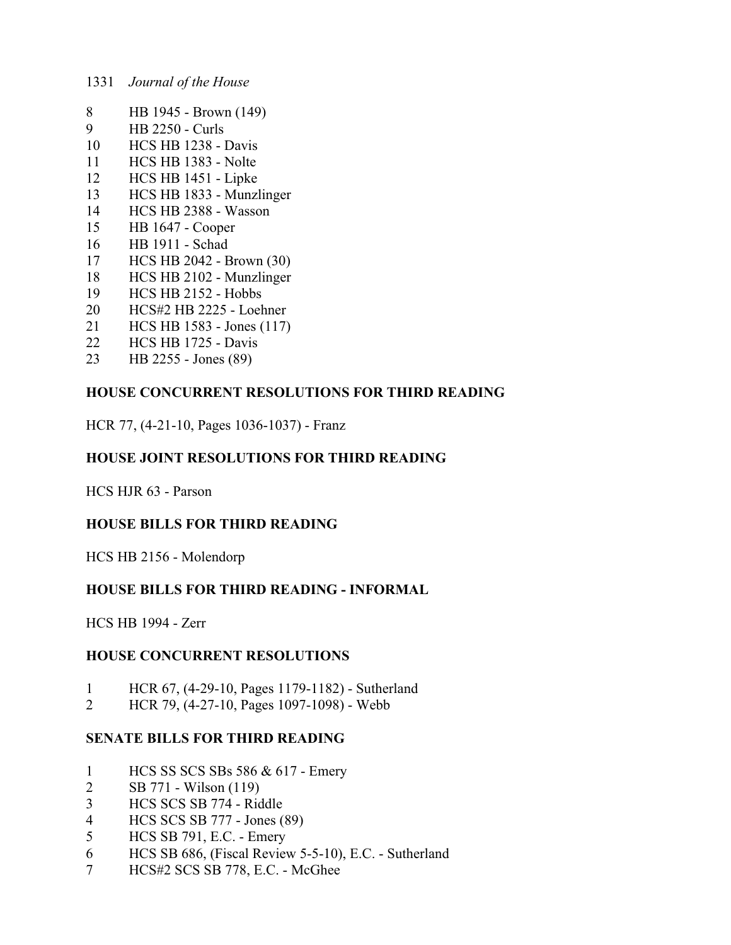- HB 1945 Brown (149)
- HB 2250 Curls
- HCS HB 1238 Davis
- HCS HB 1383 Nolte
- HCS HB 1451 Lipke
- HCS HB 1833 Munzlinger
- HCS HB 2388 Wasson
- HB 1647 Cooper
- HB 1911 Schad
- HCS HB 2042 Brown (30)
- HCS HB 2102 Munzlinger
- HCS HB 2152 Hobbs
- HCS#2 HB 2225 Loehner
- HCS HB 1583 Jones (117)
- HCS HB 1725 Davis
- HB 2255 Jones (89)

## **HOUSE CONCURRENT RESOLUTIONS FOR THIRD READING**

HCR 77, (4-21-10, Pages 1036-1037) - Franz

## **HOUSE JOINT RESOLUTIONS FOR THIRD READING**

HCS HJR 63 - Parson

## **HOUSE BILLS FOR THIRD READING**

HCS HB 2156 - Molendorp

## **HOUSE BILLS FOR THIRD READING - INFORMAL**

HCS HB 1994 - Zerr

## **HOUSE CONCURRENT RESOLUTIONS**

- HCR 67, (4-29-10, Pages 1179-1182) Sutherland
- HCR 79, (4-27-10, Pages 1097-1098) Webb

## **SENATE BILLS FOR THIRD READING**

- HCS SS SCS SBs 586 & 617 Emery
- SB 771 Wilson (119)
- HCS SCS SB 774 Riddle
- HCS SCS SB 777 Jones (89)
- HCS SB 791, E.C. Emery
- HCS SB 686, (Fiscal Review 5-5-10), E.C. Sutherland
- HCS#2 SCS SB 778, E.C. McGhee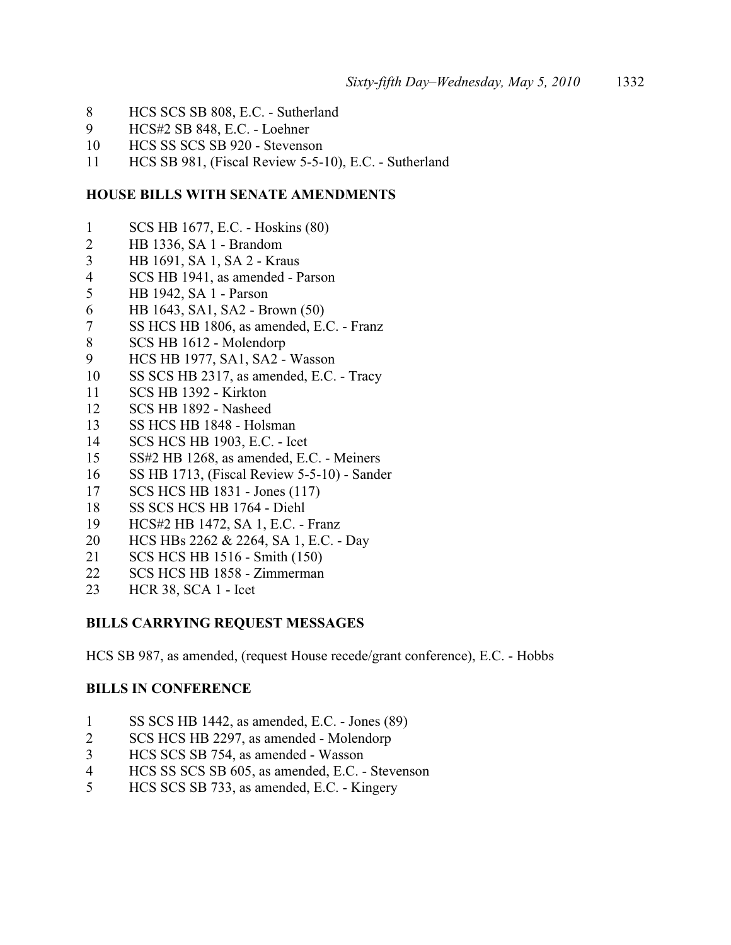- HCS SCS SB 808, E.C. Sutherland
- HCS#2 SB 848, E.C. Loehner
- HCS SS SCS SB 920 Stevenson
- HCS SB 981, (Fiscal Review 5-5-10), E.C. Sutherland

## **HOUSE BILLS WITH SENATE AMENDMENTS**

- SCS HB 1677, E.C. Hoskins (80)
- HB 1336, SA 1 Brandom
- HB 1691, SA 1, SA 2 Kraus
- SCS HB 1941, as amended Parson
- HB 1942, SA 1 Parson
- HB 1643, SA1, SA2 Brown (50)
- SS HCS HB 1806, as amended, E.C. Franz
- SCS HB 1612 Molendorp
- HCS HB 1977, SA1, SA2 Wasson
- SS SCS HB 2317, as amended, E.C. Tracy
- SCS HB 1392 Kirkton
- SCS HB 1892 Nasheed
- SS HCS HB 1848 Holsman
- SCS HCS HB 1903, E.C. Icet
- SS#2 HB 1268, as amended, E.C. Meiners
- SS HB 1713, (Fiscal Review 5-5-10) Sander
- SCS HCS HB 1831 Jones (117)
- SS SCS HCS HB 1764 Diehl
- HCS#2 HB 1472, SA 1, E.C. Franz
- HCS HBs 2262 & 2264, SA 1, E.C. Day
- SCS HCS HB 1516 Smith (150)
- SCS HCS HB 1858 Zimmerman
- HCR 38, SCA 1 Icet

## **BILLS CARRYING REQUEST MESSAGES**

HCS SB 987, as amended, (request House recede/grant conference), E.C. - Hobbs

## **BILLS IN CONFERENCE**

- SS SCS HB 1442, as amended, E.C. Jones (89)
- SCS HCS HB 2297, as amended Molendorp
- HCS SCS SB 754, as amended Wasson
- HCS SS SCS SB 605, as amended, E.C. Stevenson
- HCS SCS SB 733, as amended, E.C. Kingery